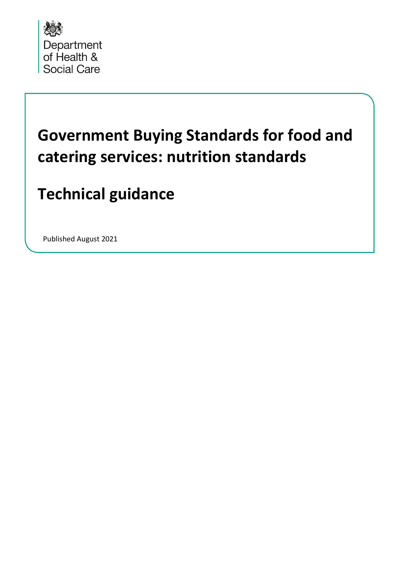

# **Government Buying Standards for food and catering services: nutrition standards**

# **Technical guidance**

Published August 2021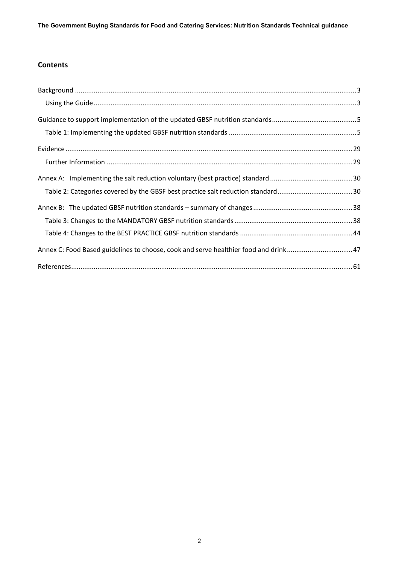## **Contents**

| Annex C: Food Based guidelines to choose, cook and serve healthier food and drink47 |  |
|-------------------------------------------------------------------------------------|--|
|                                                                                     |  |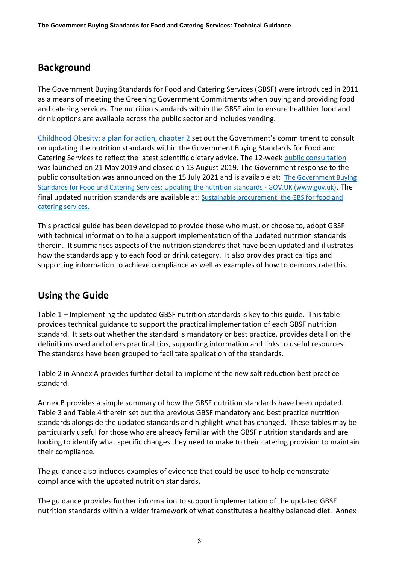# <span id="page-2-0"></span>**Background**

The Government Buying Standards for Food and Catering Services (GBSF) were introduced in 2011 as a means of meeting the Greening Government Commitments when buying and providing food and catering services. The nutrition standards within the GBSF aim to ensure healthier food and drink options are available across the public sector and includes vending.

[Childhood Obesity: a plan for action, chapter 2](https://www.gov.uk/government/publications/childhood-obesity-a-plan-for-action-chapter-2) set out the Government's commitment to consult on updating the nutrition standards within the Government Buying Standards for Food and Catering Services to reflect the latest scientific dietary advice. The 12-week [public consultation](https://www.gov.uk/government/consultations/updating-the-government-buying-standards-for-food-and-catering-services-gbsf) was launched on 21 May 2019 and closed on 13 August 2019. The Government response to the public consultation was announced on the 15 July 2021 and is available at: The Government Buying [Standards for Food and Catering Services: Updating the nutrition standards - GOV.UK \(www.gov.uk\)](https://www.gov.uk/government/consultations/updating-the-government-buying-standards-for-food-and-catering-services-gbsf). The final updated nutrition standards are available at: [Sustainable procurement: the GBS for food and](https://www.gov.uk/government/publications/sustainable-procurement-the-gbs-for-food-and-catering-services/government-buying-standard-for-food-and-catering-services)  [catering services.](https://www.gov.uk/government/publications/sustainable-procurement-the-gbs-for-food-and-catering-services/government-buying-standard-for-food-and-catering-services) 

This practical guide has been developed to provide those who must, or choose to, adopt GBSF with technical information to help support implementation of the updated nutrition standards therein. It summarises aspects of the nutrition standards that have been updated and illustrates how the standards apply to each food or drink category. It also provides practical tips and supporting information to achieve compliance as well as examples of how to demonstrate this.

# <span id="page-2-1"></span>**Using the Guide**

Table 1 – Implementing the updated GBSF nutrition standards is key to this guide. This table provides technical guidance to support the practical implementation of each GBSF nutrition standard. It sets out whether the standard is mandatory or best practice, provides detail on the definitions used and offers practical tips, supporting information and links to useful resources. The standards have been grouped to facilitate application of the standards.

Table 2 in Annex A provides further detail to implement the new salt reduction best practice standard.

Annex B provides a simple summary of how the GBSF nutrition standards have been updated. Table 3 and Table 4 therein set out the previous GBSF mandatory and best practice nutrition standards alongside the updated standards and highlight what has changed. These tables may be particularly useful for those who are already familiar with the GBSF nutrition standards and are looking to identify what specific changes they need to make to their catering provision to maintain their compliance.

The guidance also includes examples of evidence that could be used to help demonstrate compliance with the updated nutrition standards.

The guidance provides further information to support implementation of the updated GBSF nutrition standards within a wider framework of what constitutes a healthy balanced diet. Annex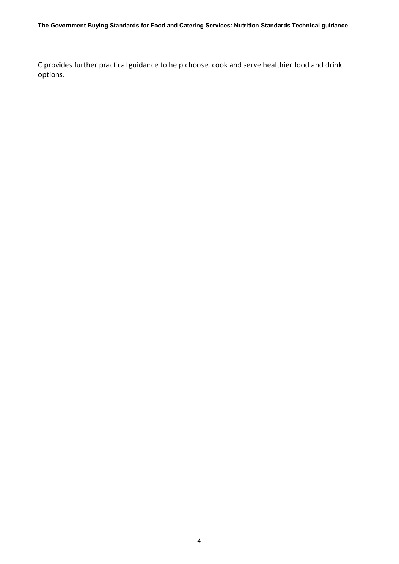C provides further practical guidance to help choose, cook and serve healthier food and drink options.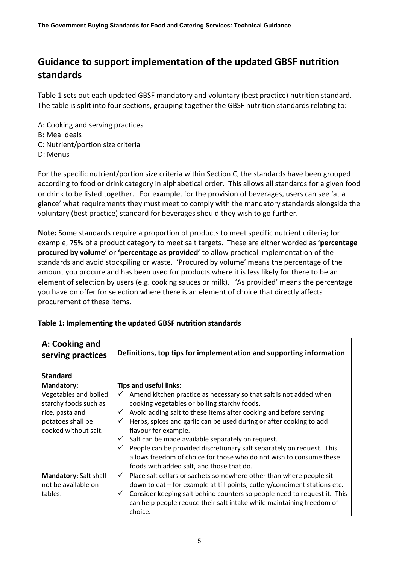# <span id="page-4-0"></span>**Guidance to support implementation of the updated GBSF nutrition standards**

Table 1 sets out each updated GBSF mandatory and voluntary (best practice) nutrition standard. The table is split into four sections, grouping together the GBSF nutrition standards relating to:

A: Cooking and serving practices B: Meal deals C: Nutrient/portion size criteria D: Menus

For the specific nutrient/portion size criteria within Section C, the standards have been grouped according to food or drink category in alphabetical order. This allows all standards for a given food or drink to be listed together. For example, for the provision of beverages, users can see 'at a glance' what requirements they must meet to comply with the mandatory standards alongside the voluntary (best practice) standard for beverages should they wish to go further.

**Note:** Some standards require a proportion of products to meet specific nutrient criteria; for example, 75% of a product category to meet salt targets. These are either worded as **'percentage procured by volume'** or **'percentage as provided'** to allow practical implementation of the standards and avoid stockpiling or waste. 'Procured by volume' means the percentage of the amount you procure and has been used for products where it is less likely for there to be an element of selection by users (e.g. cooking sauces or milk). 'As provided' means the percentage you have on offer for selection where there is an element of choice that directly affects procurement of these items.

| A: Cooking and<br>serving practices                                                                            | Definitions, top tips for implementation and supporting information                                                                                                                                                                                                                                                                                                                                                                                                                                                                                               |
|----------------------------------------------------------------------------------------------------------------|-------------------------------------------------------------------------------------------------------------------------------------------------------------------------------------------------------------------------------------------------------------------------------------------------------------------------------------------------------------------------------------------------------------------------------------------------------------------------------------------------------------------------------------------------------------------|
| <b>Standard</b>                                                                                                |                                                                                                                                                                                                                                                                                                                                                                                                                                                                                                                                                                   |
| <b>Mandatory:</b>                                                                                              | <b>Tips and useful links:</b>                                                                                                                                                                                                                                                                                                                                                                                                                                                                                                                                     |
| Vegetables and boiled<br>starchy foods such as<br>rice, pasta and<br>potatoes shall be<br>cooked without salt. | Amend kitchen practice as necessary so that salt is not added when<br>✓<br>cooking vegetables or boiling starchy foods.<br>Avoid adding salt to these items after cooking and before serving<br>✓<br>Herbs, spices and garlic can be used during or after cooking to add<br>✓<br>flavour for example.<br>Salt can be made available separately on request.<br>✓<br>People can be provided discretionary salt separately on request. This<br>✓<br>allows freedom of choice for those who do not wish to consume these<br>foods with added salt, and those that do. |
| Mandatory: Salt shall                                                                                          | $\checkmark$<br>Place salt cellars or sachets somewhere other than where people sit                                                                                                                                                                                                                                                                                                                                                                                                                                                                               |
| not be available on                                                                                            | down to eat - for example at till points, cutlery/condiment stations etc.                                                                                                                                                                                                                                                                                                                                                                                                                                                                                         |
| tables.                                                                                                        | Consider keeping salt behind counters so people need to request it. This<br>$\checkmark$<br>can help people reduce their salt intake while maintaining freedom of<br>choice.                                                                                                                                                                                                                                                                                                                                                                                      |

### <span id="page-4-1"></span>**Table 1: Implementing the updated GBSF nutrition standards**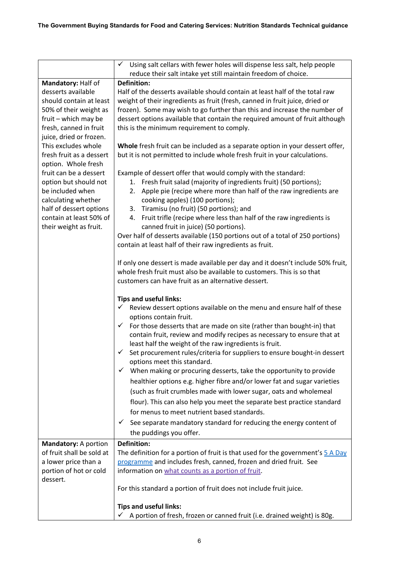|                                               | Using salt cellars with fewer holes will dispense less salt, help people<br>✓                                                               |
|-----------------------------------------------|---------------------------------------------------------------------------------------------------------------------------------------------|
|                                               | reduce their salt intake yet still maintain freedom of choice.                                                                              |
| Mandatory: Half of                            | <b>Definition:</b>                                                                                                                          |
| desserts available                            | Half of the desserts available should contain at least half of the total raw                                                                |
| should contain at least                       | weight of their ingredients as fruit (fresh, canned in fruit juice, dried or                                                                |
| 50% of their weight as                        | frozen). Some may wish to go further than this and increase the number of                                                                   |
| fruit - which may be                          | dessert options available that contain the required amount of fruit although                                                                |
| fresh, canned in fruit                        | this is the minimum requirement to comply.                                                                                                  |
| juice, dried or frozen.                       |                                                                                                                                             |
| This excludes whole                           | Whole fresh fruit can be included as a separate option in your dessert offer,                                                               |
| fresh fruit as a dessert                      | but it is not permitted to include whole fresh fruit in your calculations.                                                                  |
| option. Whole fresh<br>fruit can be a dessert |                                                                                                                                             |
| option but should not                         | Example of dessert offer that would comply with the standard:<br>1.                                                                         |
| be included when                              | Fresh fruit salad (majority of ingredients fruit) (50 portions);<br>Apple pie (recipe where more than half of the raw ingredients are<br>2. |
| calculating whether                           | cooking apples) (100 portions);                                                                                                             |
| half of dessert options                       | 3. Tiramisu (no fruit) (50 portions); and                                                                                                   |
| contain at least 50% of                       | Fruit trifle (recipe where less than half of the raw ingredients is<br>4.                                                                   |
| their weight as fruit.                        | canned fruit in juice) (50 portions).                                                                                                       |
|                                               | Over half of desserts available (150 portions out of a total of 250 portions)                                                               |
|                                               | contain at least half of their raw ingredients as fruit.                                                                                    |
|                                               |                                                                                                                                             |
|                                               | If only one dessert is made available per day and it doesn't include 50% fruit,                                                             |
|                                               | whole fresh fruit must also be available to customers. This is so that                                                                      |
|                                               | customers can have fruit as an alternative dessert.                                                                                         |
|                                               | <b>Tips and useful links:</b>                                                                                                               |
|                                               | Review dessert options available on the menu and ensure half of these                                                                       |
|                                               | options contain fruit.                                                                                                                      |
|                                               | For those desserts that are made on site (rather than bought-in) that<br>✓                                                                  |
|                                               | contain fruit, review and modify recipes as necessary to ensure that at                                                                     |
|                                               | least half the weight of the raw ingredients is fruit.                                                                                      |
|                                               | Set procurement rules/criteria for suppliers to ensure bought-in dessert                                                                    |
|                                               | options meet this standard.                                                                                                                 |
|                                               | When making or procuring desserts, take the opportunity to provide<br>$\checkmark$                                                          |
|                                               | healthier options e.g. higher fibre and/or lower fat and sugar varieties                                                                    |
|                                               | (such as fruit crumbles made with lower sugar, oats and wholemeal                                                                           |
|                                               | flour). This can also help you meet the separate best practice standard                                                                     |
|                                               | for menus to meet nutrient based standards.                                                                                                 |
|                                               | See separate mandatory standard for reducing the energy content of<br>$\checkmark$                                                          |
|                                               | the puddings you offer.                                                                                                                     |
| Mandatory: A portion                          | <b>Definition:</b>                                                                                                                          |
| of fruit shall be sold at                     | The definition for a portion of fruit is that used for the government's 5 A Day                                                             |
| a lower price than a                          | programme and includes fresh, canned, frozen and dried fruit. See                                                                           |
| portion of hot or cold                        | information on what counts as a portion of fruit.                                                                                           |
| dessert.                                      |                                                                                                                                             |
|                                               | For this standard a portion of fruit does not include fruit juice.                                                                          |
|                                               | <b>Tips and useful links:</b>                                                                                                               |
|                                               | A portion of fresh, frozen or canned fruit (i.e. drained weight) is 80g.<br>✓                                                               |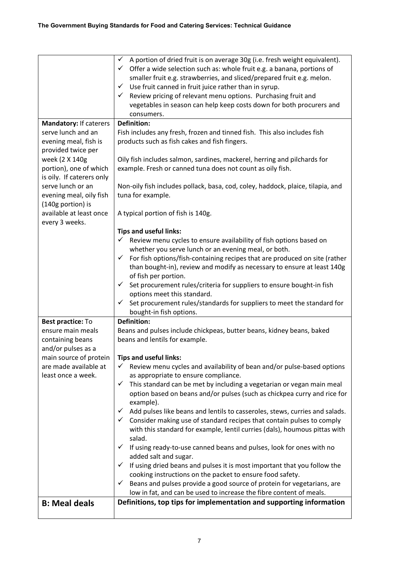|                                                                       | A portion of dried fruit is on average 30g (i.e. fresh weight equivalent).<br>$\checkmark$<br>$\checkmark$ Offer a wide selection such as: whole fruit e.g. a banana, portions of<br>smaller fruit e.g. strawberries, and sliced/prepared fruit e.g. melon.<br>$\checkmark$ Use fruit canned in fruit juice rather than in syrup.<br>Review pricing of relevant menu options. Purchasing fruit and<br>$\checkmark$<br>vegetables in season can help keep costs down for both procurers and<br>consumers. |
|-----------------------------------------------------------------------|----------------------------------------------------------------------------------------------------------------------------------------------------------------------------------------------------------------------------------------------------------------------------------------------------------------------------------------------------------------------------------------------------------------------------------------------------------------------------------------------------------|
| Mandatory: If caterers                                                | <b>Definition:</b>                                                                                                                                                                                                                                                                                                                                                                                                                                                                                       |
| serve lunch and an<br>evening meal, fish is<br>provided twice per     | Fish includes any fresh, frozen and tinned fish. This also includes fish<br>products such as fish cakes and fish fingers.                                                                                                                                                                                                                                                                                                                                                                                |
| week (2 X 140g<br>portion), one of which<br>is oily. If caterers only | Oily fish includes salmon, sardines, mackerel, herring and pilchards for<br>example. Fresh or canned tuna does not count as oily fish.                                                                                                                                                                                                                                                                                                                                                                   |
| serve lunch or an<br>evening meal, oily fish<br>(140g portion) is     | Non-oily fish includes pollack, basa, cod, coley, haddock, plaice, tilapia, and<br>tuna for example.                                                                                                                                                                                                                                                                                                                                                                                                     |
| available at least once<br>every 3 weeks.                             | A typical portion of fish is 140g.                                                                                                                                                                                                                                                                                                                                                                                                                                                                       |
|                                                                       | <b>Tips and useful links:</b>                                                                                                                                                                                                                                                                                                                                                                                                                                                                            |
|                                                                       | Review menu cycles to ensure availability of fish options based on                                                                                                                                                                                                                                                                                                                                                                                                                                       |
|                                                                       | whether you serve lunch or an evening meal, or both.                                                                                                                                                                                                                                                                                                                                                                                                                                                     |
|                                                                       | For fish options/fish-containing recipes that are produced on site (rather<br>✓<br>than bought-in), review and modify as necessary to ensure at least 140g                                                                                                                                                                                                                                                                                                                                               |
|                                                                       | of fish per portion.                                                                                                                                                                                                                                                                                                                                                                                                                                                                                     |
|                                                                       | $\checkmark$ Set procurement rules/criteria for suppliers to ensure bought-in fish                                                                                                                                                                                                                                                                                                                                                                                                                       |
|                                                                       | options meet this standard.                                                                                                                                                                                                                                                                                                                                                                                                                                                                              |
|                                                                       | $\checkmark$ Set procurement rules/standards for suppliers to meet the standard for                                                                                                                                                                                                                                                                                                                                                                                                                      |
|                                                                       | bought-in fish options.                                                                                                                                                                                                                                                                                                                                                                                                                                                                                  |
| Best practice: To<br>ensure main meals                                | <b>Definition:</b><br>Beans and pulses include chickpeas, butter beans, kidney beans, baked                                                                                                                                                                                                                                                                                                                                                                                                              |
| containing beans                                                      | beans and lentils for example.                                                                                                                                                                                                                                                                                                                                                                                                                                                                           |
| and/or pulses as a                                                    |                                                                                                                                                                                                                                                                                                                                                                                                                                                                                                          |
| main source of protein                                                | <b>Tips and useful links:</b>                                                                                                                                                                                                                                                                                                                                                                                                                                                                            |
| are made available at                                                 | Review menu cycles and availability of bean and/or pulse-based options                                                                                                                                                                                                                                                                                                                                                                                                                                   |
| least once a week.                                                    | as appropriate to ensure compliance.<br>This standard can be met by including a vegetarian or vegan main meal<br>$\checkmark$                                                                                                                                                                                                                                                                                                                                                                            |
|                                                                       | option based on beans and/or pulses (such as chickpea curry and rice for<br>example).                                                                                                                                                                                                                                                                                                                                                                                                                    |
|                                                                       | Add pulses like beans and lentils to casseroles, stews, curries and salads.<br>✓                                                                                                                                                                                                                                                                                                                                                                                                                         |
|                                                                       | Consider making use of standard recipes that contain pulses to comply<br>✓                                                                                                                                                                                                                                                                                                                                                                                                                               |
|                                                                       | with this standard for example, lentil curries (dals), houmous pittas with<br>salad.                                                                                                                                                                                                                                                                                                                                                                                                                     |
|                                                                       | If using ready-to-use canned beans and pulses, look for ones with no<br>✓<br>added salt and sugar.                                                                                                                                                                                                                                                                                                                                                                                                       |
|                                                                       | If using dried beans and pulses it is most important that you follow the<br>✓<br>cooking instructions on the packet to ensure food safety.                                                                                                                                                                                                                                                                                                                                                               |
|                                                                       | Beans and pulses provide a good source of protein for vegetarians, are<br>✓                                                                                                                                                                                                                                                                                                                                                                                                                              |
|                                                                       | low in fat, and can be used to increase the fibre content of meals.                                                                                                                                                                                                                                                                                                                                                                                                                                      |
| <b>B: Meal deals</b>                                                  | Definitions, top tips for implementation and supporting information                                                                                                                                                                                                                                                                                                                                                                                                                                      |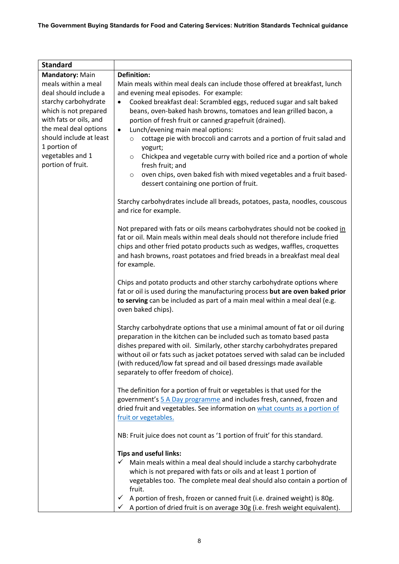| <b>Standard</b>                         |                                                                                                                                                                                                                                                                                                                                                                                                                                      |
|-----------------------------------------|--------------------------------------------------------------------------------------------------------------------------------------------------------------------------------------------------------------------------------------------------------------------------------------------------------------------------------------------------------------------------------------------------------------------------------------|
| Mandatory: Main                         | <b>Definition:</b>                                                                                                                                                                                                                                                                                                                                                                                                                   |
| meals within a meal                     | Main meals within meal deals can include those offered at breakfast, lunch                                                                                                                                                                                                                                                                                                                                                           |
| deal should include a                   | and evening meal episodes. For example:                                                                                                                                                                                                                                                                                                                                                                                              |
| starchy carbohydrate                    | Cooked breakfast deal: Scrambled eggs, reduced sugar and salt baked<br>$\bullet$                                                                                                                                                                                                                                                                                                                                                     |
| which is not prepared                   | beans, oven-baked hash browns, tomatoes and lean grilled bacon, a                                                                                                                                                                                                                                                                                                                                                                    |
| with fats or oils, and                  | portion of fresh fruit or canned grapefruit (drained).                                                                                                                                                                                                                                                                                                                                                                               |
| the meal deal options                   | Lunch/evening main meal options:<br>$\bullet$                                                                                                                                                                                                                                                                                                                                                                                        |
| should include at least<br>1 portion of | cottage pie with broccoli and carrots and a portion of fruit salad and<br>$\circ$<br>yogurt;                                                                                                                                                                                                                                                                                                                                         |
| vegetables and 1<br>portion of fruit.   | Chickpea and vegetable curry with boiled rice and a portion of whole<br>$\circ$<br>fresh fruit; and                                                                                                                                                                                                                                                                                                                                  |
|                                         | oven chips, oven baked fish with mixed vegetables and a fruit based-<br>$\circ$<br>dessert containing one portion of fruit.                                                                                                                                                                                                                                                                                                          |
|                                         | Starchy carbohydrates include all breads, potatoes, pasta, noodles, couscous<br>and rice for example.                                                                                                                                                                                                                                                                                                                                |
|                                         | Not prepared with fats or oils means carbohydrates should not be cooked in<br>fat or oil. Main meals within meal deals should not therefore include fried<br>chips and other fried potato products such as wedges, waffles, croquettes<br>and hash browns, roast potatoes and fried breads in a breakfast meal deal<br>for example.                                                                                                  |
|                                         | Chips and potato products and other starchy carbohydrate options where<br>fat or oil is used during the manufacturing process but are oven baked prior<br>to serving can be included as part of a main meal within a meal deal (e.g.<br>oven baked chips).                                                                                                                                                                           |
|                                         | Starchy carbohydrate options that use a minimal amount of fat or oil during<br>preparation in the kitchen can be included such as tomato based pasta<br>dishes prepared with oil. Similarly, other starchy carbohydrates prepared<br>without oil or fats such as jacket potatoes served with salad can be included<br>(with reduced/low fat spread and oil based dressings made available<br>separately to offer freedom of choice). |
|                                         | The definition for a portion of fruit or vegetables is that used for the<br>government's 5 A Day programme and includes fresh, canned, frozen and<br>dried fruit and vegetables. See information on what counts as a portion of<br>fruit or vegetables.                                                                                                                                                                              |
|                                         | NB: Fruit juice does not count as '1 portion of fruit' for this standard.                                                                                                                                                                                                                                                                                                                                                            |
|                                         | <b>Tips and useful links:</b>                                                                                                                                                                                                                                                                                                                                                                                                        |
|                                         | Main meals within a meal deal should include a starchy carbohydrate                                                                                                                                                                                                                                                                                                                                                                  |
|                                         | which is not prepared with fats or oils and at least 1 portion of                                                                                                                                                                                                                                                                                                                                                                    |
|                                         | vegetables too. The complete meal deal should also contain a portion of<br>fruit.                                                                                                                                                                                                                                                                                                                                                    |
|                                         | A portion of fresh, frozen or canned fruit (i.e. drained weight) is 80g.<br>$\checkmark$                                                                                                                                                                                                                                                                                                                                             |
|                                         | A portion of dried fruit is on average 30g (i.e. fresh weight equivalent).<br>✓                                                                                                                                                                                                                                                                                                                                                      |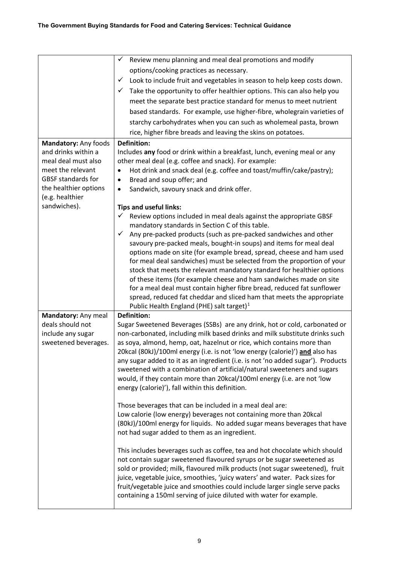<span id="page-8-1"></span><span id="page-8-0"></span>

|                                 | Review menu planning and meal deal promotions and modify<br>✓                                                                  |
|---------------------------------|--------------------------------------------------------------------------------------------------------------------------------|
|                                 | options/cooking practices as necessary.                                                                                        |
|                                 | Look to include fruit and vegetables in season to help keep costs down.<br>$\checkmark$                                        |
|                                 | Take the opportunity to offer healthier options. This can also help you<br>✓                                                   |
|                                 | meet the separate best practice standard for menus to meet nutrient                                                            |
|                                 | based standards. For example, use higher-fibre, wholegrain varieties of                                                        |
|                                 | starchy carbohydrates when you can such as wholemeal pasta, brown                                                              |
|                                 | rice, higher fibre breads and leaving the skins on potatoes.                                                                   |
| Mandatory: Any foods            | <b>Definition:</b>                                                                                                             |
| and drinks within a             | Includes any food or drink within a breakfast, lunch, evening meal or any                                                      |
| meal deal must also             | other meal deal (e.g. coffee and snack). For example:                                                                          |
| meet the relevant               | Hot drink and snack deal (e.g. coffee and toast/muffin/cake/pastry);<br>$\bullet$                                              |
| <b>GBSF standards for</b>       | Bread and soup offer; and<br>$\bullet$                                                                                         |
| the healthier options           | Sandwich, savoury snack and drink offer.<br>$\bullet$                                                                          |
| (e.g. healthier<br>sandwiches). |                                                                                                                                |
|                                 | <b>Tips and useful links:</b><br>Review options included in meal deals against the appropriate GBSF<br>✓                       |
|                                 | mandatory standards in Section C of this table.                                                                                |
|                                 | Any pre-packed products (such as pre-packed sandwiches and other<br>✓                                                          |
|                                 | savoury pre-packed meals, bought-in soups) and items for meal deal                                                             |
|                                 | options made on site (for example bread, spread, cheese and ham used                                                           |
|                                 | for meal deal sandwiches) must be selected from the proportion of your                                                         |
|                                 | stock that meets the relevant mandatory standard for healthier options                                                         |
|                                 | of these items (for example cheese and ham sandwiches made on site                                                             |
|                                 | for a meal deal must contain higher fibre bread, reduced fat sunflower                                                         |
|                                 | spread, reduced fat cheddar and sliced ham that meets the appropriate<br>Public Health England (PHE) salt target) <sup>1</sup> |
| Mandatory: Any meal             | <b>Definition:</b>                                                                                                             |
| deals should not                | Sugar Sweetened Beverages (SSBs) are any drink, hot or cold, carbonated or                                                     |
| include any sugar               | non-carbonated, including milk based drinks and milk substitute drinks such                                                    |
| sweetened beverages.            | as soya, almond, hemp, oat, hazelnut or rice, which contains more than                                                         |
|                                 | 20kcal (80kJ)/100ml energy (i.e. is not 'low energy (calorie)') and also has                                                   |
|                                 | any sugar added to it as an ingredient (i.e. is not 'no added sugar'). Products                                                |
|                                 | sweetened with a combination of artificial/natural sweeteners and sugars                                                       |
|                                 | would, if they contain more than 20kcal/100ml energy (i.e. are not 'low                                                        |
|                                 | energy (calorie)'), fall within this definition.                                                                               |
|                                 |                                                                                                                                |
|                                 | Those beverages that can be included in a meal deal are:<br>Low calorie (low energy) beverages not containing more than 20kcal |
|                                 | (80kJ)/100ml energy for liquids. No added sugar means beverages that have                                                      |
|                                 | not had sugar added to them as an ingredient.                                                                                  |
|                                 |                                                                                                                                |
|                                 | This includes beverages such as coffee, tea and hot chocolate which should                                                     |
|                                 | not contain sugar sweetened flavoured syrups or be sugar sweetened as                                                          |
|                                 | sold or provided; milk, flavoured milk products (not sugar sweetened), fruit                                                   |
|                                 | juice, vegetable juice, smoothies, 'juicy waters' and water. Pack sizes for                                                    |
|                                 | fruit/vegetable juice and smoothies could include larger single serve packs                                                    |
|                                 | containing a 150ml serving of juice diluted with water for example.                                                            |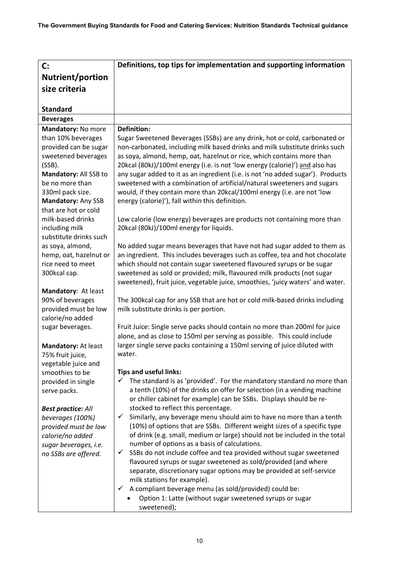| $\mathbf{C}$ :                         | Definitions, top tips for implementation and supporting information                                                         |
|----------------------------------------|-----------------------------------------------------------------------------------------------------------------------------|
| <b>Nutrient/portion</b>                |                                                                                                                             |
| size criteria                          |                                                                                                                             |
|                                        |                                                                                                                             |
| <b>Standard</b>                        |                                                                                                                             |
| <b>Beverages</b>                       |                                                                                                                             |
| Mandatory: No more                     | <b>Definition:</b>                                                                                                          |
| than 10% beverages                     | Sugar Sweetened Beverages (SSBs) are any drink, hot or cold, carbonated or                                                  |
| provided can be sugar                  | non-carbonated, including milk based drinks and milk substitute drinks such                                                 |
| sweetened beverages                    | as soya, almond, hemp, oat, hazelnut or rice, which contains more than                                                      |
| (SSB).                                 | 20kcal (80kJ)/100ml energy (i.e. is not 'low energy (calorie)') and also has                                                |
| Mandatory: All SSB to                  | any sugar added to it as an ingredient (i.e. is not 'no added sugar'). Products                                             |
| be no more than                        | sweetened with a combination of artificial/natural sweeteners and sugars                                                    |
| 330ml pack size.<br>Mandatory: Any SSB | would, if they contain more than 20kcal/100ml energy (i.e. are not 'low<br>energy (calorie)'), fall within this definition. |
| that are hot or cold                   |                                                                                                                             |
| milk-based drinks                      | Low calorie (low energy) beverages are products not containing more than                                                    |
| including milk                         | 20kcal (80kJ)/100ml energy for liquids.                                                                                     |
| substitute drinks such                 |                                                                                                                             |
| as soya, almond,                       | No added sugar means beverages that have not had sugar added to them as                                                     |
| hemp, oat, hazelnut or                 | an ingredient. This includes beverages such as coffee, tea and hot chocolate                                                |
| rice need to meet                      | which should not contain sugar sweetened flavoured syrups or be sugar                                                       |
| 300kcal cap.                           | sweetened as sold or provided; milk, flavoured milk products (not sugar                                                     |
| Mandatory: At least                    | sweetened), fruit juice, vegetable juice, smoothies, 'juicy waters' and water.                                              |
| 90% of beverages                       | The 300kcal cap for any SSB that are hot or cold milk-based drinks including                                                |
| provided must be low                   | milk substitute drinks is per portion.                                                                                      |
| calorie/no added                       |                                                                                                                             |
| sugar beverages.                       | Fruit Juice: Single serve packs should contain no more than 200ml for juice                                                 |
|                                        | alone, and as close to 150ml per serving as possible. This could include                                                    |
| Mandatory: At least                    | larger single serve packs containing a 150ml serving of juice diluted with                                                  |
| 75% fruit juice,                       | water.                                                                                                                      |
| vegetable juice and                    |                                                                                                                             |
| smoothies to be                        | <b>Tips and useful links:</b><br>✓<br>The standard is as 'provided'. For the mandatory standard no more than                |
| provided in single<br>serve packs.     | a tenth (10%) of the drinks on offer for selection (in a vending machine                                                    |
|                                        | or chiller cabinet for example) can be SSBs. Displays should be re-                                                         |
| <b>Best practice: All</b>              | stocked to reflect this percentage.                                                                                         |
| beverages (100%)                       | $\checkmark$<br>Similarly, any beverage menu should aim to have no more than a tenth                                        |
| provided must be low                   | (10%) of options that are SSBs. Different weight sizes of a specific type                                                   |
| calorie/no added                       | of drink (e.g. small, medium or large) should not be included in the total                                                  |
| sugar beverages, i.e.                  | number of options as a basis of calculations.                                                                               |
| no SSBs are offered.                   | SSBs do not include coffee and tea provided without sugar sweetened<br>✓                                                    |
|                                        | flavoured syrups or sugar sweetened as sold/provided (and where                                                             |
|                                        | separate, discretionary sugar options may be provided at self-service<br>milk stations for example).                        |
|                                        | A compliant beverage menu (as sold/provided) could be:<br>$\checkmark$                                                      |
|                                        | Option 1: Latte (without sugar sweetened syrups or sugar                                                                    |
|                                        | sweetened);                                                                                                                 |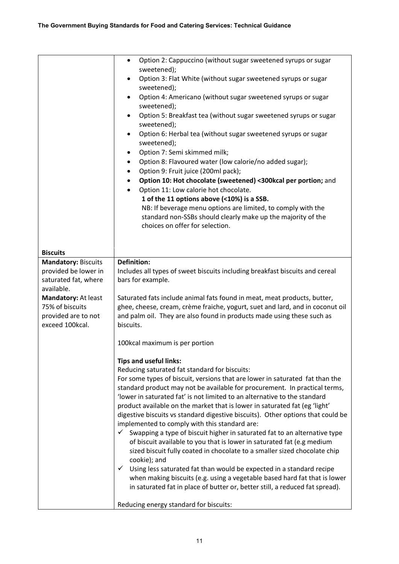|                                        | Option 2: Cappuccino (without sugar sweetened syrups or sugar<br>٠<br>sweetened);<br>Option 3: Flat White (without sugar sweetened syrups or sugar<br>$\bullet$<br>sweetened);<br>Option 4: Americano (without sugar sweetened syrups or sugar<br>$\bullet$<br>sweetened);<br>Option 5: Breakfast tea (without sugar sweetened syrups or sugar<br>sweetened);<br>Option 6: Herbal tea (without sugar sweetened syrups or sugar<br>$\bullet$<br>sweetened);<br>Option 7: Semi skimmed milk;<br>٠<br>Option 8: Flavoured water (low calorie/no added sugar);<br>$\bullet$<br>Option 9: Fruit juice (200ml pack);<br>$\bullet$<br>Option 10: Hot chocolate (sweetened) <300kcal per portion; and<br>Option 11: Low calorie hot chocolate.<br>1 of the 11 options above (<10%) is a SSB.<br>NB: If beverage menu options are limited, to comply with the<br>standard non-SSBs should clearly make up the majority of the<br>choices on offer for selection.                                                                                                                                                        |
|----------------------------------------|----------------------------------------------------------------------------------------------------------------------------------------------------------------------------------------------------------------------------------------------------------------------------------------------------------------------------------------------------------------------------------------------------------------------------------------------------------------------------------------------------------------------------------------------------------------------------------------------------------------------------------------------------------------------------------------------------------------------------------------------------------------------------------------------------------------------------------------------------------------------------------------------------------------------------------------------------------------------------------------------------------------------------------------------------------------------------------------------------------------|
| <b>Biscuits</b>                        |                                                                                                                                                                                                                                                                                                                                                                                                                                                                                                                                                                                                                                                                                                                                                                                                                                                                                                                                                                                                                                                                                                                |
| <b>Mandatory: Biscuits</b>             | <b>Definition:</b>                                                                                                                                                                                                                                                                                                                                                                                                                                                                                                                                                                                                                                                                                                                                                                                                                                                                                                                                                                                                                                                                                             |
| provided be lower in                   | Includes all types of sweet biscuits including breakfast biscuits and cereal                                                                                                                                                                                                                                                                                                                                                                                                                                                                                                                                                                                                                                                                                                                                                                                                                                                                                                                                                                                                                                   |
| saturated fat, where                   | bars for example.                                                                                                                                                                                                                                                                                                                                                                                                                                                                                                                                                                                                                                                                                                                                                                                                                                                                                                                                                                                                                                                                                              |
| available.                             |                                                                                                                                                                                                                                                                                                                                                                                                                                                                                                                                                                                                                                                                                                                                                                                                                                                                                                                                                                                                                                                                                                                |
| Mandatory: At least<br>75% of biscuits | Saturated fats include animal fats found in meat, meat products, butter,<br>ghee, cheese, cream, crème fraiche, yogurt, suet and lard, and in coconut oil                                                                                                                                                                                                                                                                                                                                                                                                                                                                                                                                                                                                                                                                                                                                                                                                                                                                                                                                                      |
| provided are to not<br>exceed 100kcal. | and palm oil. They are also found in products made using these such as<br>biscuits.                                                                                                                                                                                                                                                                                                                                                                                                                                                                                                                                                                                                                                                                                                                                                                                                                                                                                                                                                                                                                            |
|                                        | 100kcal maximum is per portion                                                                                                                                                                                                                                                                                                                                                                                                                                                                                                                                                                                                                                                                                                                                                                                                                                                                                                                                                                                                                                                                                 |
|                                        | <b>Tips and useful links:</b><br>Reducing saturated fat standard for biscuits:<br>For some types of biscuit, versions that are lower in saturated fat than the<br>standard product may not be available for procurement. In practical terms,<br>'lower in saturated fat' is not limited to an alternative to the standard<br>product available on the market that is lower in saturated fat (eg 'light'<br>digestive biscuits vs standard digestive biscuits). Other options that could be<br>implemented to comply with this standard are:<br>Swapping a type of biscuit higher in saturated fat to an alternative type<br>$\checkmark$<br>of biscuit available to you that is lower in saturated fat (e.g medium<br>sized biscuit fully coated in chocolate to a smaller sized chocolate chip<br>cookie); and<br>Using less saturated fat than would be expected in a standard recipe<br>$\checkmark$<br>when making biscuits (e.g. using a vegetable based hard fat that is lower<br>in saturated fat in place of butter or, better still, a reduced fat spread).<br>Reducing energy standard for biscuits: |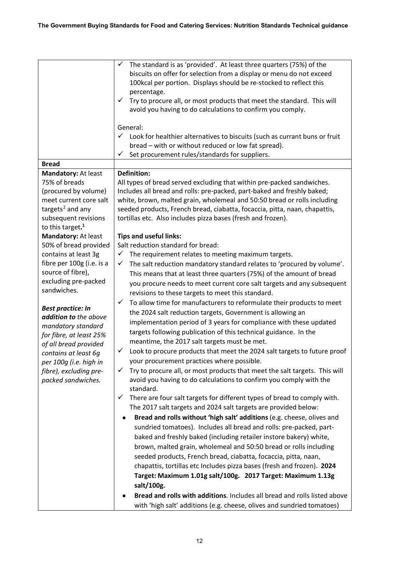<span id="page-11-1"></span><span id="page-11-0"></span>

|                                                     | The standard is as 'provided'. At least three quarters (75%) of the<br>✓<br>biscuits on offer for selection from a display or menu do not exceed |
|-----------------------------------------------------|--------------------------------------------------------------------------------------------------------------------------------------------------|
|                                                     | 100kcal per portion. Displays should be re-stocked to reflect this                                                                               |
|                                                     | percentage.                                                                                                                                      |
|                                                     | Try to procure all, or most products that meet the standard. This will<br>$\checkmark$                                                           |
|                                                     | avoid you having to do calculations to confirm you comply.                                                                                       |
|                                                     | General:                                                                                                                                         |
|                                                     | $\checkmark$ Look for healthier alternatives to biscuits (such as currant buns or fruit                                                          |
|                                                     | bread - with or without reduced or low fat spread).                                                                                              |
|                                                     | Set procurement rules/standards for suppliers.<br>✓                                                                                              |
| <b>Bread</b><br>Mandatory: At least                 | <b>Definition:</b>                                                                                                                               |
| 75% of breads                                       | All types of bread served excluding that within pre-packed sandwiches.                                                                           |
| (procured by volume)                                | Includes all bread and rolls: pre-packed, part-baked and freshly baked;                                                                          |
| meet current core salt                              | white, brown, malted grain, wholemeal and 50:50 bread or rolls including                                                                         |
| targets <sup>2</sup> and any                        | seeded products, French bread, ciabatta, focaccia, pitta, naan, chapattis,                                                                       |
| subsequent revisions                                | tortillas etc. Also includes pizza bases (fresh and frozen).                                                                                     |
| to this target. <sup>1</sup><br>Mandatory: At least | <b>Tips and useful links:</b>                                                                                                                    |
| 50% of bread provided                               | Salt reduction standard for bread:                                                                                                               |
| contains at least 3g                                | ✓<br>The requirement relates to meeting maximum targets.                                                                                         |
| fibre per 100g (i.e. is a                           | The salt reduction mandatory standard relates to 'procured by volume'.<br>✓                                                                      |
| source of fibre),                                   | This means that at least three quarters (75%) of the amount of bread                                                                             |
| excluding pre-packed<br>sandwiches.                 | you procure needs to meet current core salt targets and any subsequent                                                                           |
|                                                     | revisions to these targets to meet this standard.                                                                                                |
| <b>Best practice: In</b>                            | To allow time for manufacturers to reformulate their products to meet<br>✓                                                                       |
| addition to the above                               | the 2024 salt reduction targets, Government is allowing an                                                                                       |
| mandatory standard                                  | implementation period of 3 years for compliance with these updated<br>targets following publication of this technical guidance. In the           |
| for fibre, at least 25%                             | meantime, the 2017 salt targets must be met.                                                                                                     |
| of all bread provided<br>contains at least 6q       | Look to procure products that meet the 2024 salt targets to future proof<br>✓                                                                    |
| per 100g (i.e. high in                              | your procurement practices where possible.                                                                                                       |
| fibre), excluding pre-                              | Try to procure all, or most products that meet the salt targets. This will<br>✓                                                                  |
| packed sandwiches.                                  | avoid you having to do calculations to confirm you comply with the                                                                               |
|                                                     | standard.                                                                                                                                        |
|                                                     | There are four salt targets for different types of bread to comply with.<br>✓<br>The 2017 salt targets and 2024 salt targets are provided below: |
|                                                     | Bread and rolls without 'high salt' additions (e.g. cheese, olives and<br>٠                                                                      |
|                                                     | sundried tomatoes). Includes all bread and rolls: pre-packed, part-                                                                              |
|                                                     | baked and freshly baked (including retailer instore bakery) white,                                                                               |
|                                                     | brown, malted grain, wholemeal and 50:50 bread or rolls including                                                                                |
|                                                     | seeded products, French bread, ciabatta, focaccia, pitta, naan,                                                                                  |
|                                                     | chapattis, tortillas etc Includes pizza bases (fresh and frozen). 2024                                                                           |
|                                                     | Target: Maximum 1.01g salt/100g. 2017 Target: Maximum 1.13g                                                                                      |
|                                                     | salt/100g.                                                                                                                                       |
|                                                     | Bread and rolls with additions. Includes all bread and rolls listed above                                                                        |
|                                                     | with 'high salt' additions (e.g. cheese, olives and sundried tomatoes)                                                                           |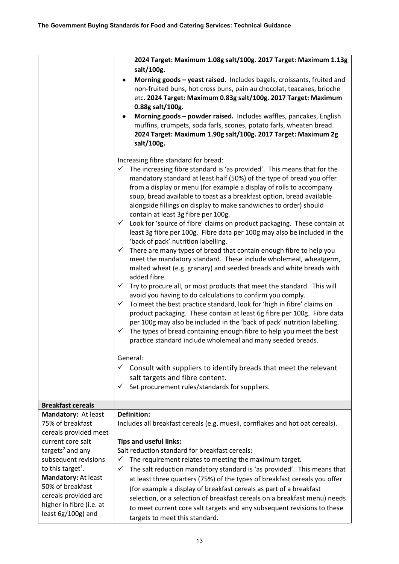|                                                                                            | 2024 Target: Maximum 1.08g salt/100g. 2017 Target: Maximum 1.13g                                                                                                                                                                                                                                                                                                                                                                                                                                                                                                                                                                                                                                                                                                                                                                                                                                                                                                                                                                                                                                                                                                                                                                                                                                                                                                                                                                                                                                                                                                                                                                                            |
|--------------------------------------------------------------------------------------------|-------------------------------------------------------------------------------------------------------------------------------------------------------------------------------------------------------------------------------------------------------------------------------------------------------------------------------------------------------------------------------------------------------------------------------------------------------------------------------------------------------------------------------------------------------------------------------------------------------------------------------------------------------------------------------------------------------------------------------------------------------------------------------------------------------------------------------------------------------------------------------------------------------------------------------------------------------------------------------------------------------------------------------------------------------------------------------------------------------------------------------------------------------------------------------------------------------------------------------------------------------------------------------------------------------------------------------------------------------------------------------------------------------------------------------------------------------------------------------------------------------------------------------------------------------------------------------------------------------------------------------------------------------------|
|                                                                                            | salt/100g.<br>Morning goods - yeast raised. Includes bagels, croissants, fruited and<br>٠<br>non-fruited buns, hot cross buns, pain au chocolat, teacakes, brioche<br>etc. 2024 Target: Maximum 0.83g salt/100g. 2017 Target: Maximum<br>0.88g salt/100g.<br>Morning goods - powder raised. Includes waffles, pancakes, English<br>٠<br>muffins, crumpets, soda farls, scones, potato farls, wheaten bread.<br>2024 Target: Maximum 1.90g salt/100g. 2017 Target: Maximum 2g<br>salt/100g.                                                                                                                                                                                                                                                                                                                                                                                                                                                                                                                                                                                                                                                                                                                                                                                                                                                                                                                                                                                                                                                                                                                                                                  |
|                                                                                            | Increasing fibre standard for bread:<br>The increasing fibre standard is 'as provided'. This means that for the<br>✓<br>mandatory standard at least half (50%) of the type of bread you offer<br>from a display or menu (for example a display of rolls to accompany<br>soup, bread available to toast as a breakfast option, bread available<br>alongside fillings on display to make sandwiches to order) should<br>contain at least 3g fibre per 100g.<br>Look for 'source of fibre' claims on product packaging. These contain at<br>$\checkmark$<br>least 3g fibre per 100g. Fibre data per 100g may also be included in the<br>'back of pack' nutrition labelling.<br>There are many types of bread that contain enough fibre to help you<br>$\checkmark$<br>meet the mandatory standard. These include wholemeal, wheatgerm,<br>malted wheat (e.g. granary) and seeded breads and white breads with<br>added fibre.<br>Try to procure all, or most products that meet the standard. This will<br>$\checkmark$<br>avoid you having to do calculations to confirm you comply.<br>To meet the best practice standard, look for 'high in fibre' claims on<br>✓<br>product packaging. These contain at least 6g fibre per 100g. Fibre data<br>per 100g may also be included in the 'back of pack' nutrition labelling.<br>The types of bread containing enough fibre to help you meet the best<br>✓<br>practice standard include wholemeal and many seeded breads.<br>General:<br>$\checkmark$ Consult with suppliers to identify breads that meet the relevant<br>salt targets and fibre content.<br>Set procurement rules/standards for suppliers.<br>✓ |
| <b>Breakfast cereals</b>                                                                   |                                                                                                                                                                                                                                                                                                                                                                                                                                                                                                                                                                                                                                                                                                                                                                                                                                                                                                                                                                                                                                                                                                                                                                                                                                                                                                                                                                                                                                                                                                                                                                                                                                                             |
| Mandatory: At least                                                                        | <b>Definition:</b>                                                                                                                                                                                                                                                                                                                                                                                                                                                                                                                                                                                                                                                                                                                                                                                                                                                                                                                                                                                                                                                                                                                                                                                                                                                                                                                                                                                                                                                                                                                                                                                                                                          |
| 75% of breakfast<br>cereals provided meet<br>current core salt                             | Includes all breakfast cereals (e.g. muesli, cornflakes and hot oat cereals).                                                                                                                                                                                                                                                                                                                                                                                                                                                                                                                                                                                                                                                                                                                                                                                                                                                                                                                                                                                                                                                                                                                                                                                                                                                                                                                                                                                                                                                                                                                                                                               |
| targets <sup>2</sup> and any                                                               | <b>Tips and useful links:</b><br>Salt reduction standard for breakfast cereals:                                                                                                                                                                                                                                                                                                                                                                                                                                                                                                                                                                                                                                                                                                                                                                                                                                                                                                                                                                                                                                                                                                                                                                                                                                                                                                                                                                                                                                                                                                                                                                             |
| subsequent revisions                                                                       | The requirement relates to meeting the maximum target.<br>✓                                                                                                                                                                                                                                                                                                                                                                                                                                                                                                                                                                                                                                                                                                                                                                                                                                                                                                                                                                                                                                                                                                                                                                                                                                                                                                                                                                                                                                                                                                                                                                                                 |
| to this target <sup>1</sup> .                                                              | The salt reduction mandatory standard is 'as provided'. This means that<br>✓                                                                                                                                                                                                                                                                                                                                                                                                                                                                                                                                                                                                                                                                                                                                                                                                                                                                                                                                                                                                                                                                                                                                                                                                                                                                                                                                                                                                                                                                                                                                                                                |
| Mandatory: At least                                                                        | at least three quarters (75%) of the types of breakfast cereals you offer                                                                                                                                                                                                                                                                                                                                                                                                                                                                                                                                                                                                                                                                                                                                                                                                                                                                                                                                                                                                                                                                                                                                                                                                                                                                                                                                                                                                                                                                                                                                                                                   |
| 50% of breakfast<br>cereals provided are<br>higher in fibre (i.e. at<br>least 6g/100g) and | (for example a display of breakfast cereals as part of a breakfast<br>selection, or a selection of breakfast cereals on a breakfast menu) needs<br>to meet current core salt targets and any subsequent revisions to these<br>targets to meet this standard.                                                                                                                                                                                                                                                                                                                                                                                                                                                                                                                                                                                                                                                                                                                                                                                                                                                                                                                                                                                                                                                                                                                                                                                                                                                                                                                                                                                                |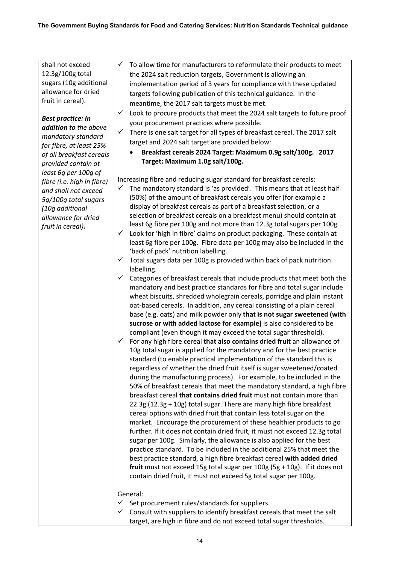| shall not exceed           | ✓<br>To allow time for manufacturers to reformulate their products to meet                                                                         |
|----------------------------|----------------------------------------------------------------------------------------------------------------------------------------------------|
| 12.3g/100g total           | the 2024 salt reduction targets, Government is allowing an                                                                                         |
| sugars (10g additional     | implementation period of 3 years for compliance with these updated                                                                                 |
| allowance for dried        | targets following publication of this technical guidance. In the                                                                                   |
| fruit in cereal).          | meantime, the 2017 salt targets must be met.                                                                                                       |
|                            |                                                                                                                                                    |
| <b>Best practice: In</b>   | Look to procure products that meet the 2024 salt targets to future proof<br>✓                                                                      |
| addition to the above      | your procurement practices where possible.                                                                                                         |
| mandatory standard         | ✓<br>There is one salt target for all types of breakfast cereal. The 2017 salt                                                                     |
| for fibre, at least 25%    | target and 2024 salt target are provided below:                                                                                                    |
| of all breakfast cereals   | Breakfast cereals 2024 Target: Maximum 0.9g salt/100g. 2017                                                                                        |
| provided contain at        | Target: Maximum 1.0g salt/100g.                                                                                                                    |
| least 6g per 100g of       |                                                                                                                                                    |
| fibre (i.e. high in fibre) | Increasing fibre and reducing sugar standard for breakfast cereals:                                                                                |
| and shall not exceed       | The mandatory standard is 'as provided'. This means that at least half<br>✓                                                                        |
| 5g/100g total sugars       | (50%) of the amount of breakfast cereals you offer (for example a                                                                                  |
| (10g additional            | display of breakfast cereals as part of a breakfast selection, or a                                                                                |
| allowance for dried        | selection of breakfast cereals on a breakfast menu) should contain at                                                                              |
| fruit in cereal).          | least 6g fibre per 100g and not more than 12.3g total sugars per 100g                                                                              |
|                            | Look for 'high in fibre' claims on product packaging. These contain at<br>✓                                                                        |
|                            | least 6g fibre per 100g. Fibre data per 100g may also be included in the                                                                           |
|                            | 'back of pack' nutrition labelling.                                                                                                                |
|                            | Total sugars data per 100g is provided within back of pack nutrition<br>✓                                                                          |
|                            | labelling.                                                                                                                                         |
|                            | Categories of breakfast cereals that include products that meet both the<br>✓                                                                      |
|                            | mandatory and best practice standards for fibre and total sugar include                                                                            |
|                            | wheat biscuits, shredded wholegrain cereals, porridge and plain instant                                                                            |
|                            | oat-based cereals. In addition, any cereal consisting of a plain cereal                                                                            |
|                            | base (e.g. oats) and milk powder only that is not sugar sweetened (with                                                                            |
|                            | sucrose or with added lactose for example) is also considered to be                                                                                |
|                            | compliant (even though it may exceed the total sugar threshold).                                                                                   |
|                            | For any high fibre cereal that also contains dried fruit an allowance of<br>✓                                                                      |
|                            | 10g total sugar is applied for the mandatory and for the best practice                                                                             |
|                            | standard (to enable practical implementation of the standard this is                                                                               |
|                            | regardless of whether the dried fruit itself is sugar sweetened/coated                                                                             |
|                            | during the manufacturing process). For example, to be included in the                                                                              |
|                            | 50% of breakfast cereals that meet the mandatory standard, a high fibre<br>breakfast cereal that contains dried fruit must not contain more than   |
|                            | 22.3g (12.3g + 10g) total sugar. There are many high fibre breakfast                                                                               |
|                            | cereal options with dried fruit that contain less total sugar on the                                                                               |
|                            |                                                                                                                                                    |
|                            | market. Encourage the procurement of these healthier products to go<br>further. If it does not contain dried fruit, it must not exceed 12.3g total |
|                            | sugar per 100g. Similarly, the allowance is also applied for the best                                                                              |
|                            | practice standard. To be included in the additional 25% that meet the                                                                              |
|                            | best practice standard, a high fibre breakfast cereal with added dried                                                                             |
|                            | fruit must not exceed 15g total sugar per $100g$ (5g + 10g). If it does not                                                                        |
|                            | contain dried fruit, it must not exceed 5g total sugar per 100g.                                                                                   |
|                            |                                                                                                                                                    |
|                            | General:                                                                                                                                           |
|                            | Set procurement rules/standards for suppliers.<br>✓                                                                                                |
|                            | Consult with suppliers to identify breakfast cereals that meet the salt<br>✓                                                                       |
|                            | target, are high in fibre and do not exceed total sugar thresholds.                                                                                |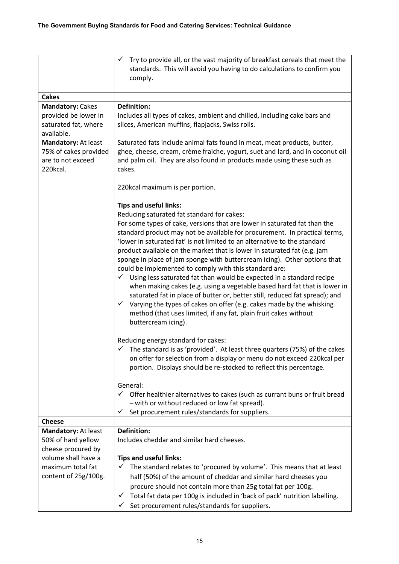|                                                                               | Try to provide all, or the vast majority of breakfast cereals that meet the<br>✓<br>standards. This will avoid you having to do calculations to confirm you<br>comply.                                                                                                                                                                                                                                                                                                                                                                                                                                                                                                                                                                                                                                                                                                                                                                                                                                                                                                                                                                                                                                                                                                         |
|-------------------------------------------------------------------------------|--------------------------------------------------------------------------------------------------------------------------------------------------------------------------------------------------------------------------------------------------------------------------------------------------------------------------------------------------------------------------------------------------------------------------------------------------------------------------------------------------------------------------------------------------------------------------------------------------------------------------------------------------------------------------------------------------------------------------------------------------------------------------------------------------------------------------------------------------------------------------------------------------------------------------------------------------------------------------------------------------------------------------------------------------------------------------------------------------------------------------------------------------------------------------------------------------------------------------------------------------------------------------------|
| <b>Cakes</b>                                                                  |                                                                                                                                                                                                                                                                                                                                                                                                                                                                                                                                                                                                                                                                                                                                                                                                                                                                                                                                                                                                                                                                                                                                                                                                                                                                                |
| <b>Mandatory: Cakes</b>                                                       | <b>Definition:</b>                                                                                                                                                                                                                                                                                                                                                                                                                                                                                                                                                                                                                                                                                                                                                                                                                                                                                                                                                                                                                                                                                                                                                                                                                                                             |
| provided be lower in<br>saturated fat, where<br>available.                    | Includes all types of cakes, ambient and chilled, including cake bars and<br>slices, American muffins, flapjacks, Swiss rolls.                                                                                                                                                                                                                                                                                                                                                                                                                                                                                                                                                                                                                                                                                                                                                                                                                                                                                                                                                                                                                                                                                                                                                 |
| Mandatory: At least<br>75% of cakes provided<br>are to not exceed<br>220kcal. | Saturated fats include animal fats found in meat, meat products, butter,<br>ghee, cheese, cream, crème fraiche, yogurt, suet and lard, and in coconut oil<br>and palm oil. They are also found in products made using these such as<br>cakes.                                                                                                                                                                                                                                                                                                                                                                                                                                                                                                                                                                                                                                                                                                                                                                                                                                                                                                                                                                                                                                  |
|                                                                               | 220kcal maximum is per portion.                                                                                                                                                                                                                                                                                                                                                                                                                                                                                                                                                                                                                                                                                                                                                                                                                                                                                                                                                                                                                                                                                                                                                                                                                                                |
|                                                                               | <b>Tips and useful links:</b><br>Reducing saturated fat standard for cakes:<br>For some types of cake, versions that are lower in saturated fat than the<br>standard product may not be available for procurement. In practical terms,<br>'lower in saturated fat' is not limited to an alternative to the standard<br>product available on the market that is lower in saturated fat (e.g. jam<br>sponge in place of jam sponge with buttercream icing). Other options that<br>could be implemented to comply with this standard are:<br>Using less saturated fat than would be expected in a standard recipe<br>$\checkmark$<br>when making cakes (e.g. using a vegetable based hard fat that is lower in<br>saturated fat in place of butter or, better still, reduced fat spread); and<br>Varying the types of cakes on offer (e.g. cakes made by the whisking<br>$\checkmark$<br>method (that uses limited, if any fat, plain fruit cakes without<br>buttercream icing).<br>Reducing energy standard for cakes:<br>The standard is as 'provided'. At least three quarters (75%) of the cakes<br>$\checkmark$<br>on offer for selection from a display or menu do not exceed 220kcal per<br>portion. Displays should be re-stocked to reflect this percentage.<br>General: |
|                                                                               | $\checkmark$ Offer healthier alternatives to cakes (such as currant buns or fruit bread<br>- with or without reduced or low fat spread).                                                                                                                                                                                                                                                                                                                                                                                                                                                                                                                                                                                                                                                                                                                                                                                                                                                                                                                                                                                                                                                                                                                                       |
|                                                                               | Set procurement rules/standards for suppliers.<br>✓                                                                                                                                                                                                                                                                                                                                                                                                                                                                                                                                                                                                                                                                                                                                                                                                                                                                                                                                                                                                                                                                                                                                                                                                                            |
| <b>Cheese</b>                                                                 | <b>Definition:</b>                                                                                                                                                                                                                                                                                                                                                                                                                                                                                                                                                                                                                                                                                                                                                                                                                                                                                                                                                                                                                                                                                                                                                                                                                                                             |
| Mandatory: At least<br>50% of hard yellow                                     | Includes cheddar and similar hard cheeses.                                                                                                                                                                                                                                                                                                                                                                                                                                                                                                                                                                                                                                                                                                                                                                                                                                                                                                                                                                                                                                                                                                                                                                                                                                     |
| cheese procured by                                                            |                                                                                                                                                                                                                                                                                                                                                                                                                                                                                                                                                                                                                                                                                                                                                                                                                                                                                                                                                                                                                                                                                                                                                                                                                                                                                |
| volume shall have a                                                           | <b>Tips and useful links:</b>                                                                                                                                                                                                                                                                                                                                                                                                                                                                                                                                                                                                                                                                                                                                                                                                                                                                                                                                                                                                                                                                                                                                                                                                                                                  |
| maximum total fat                                                             | The standard relates to 'procured by volume'. This means that at least                                                                                                                                                                                                                                                                                                                                                                                                                                                                                                                                                                                                                                                                                                                                                                                                                                                                                                                                                                                                                                                                                                                                                                                                         |
| content of 25g/100g.                                                          | half (50%) of the amount of cheddar and similar hard cheeses you                                                                                                                                                                                                                                                                                                                                                                                                                                                                                                                                                                                                                                                                                                                                                                                                                                                                                                                                                                                                                                                                                                                                                                                                               |
|                                                                               | procure should not contain more than 25g total fat per 100g.                                                                                                                                                                                                                                                                                                                                                                                                                                                                                                                                                                                                                                                                                                                                                                                                                                                                                                                                                                                                                                                                                                                                                                                                                   |
|                                                                               | Total fat data per 100g is included in 'back of pack' nutrition labelling.<br>✓                                                                                                                                                                                                                                                                                                                                                                                                                                                                                                                                                                                                                                                                                                                                                                                                                                                                                                                                                                                                                                                                                                                                                                                                |
|                                                                               | Set procurement rules/standards for suppliers.                                                                                                                                                                                                                                                                                                                                                                                                                                                                                                                                                                                                                                                                                                                                                                                                                                                                                                                                                                                                                                                                                                                                                                                                                                 |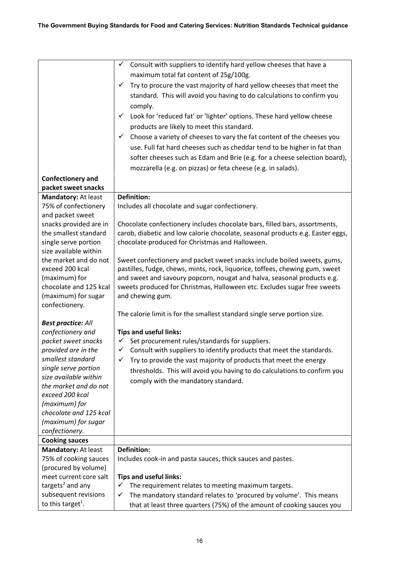|                                          | $\checkmark$ Consult with suppliers to identify hard yellow cheeses that have a        |
|------------------------------------------|----------------------------------------------------------------------------------------|
|                                          | maximum total fat content of 25g/100g.                                                 |
|                                          | Try to procure the vast majority of hard yellow cheeses that meet the<br>✓             |
|                                          | standard. This will avoid you having to do calculations to confirm you                 |
|                                          | comply.                                                                                |
|                                          | Look for 'reduced fat' or 'lighter' options. These hard yellow cheese<br>$\checkmark$  |
|                                          |                                                                                        |
|                                          | products are likely to meet this standard.                                             |
|                                          | Choose a variety of cheeses to vary the fat content of the cheeses you<br>$\checkmark$ |
|                                          | use. Full fat hard cheeses such as cheddar tend to be higher in fat than               |
|                                          | softer cheeses such as Edam and Brie (e.g. for a cheese selection board),              |
|                                          | mozzarella (e.g. on pizzas) or feta cheese (e.g. in salads).                           |
| <b>Confectionery and</b>                 |                                                                                        |
| packet sweet snacks                      |                                                                                        |
| Mandatory: At least                      | <b>Definition:</b>                                                                     |
| 75% of confectionery                     | Includes all chocolate and sugar confectionery.                                        |
| and packet sweet                         |                                                                                        |
| snacks provided are in                   | Chocolate confectionery includes chocolate bars, filled bars, assortments,             |
| the smallest standard                    | carob, diabetic and low calorie chocolate, seasonal products e.g. Easter eggs,         |
| single serve portion                     | chocolate produced for Christmas and Halloween.                                        |
| size available within                    |                                                                                        |
| the market and do not                    | Sweet confectionery and packet sweet snacks include boiled sweets, gums,               |
| exceed 200 kcal                          | pastilles, fudge, chews, mints, rock, liquorice, toffees, chewing gum, sweet           |
| (maximum) for                            | and sweet and savoury popcorn, nougat and halva, seasonal products e.g.                |
| chocolate and 125 kcal                   | sweets produced for Christmas, Halloween etc. Excludes sugar free sweets               |
| (maximum) for sugar                      | and chewing gum.                                                                       |
| confectionery.                           |                                                                                        |
|                                          | The calorie limit is for the smallest standard single serve portion size.              |
| <b>Best practice: All</b>                |                                                                                        |
| confectionery and                        | <b>Tips and useful links:</b>                                                          |
| packet sweet snacks                      | Set procurement rules/standards for suppliers.<br>$\checkmark$<br>$\checkmark$         |
| provided are in the<br>smallest standard | Consult with suppliers to identify products that meet the standards.                   |
| single serve portion                     | Try to provide the vast majority of products that meet the energy                      |
| size available within                    | thresholds. This will avoid you having to do calculations to confirm you               |
| the market and do not                    | comply with the mandatory standard.                                                    |
| exceed 200 kcal                          |                                                                                        |
| (maximum) for                            |                                                                                        |
| chocolate and 125 kcal                   |                                                                                        |
| (maximum) for sugar                      |                                                                                        |
| confectionery.                           |                                                                                        |
| <b>Cooking sauces</b>                    |                                                                                        |
| Mandatory: At least                      | <b>Definition:</b>                                                                     |
| 75% of cooking sauces                    | Includes cook-in and pasta sauces, thick sauces and pastes.                            |
| (procured by volume)                     |                                                                                        |
| meet current core salt                   | <b>Tips and useful links:</b>                                                          |
| targets <sup>2</sup> and any             | $\checkmark$<br>The requirement relates to meeting maximum targets.                    |
| subsequent revisions                     | The mandatory standard relates to 'procured by volume'. This means<br>✓                |
| to this target <sup>1</sup> .            | that at least three quarters (75%) of the amount of cooking sauces you                 |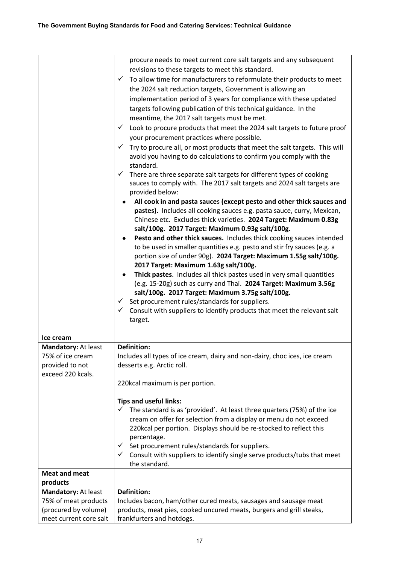|                        | procure needs to meet current core salt targets and any subsequent                        |
|------------------------|-------------------------------------------------------------------------------------------|
|                        |                                                                                           |
|                        | revisions to these targets to meet this standard.<br>$\checkmark$                         |
|                        | To allow time for manufacturers to reformulate their products to meet                     |
|                        | the 2024 salt reduction targets, Government is allowing an                                |
|                        | implementation period of 3 years for compliance with these updated                        |
|                        | targets following publication of this technical guidance. In the                          |
|                        | meantime, the 2017 salt targets must be met.                                              |
|                        | Look to procure products that meet the 2024 salt targets to future proof<br>$\checkmark$  |
|                        | your procurement practices where possible.                                                |
|                        | Try to procure all, or most products that meet the salt targets. This will                |
|                        | avoid you having to do calculations to confirm you comply with the<br>standard.           |
|                        | $\checkmark$ There are three separate salt targets for different types of cooking         |
|                        | sauces to comply with. The 2017 salt targets and 2024 salt targets are<br>provided below: |
|                        | All cook in and pasta sauces (except pesto and other thick sauces and                     |
|                        | pastes). Includes all cooking sauces e.g. pasta sauce, curry, Mexican,                    |
|                        | Chinese etc. Excludes thick varieties. 2024 Target: Maximum 0.83g                         |
|                        | salt/100g. 2017 Target: Maximum 0.93g salt/100g.                                          |
|                        | Pesto and other thick sauces. Includes thick cooking sauces intended                      |
|                        | to be used in smaller quantities e.g. pesto and stir fry sauces (e.g. a                   |
|                        | portion size of under 90g). 2024 Target: Maximum 1.55g salt/100g.                         |
|                        | 2017 Target: Maximum 1.63g salt/100g.                                                     |
|                        | Thick pastes. Includes all thick pastes used in very small quantities                     |
|                        | (e.g. 15-20g) such as curry and Thai. 2024 Target: Maximum 3.56g                          |
|                        | salt/100g. 2017 Target: Maximum 3.75g salt/100g.                                          |
|                        | $\checkmark$ Set procurement rules/standards for suppliers.                               |
|                        | $\checkmark$ Consult with suppliers to identify products that meet the relevant salt      |
|                        | target.                                                                                   |
|                        |                                                                                           |
| Ice cream              |                                                                                           |
| Mandatory: At least    | <b>Definition:</b>                                                                        |
| 75% of ice cream       | Includes all types of ice cream, dairy and non-dairy, choc ices, ice cream                |
| provided to not        | desserts e.g. Arctic roll.                                                                |
| exceed 220 kcals.      |                                                                                           |
|                        | 220kcal maximum is per portion.                                                           |
|                        | <b>Tips and useful links:</b>                                                             |
|                        | The standard is as 'provided'. At least three quarters (75%) of the ice<br>✓              |
|                        | cream on offer for selection from a display or menu do not exceed                         |
|                        | 220kcal per portion. Displays should be re-stocked to reflect this                        |
|                        | percentage.                                                                               |
|                        | Set procurement rules/standards for suppliers.<br>$\checkmark$                            |
|                        | Consult with suppliers to identify single serve products/tubs that meet<br>$\checkmark$   |
|                        | the standard.                                                                             |
| <b>Meat and meat</b>   |                                                                                           |
| products               |                                                                                           |
| Mandatory: At least    | <b>Definition:</b>                                                                        |
| 75% of meat products   | Includes bacon, ham/other cured meats, sausages and sausage meat                          |
| (procured by volume)   | products, meat pies, cooked uncured meats, burgers and grill steaks,                      |
| meet current core salt | frankfurters and hotdogs.                                                                 |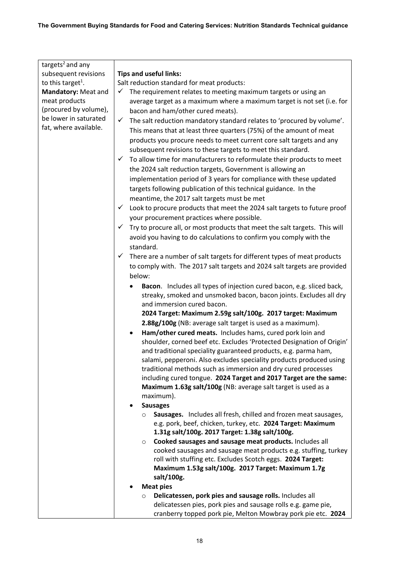| targets <sup>2</sup> and any  |                                                                                                                  |
|-------------------------------|------------------------------------------------------------------------------------------------------------------|
| subsequent revisions          | <b>Tips and useful links:</b>                                                                                    |
| to this target <sup>1</sup> . | Salt reduction standard for meat products:                                                                       |
| Mandatory: Meat and           | The requirement relates to meeting maximum targets or using an<br>✓                                              |
| meat products                 | average target as a maximum where a maximum target is not set (i.e. for                                          |
| (procured by volume),         | bacon and ham/other cured meats).                                                                                |
| be lower in saturated         | The salt reduction mandatory standard relates to 'procured by volume'.<br>✓                                      |
| fat, where available.         | This means that at least three quarters (75%) of the amount of meat                                              |
|                               | products you procure needs to meet current core salt targets and any                                             |
|                               | subsequent revisions to these targets to meet this standard.                                                     |
|                               | To allow time for manufacturers to reformulate their products to meet<br>✓                                       |
|                               | the 2024 salt reduction targets, Government is allowing an                                                       |
|                               | implementation period of 3 years for compliance with these updated                                               |
|                               | targets following publication of this technical guidance. In the                                                 |
|                               | meantime, the 2017 salt targets must be met                                                                      |
|                               | Look to procure products that meet the 2024 salt targets to future proof<br>$\checkmark$                         |
|                               | your procurement practices where possible.                                                                       |
|                               | Try to procure all, or most products that meet the salt targets. This will<br>✓                                  |
|                               |                                                                                                                  |
|                               | avoid you having to do calculations to confirm you comply with the<br>standard.                                  |
|                               | There are a number of salt targets for different types of meat products<br>✓                                     |
|                               | to comply with. The 2017 salt targets and 2024 salt targets are provided                                         |
|                               | below:                                                                                                           |
|                               |                                                                                                                  |
|                               | Bacon. Includes all types of injection cured bacon, e.g. sliced back,<br>٠                                       |
|                               | streaky, smoked and unsmoked bacon, bacon joints. Excludes all dry<br>and immersion cured bacon.                 |
|                               | 2024 Target: Maximum 2.59g salt/100g. 2017 target: Maximum                                                       |
|                               | 2.88g/100g (NB: average salt target is used as a maximum).                                                       |
|                               | Ham/other cured meats. Includes hams, cured pork loin and<br>٠                                                   |
|                               | shoulder, corned beef etc. Excludes 'Protected Designation of Origin'                                            |
|                               | and traditional speciality guaranteed products, e.g. parma ham,                                                  |
|                               | salami, pepperoni. Also excludes speciality products produced using                                              |
|                               | traditional methods such as immersion and dry cured processes                                                    |
|                               | including cured tongue. 2024 Target and 2017 Target are the same:                                                |
|                               | Maximum 1.63g salt/100g (NB: average salt target is used as a                                                    |
|                               | maximum).                                                                                                        |
|                               | <b>Sausages</b>                                                                                                  |
|                               | Sausages. Includes all fresh, chilled and frozen meat sausages,<br>$\circ$                                       |
|                               | e.g. pork, beef, chicken, turkey, etc. 2024 Target: Maximum                                                      |
|                               | 1.31g salt/100g. 2017 Target: 1.38g salt/100g.                                                                   |
|                               | Cooked sausages and sausage meat products. Includes all<br>$\circ$                                               |
|                               | cooked sausages and sausage meat products e.g. stuffing, turkey                                                  |
|                               | roll with stuffing etc. Excludes Scotch eggs. 2024 Target:<br>Maximum 1.53g salt/100g. 2017 Target: Maximum 1.7g |
|                               | salt/100g.                                                                                                       |
|                               | <b>Meat pies</b>                                                                                                 |
|                               | Delicatessen, pork pies and sausage rolls. Includes all<br>$\circ$                                               |
|                               | delicatessen pies, pork pies and sausage rolls e.g. game pie,                                                    |
|                               | cranberry topped pork pie, Melton Mowbray pork pie etc. 2024                                                     |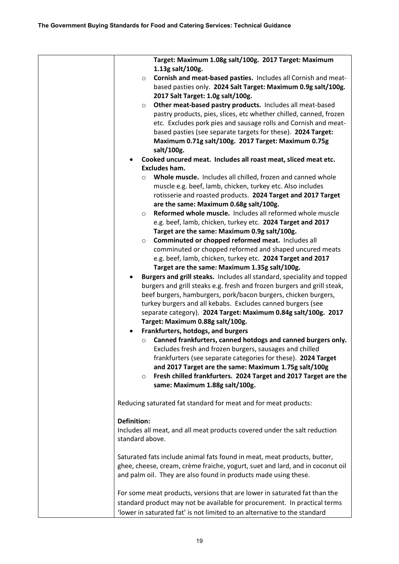| Target: Maximum 1.08g salt/100g. 2017 Target: Maximum                         |
|-------------------------------------------------------------------------------|
| 1.13g salt/100g.                                                              |
| Cornish and meat-based pasties. Includes all Cornish and meat-<br>$\circ$     |
| based pasties only. 2024 Salt Target: Maximum 0.9g salt/100g.                 |
| 2017 Salt Target: 1.0g salt/100g.                                             |
| Other meat-based pastry products. Includes all meat-based<br>$\circ$          |
| pastry products, pies, slices, etc whether chilled, canned, frozen            |
| etc. Excludes pork pies and sausage rolls and Cornish and meat-               |
|                                                                               |
| based pasties (see separate targets for these). 2024 Target:                  |
| Maximum 0.71g salt/100g. 2017 Target: Maximum 0.75g                           |
| salt/100g.                                                                    |
| Cooked uncured meat. Includes all roast meat, sliced meat etc.                |
| <b>Excludes ham.</b>                                                          |
| Whole muscle. Includes all chilled, frozen and canned whole<br>$\circ$        |
| muscle e.g. beef, lamb, chicken, turkey etc. Also includes                    |
| rotisserie and roasted products. 2024 Target and 2017 Target                  |
| are the same: Maximum 0.68g salt/100g.                                        |
| Reformed whole muscle. Includes all reformed whole muscle<br>$\circ$          |
|                                                                               |
| e.g. beef, lamb, chicken, turkey etc. 2024 Target and 2017                    |
| Target are the same: Maximum 0.9g salt/100g.                                  |
| Comminuted or chopped reformed meat. Includes all<br>$\circ$                  |
| comminuted or chopped reformed and shaped uncured meats                       |
| e.g. beef, lamb, chicken, turkey etc. 2024 Target and 2017                    |
| Target are the same: Maximum 1.35g salt/100g.                                 |
| Burgers and grill steaks. Includes all standard, speciality and topped        |
| burgers and grill steaks e.g. fresh and frozen burgers and grill steak,       |
| beef burgers, hamburgers, pork/bacon burgers, chicken burgers,                |
| turkey burgers and all kebabs. Excludes canned burgers (see                   |
|                                                                               |
| separate category). 2024 Target: Maximum 0.84g salt/100g. 2017                |
| Target: Maximum 0.88g salt/100g.                                              |
| Frankfurters, hotdogs, and burgers                                            |
| Canned frankfurters, canned hotdogs and canned burgers only.<br>$\circ$       |
| Excludes fresh and frozen burgers, sausages and chilled                       |
| frankfurters (see separate categories for these). 2024 Target                 |
| and 2017 Target are the same: Maximum 1.75g salt/100g                         |
| Fresh chilled frankfurters. 2024 Target and 2017 Target are the<br>$\circ$    |
|                                                                               |
| same: Maximum 1.88g salt/100g.                                                |
|                                                                               |
| Reducing saturated fat standard for meat and for meat products:               |
|                                                                               |
| <b>Definition:</b>                                                            |
| Includes all meat, and all meat products covered under the salt reduction     |
| standard above.                                                               |
|                                                                               |
| Saturated fats include animal fats found in meat, meat products, butter,      |
| ghee, cheese, cream, crème fraiche, yogurt, suet and lard, and in coconut oil |
| and palm oil. They are also found in products made using these.               |
|                                                                               |
|                                                                               |
| For some meat products, versions that are lower in saturated fat than the     |
| standard product may not be available for procurement. In practical terms     |
| 'lower in saturated fat' is not limited to an alternative to the standard     |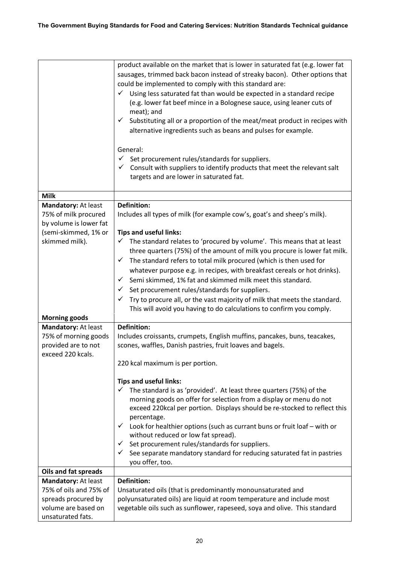|                                                                                                                 | product available on the market that is lower in saturated fat (e.g. lower fat<br>sausages, trimmed back bacon instead of streaky bacon). Other options that<br>could be implemented to comply with this standard are:<br>Using less saturated fat than would be expected in a standard recipe<br>✓<br>(e.g. lower fat beef mince in a Bolognese sauce, using leaner cuts of<br>meat); and<br>Substituting all or a proportion of the meat/meat product in recipes with<br>✓<br>alternative ingredients such as beans and pulses for example.<br>General:<br>Set procurement rules/standards for suppliers.<br>✓<br>Consult with suppliers to identify products that meet the relevant salt<br>✓<br>targets and are lower in saturated fat.      |
|-----------------------------------------------------------------------------------------------------------------|--------------------------------------------------------------------------------------------------------------------------------------------------------------------------------------------------------------------------------------------------------------------------------------------------------------------------------------------------------------------------------------------------------------------------------------------------------------------------------------------------------------------------------------------------------------------------------------------------------------------------------------------------------------------------------------------------------------------------------------------------|
| <b>Milk</b>                                                                                                     |                                                                                                                                                                                                                                                                                                                                                                                                                                                                                                                                                                                                                                                                                                                                                  |
| Mandatory: At least<br>75% of milk procured<br>by volume is lower fat<br>(semi-skimmed, 1% or<br>skimmed milk). | <b>Definition:</b><br>Includes all types of milk (for example cow's, goat's and sheep's milk).<br><b>Tips and useful links:</b><br>$\checkmark$ The standard relates to 'procured by volume'. This means that at least<br>three quarters (75%) of the amount of milk you procure is lower fat milk.<br>The standard refers to total milk procured (which is then used for<br>✓<br>whatever purpose e.g. in recipes, with breakfast cereals or hot drinks).<br>Semi skimmed, 1% fat and skimmed milk meet this standard.<br>✓<br>$\checkmark$ Set procurement rules/standards for suppliers.<br>Try to procure all, or the vast majority of milk that meets the standard.<br>This will avoid you having to do calculations to confirm you comply. |
| <b>Morning goods</b>                                                                                            |                                                                                                                                                                                                                                                                                                                                                                                                                                                                                                                                                                                                                                                                                                                                                  |
| Mandatory: At least<br>75% of morning goods<br>provided are to not<br>exceed 220 kcals.                         | <b>Definition:</b><br>Includes croissants, crumpets, English muffins, pancakes, buns, teacakes,<br>scones, waffles, Danish pastries, fruit loaves and bagels.<br>220 kcal maximum is per portion.<br><b>Tips and useful links:</b><br>The standard is as 'provided'. At least three quarters (75%) of the<br>$\checkmark$<br>morning goods on offer for selection from a display or menu do not                                                                                                                                                                                                                                                                                                                                                  |
|                                                                                                                 | exceed 220kcal per portion. Displays should be re-stocked to reflect this<br>percentage.<br>$\checkmark$ Look for healthier options (such as currant buns or fruit loaf – with or<br>without reduced or low fat spread).<br>Set procurement rules/standards for suppliers.<br>✓<br>See separate mandatory standard for reducing saturated fat in pastries<br>you offer, too.                                                                                                                                                                                                                                                                                                                                                                     |
| <b>Oils and fat spreads</b>                                                                                     |                                                                                                                                                                                                                                                                                                                                                                                                                                                                                                                                                                                                                                                                                                                                                  |
| Mandatory: At least                                                                                             | <b>Definition:</b>                                                                                                                                                                                                                                                                                                                                                                                                                                                                                                                                                                                                                                                                                                                               |
| 75% of oils and 75% of<br>spreads procured by<br>volume are based on<br>unsaturated fats.                       | Unsaturated oils (that is predominantly monounsaturated and<br>polyunsaturated oils) are liquid at room temperature and include most<br>vegetable oils such as sunflower, rapeseed, soya and olive. This standard                                                                                                                                                                                                                                                                                                                                                                                                                                                                                                                                |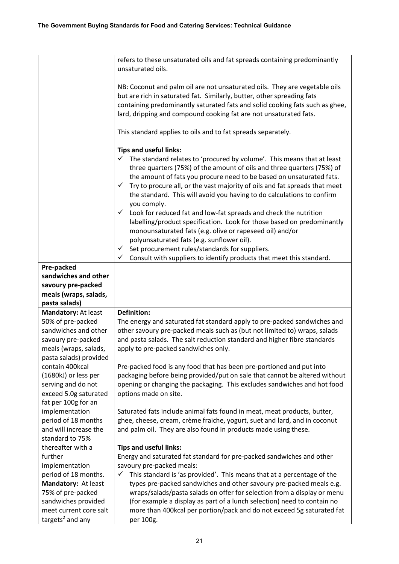|                                                                                                                  | refers to these unsaturated oils and fat spreads containing predominantly<br>unsaturated oils.                                                                                                                                                                                                                                                                                                                                                                                                                                                                                                                                                                                                                                                                                                                                                         |
|------------------------------------------------------------------------------------------------------------------|--------------------------------------------------------------------------------------------------------------------------------------------------------------------------------------------------------------------------------------------------------------------------------------------------------------------------------------------------------------------------------------------------------------------------------------------------------------------------------------------------------------------------------------------------------------------------------------------------------------------------------------------------------------------------------------------------------------------------------------------------------------------------------------------------------------------------------------------------------|
|                                                                                                                  | NB: Coconut and palm oil are not unsaturated oils. They are vegetable oils<br>but are rich in saturated fat. Similarly, butter, other spreading fats<br>containing predominantly saturated fats and solid cooking fats such as ghee,<br>lard, dripping and compound cooking fat are not unsaturated fats.                                                                                                                                                                                                                                                                                                                                                                                                                                                                                                                                              |
|                                                                                                                  | This standard applies to oils and to fat spreads separately.                                                                                                                                                                                                                                                                                                                                                                                                                                                                                                                                                                                                                                                                                                                                                                                           |
|                                                                                                                  | <b>Tips and useful links:</b><br>The standard relates to 'procured by volume'. This means that at least<br>✓<br>three quarters (75%) of the amount of oils and three quarters (75%) of<br>the amount of fats you procure need to be based on unsaturated fats.<br>Try to procure all, or the vast majority of oils and fat spreads that meet<br>$\checkmark$<br>the standard. This will avoid you having to do calculations to confirm<br>you comply.<br>Look for reduced fat and low-fat spreads and check the nutrition<br>✓<br>labelling/product specification. Look for those based on predominantly<br>monounsaturated fats (e.g. olive or rapeseed oil) and/or<br>polyunsaturated fats (e.g. sunflower oil).<br>Set procurement rules/standards for suppliers.<br>✓<br>Consult with suppliers to identify products that meet this standard.<br>✓ |
| Pre-packed<br>sandwiches and other                                                                               |                                                                                                                                                                                                                                                                                                                                                                                                                                                                                                                                                                                                                                                                                                                                                                                                                                                        |
| savoury pre-packed                                                                                               |                                                                                                                                                                                                                                                                                                                                                                                                                                                                                                                                                                                                                                                                                                                                                                                                                                                        |
| meals (wraps, salads,                                                                                            |                                                                                                                                                                                                                                                                                                                                                                                                                                                                                                                                                                                                                                                                                                                                                                                                                                                        |
| pasta salads)                                                                                                    |                                                                                                                                                                                                                                                                                                                                                                                                                                                                                                                                                                                                                                                                                                                                                                                                                                                        |
| Mandatory: At least                                                                                              | <b>Definition:</b>                                                                                                                                                                                                                                                                                                                                                                                                                                                                                                                                                                                                                                                                                                                                                                                                                                     |
| 50% of pre-packed<br>sandwiches and other<br>savoury pre-packed<br>meals (wraps, salads,                         | The energy and saturated fat standard apply to pre-packed sandwiches and<br>other savoury pre-packed meals such as (but not limited to) wraps, salads<br>and pasta salads. The salt reduction standard and higher fibre standards<br>apply to pre-packed sandwiches only.                                                                                                                                                                                                                                                                                                                                                                                                                                                                                                                                                                              |
| pasta salads) provided<br>contain 400kcal<br>(1680kJ) or less per<br>serving and do not<br>exceed 5.0g saturated | Pre-packed food is any food that has been pre-portioned and put into<br>packaging before being provided/put on sale that cannot be altered without<br>opening or changing the packaging. This excludes sandwiches and hot food<br>options made on site.                                                                                                                                                                                                                                                                                                                                                                                                                                                                                                                                                                                                |
| fat per 100g for an<br>implementation<br>period of 18 months<br>and will increase the<br>standard to 75%         | Saturated fats include animal fats found in meat, meat products, butter,<br>ghee, cheese, cream, crème fraiche, yogurt, suet and lard, and in coconut<br>and palm oil. They are also found in products made using these.                                                                                                                                                                                                                                                                                                                                                                                                                                                                                                                                                                                                                               |
| thereafter with a                                                                                                | <b>Tips and useful links:</b>                                                                                                                                                                                                                                                                                                                                                                                                                                                                                                                                                                                                                                                                                                                                                                                                                          |
| further<br>implementation                                                                                        | Energy and saturated fat standard for pre-packed sandwiches and other<br>savoury pre-packed meals:                                                                                                                                                                                                                                                                                                                                                                                                                                                                                                                                                                                                                                                                                                                                                     |
| period of 18 months.                                                                                             | This standard is 'as provided'. This means that at a percentage of the<br>✓                                                                                                                                                                                                                                                                                                                                                                                                                                                                                                                                                                                                                                                                                                                                                                            |
| Mandatory: At least                                                                                              | types pre-packed sandwiches and other savoury pre-packed meals e.g.                                                                                                                                                                                                                                                                                                                                                                                                                                                                                                                                                                                                                                                                                                                                                                                    |
| 75% of pre-packed                                                                                                | wraps/salads/pasta salads on offer for selection from a display or menu                                                                                                                                                                                                                                                                                                                                                                                                                                                                                                                                                                                                                                                                                                                                                                                |
| sandwiches provided                                                                                              | (for example a display as part of a lunch selection) need to contain no                                                                                                                                                                                                                                                                                                                                                                                                                                                                                                                                                                                                                                                                                                                                                                                |
| meet current core salt                                                                                           | more than 400kcal per portion/pack and do not exceed 5g saturated fat                                                                                                                                                                                                                                                                                                                                                                                                                                                                                                                                                                                                                                                                                                                                                                                  |
| targets <sup>2</sup> and any                                                                                     | per 100g.                                                                                                                                                                                                                                                                                                                                                                                                                                                                                                                                                                                                                                                                                                                                                                                                                                              |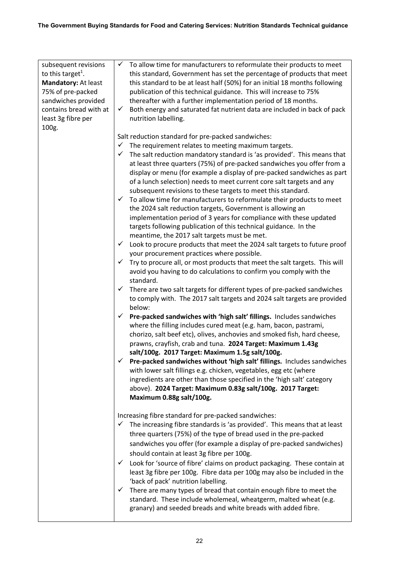| subsequent revisions          | $\checkmark$ To allow time for manufacturers to reformulate their products to meet       |
|-------------------------------|------------------------------------------------------------------------------------------|
|                               |                                                                                          |
| to this target <sup>1</sup> . | this standard, Government has set the percentage of products that meet                   |
| Mandatory: At least           | this standard to be at least half (50%) for an initial 18 months following               |
| 75% of pre-packed             | publication of this technical guidance. This will increase to 75%                        |
| sandwiches provided           | thereafter with a further implementation period of 18 months.                            |
| contains bread with at        | Both energy and saturated fat nutrient data are included in back of pack<br>$\checkmark$ |
| least 3g fibre per            | nutrition labelling.                                                                     |
| 100g.                         |                                                                                          |
|                               | Salt reduction standard for pre-packed sandwiches:                                       |
|                               | $\checkmark$ The requirement relates to meeting maximum targets.                         |
|                               | $\checkmark$<br>The salt reduction mandatory standard is 'as provided'. This means that  |
|                               | at least three quarters (75%) of pre-packed sandwiches you offer from a                  |
|                               | display or menu (for example a display of pre-packed sandwiches as part                  |
|                               | of a lunch selection) needs to meet current core salt targets and any                    |
|                               | subsequent revisions to these targets to meet this standard.                             |
|                               | $\checkmark$                                                                             |
|                               | To allow time for manufacturers to reformulate their products to meet                    |
|                               | the 2024 salt reduction targets, Government is allowing an                               |
|                               | implementation period of 3 years for compliance with these updated                       |
|                               | targets following publication of this technical guidance. In the                         |
|                               | meantime, the 2017 salt targets must be met.                                             |
|                               | $\checkmark$ Look to procure products that meet the 2024 salt targets to future proof    |
|                               | your procurement practices where possible.                                               |
|                               | Try to procure all, or most products that meet the salt targets. This will<br>✓          |
|                               | avoid you having to do calculations to confirm you comply with the                       |
|                               | standard.                                                                                |
|                               | $\checkmark$ There are two salt targets for different types of pre-packed sandwiches     |
|                               | to comply with. The 2017 salt targets and 2024 salt targets are provided                 |
|                               | below:                                                                                   |
|                               | Pre-packed sandwiches with 'high salt' fillings. Includes sandwiches<br>✓                |
|                               | where the filling includes cured meat (e.g. ham, bacon, pastrami,                        |
|                               | chorizo, salt beef etc), olives, anchovies and smoked fish, hard cheese,                 |
|                               | prawns, crayfish, crab and tuna. 2024 Target: Maximum 1.43g                              |
|                               | salt/100g. 2017 Target: Maximum 1.5g salt/100g.                                          |
|                               | Pre-packed sandwiches without 'high salt' fillings. Includes sandwiches                  |
|                               | with lower salt fillings e.g. chicken, vegetables, egg etc (where                        |
|                               | ingredients are other than those specified in the 'high salt' category                   |
|                               | above). 2024 Target: Maximum 0.83g salt/100g. 2017 Target:                               |
|                               | Maximum 0.88g salt/100g.                                                                 |
|                               |                                                                                          |
|                               | Increasing fibre standard for pre-packed sandwiches:                                     |
|                               | The increasing fibre standards is 'as provided'. This means that at least<br>✓           |
|                               | three quarters (75%) of the type of bread used in the pre-packed                         |
|                               |                                                                                          |
|                               | sandwiches you offer (for example a display of pre-packed sandwiches)                    |
|                               | should contain at least 3g fibre per 100g.                                               |
|                               | Look for 'source of fibre' claims on product packaging. These contain at<br>$\checkmark$ |
|                               | least 3g fibre per 100g. Fibre data per 100g may also be included in the                 |
|                               | 'back of pack' nutrition labelling.                                                      |
|                               | There are many types of bread that contain enough fibre to meet the<br>✓                 |
|                               | standard. These include wholemeal, wheatgerm, malted wheat (e.g.                         |
|                               | granary) and seeded breads and white breads with added fibre.                            |
|                               |                                                                                          |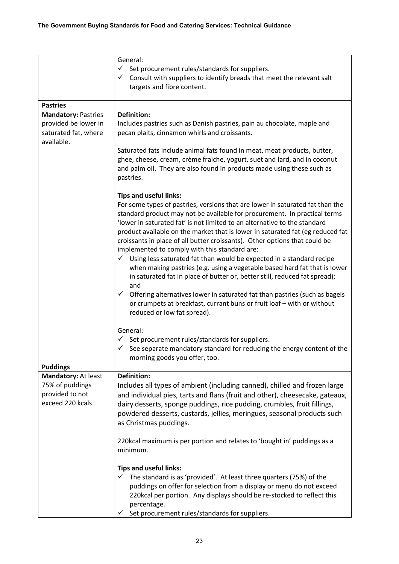|                                                                                          | General:<br>$\checkmark$<br>Set procurement rules/standards for suppliers.<br>Consult with suppliers to identify breads that meet the relevant salt<br>✓                                                                                                                                                                                                                                                                                                                                                                                                                                                                                                                                                                                                                                                                                                                                                                                                     |
|------------------------------------------------------------------------------------------|--------------------------------------------------------------------------------------------------------------------------------------------------------------------------------------------------------------------------------------------------------------------------------------------------------------------------------------------------------------------------------------------------------------------------------------------------------------------------------------------------------------------------------------------------------------------------------------------------------------------------------------------------------------------------------------------------------------------------------------------------------------------------------------------------------------------------------------------------------------------------------------------------------------------------------------------------------------|
|                                                                                          | targets and fibre content.                                                                                                                                                                                                                                                                                                                                                                                                                                                                                                                                                                                                                                                                                                                                                                                                                                                                                                                                   |
| <b>Pastries</b>                                                                          |                                                                                                                                                                                                                                                                                                                                                                                                                                                                                                                                                                                                                                                                                                                                                                                                                                                                                                                                                              |
| <b>Mandatory: Pastries</b><br>provided be lower in<br>saturated fat, where<br>available. | <b>Definition:</b><br>Includes pastries such as Danish pastries, pain au chocolate, maple and<br>pecan plaits, cinnamon whirls and croissants.<br>Saturated fats include animal fats found in meat, meat products, butter,<br>ghee, cheese, cream, crème fraiche, yogurt, suet and lard, and in coconut<br>and palm oil. They are also found in products made using these such as                                                                                                                                                                                                                                                                                                                                                                                                                                                                                                                                                                            |
|                                                                                          | pastries.<br><b>Tips and useful links:</b><br>For some types of pastries, versions that are lower in saturated fat than the<br>standard product may not be available for procurement. In practical terms<br>'lower in saturated fat' is not limited to an alternative to the standard<br>product available on the market that is lower in saturated fat (eg reduced fat<br>croissants in place of all butter croissants). Other options that could be<br>implemented to comply with this standard are:<br>Using less saturated fat than would be expected in a standard recipe<br>✓<br>when making pastries (e.g. using a vegetable based hard fat that is lower<br>in saturated fat in place of butter or, better still, reduced fat spread);<br>and<br>Offering alternatives lower in saturated fat than pastries (such as bagels<br>$\checkmark$<br>or crumpets at breakfast, currant buns or fruit loaf - with or without<br>reduced or low fat spread). |
| <b>Puddings</b>                                                                          | General:<br>Set procurement rules/standards for suppliers.<br>See separate mandatory standard for reducing the energy content of the<br>morning goods you offer, too.                                                                                                                                                                                                                                                                                                                                                                                                                                                                                                                                                                                                                                                                                                                                                                                        |
| Mandatory: At least<br>75% of puddings<br>provided to not<br>exceed 220 kcals.           | <b>Definition:</b><br>Includes all types of ambient (including canned), chilled and frozen large<br>and individual pies, tarts and flans (fruit and other), cheesecake, gateaux,<br>dairy desserts, sponge puddings, rice pudding, crumbles, fruit fillings,<br>powdered desserts, custards, jellies, meringues, seasonal products such<br>as Christmas puddings.<br>220kcal maximum is per portion and relates to 'bought in' puddings as a                                                                                                                                                                                                                                                                                                                                                                                                                                                                                                                 |
|                                                                                          | minimum.<br><b>Tips and useful links:</b><br>The standard is as 'provided'. At least three quarters (75%) of the<br>puddings on offer for selection from a display or menu do not exceed<br>220kcal per portion. Any displays should be re-stocked to reflect this<br>percentage.<br>Set procurement rules/standards for suppliers.                                                                                                                                                                                                                                                                                                                                                                                                                                                                                                                                                                                                                          |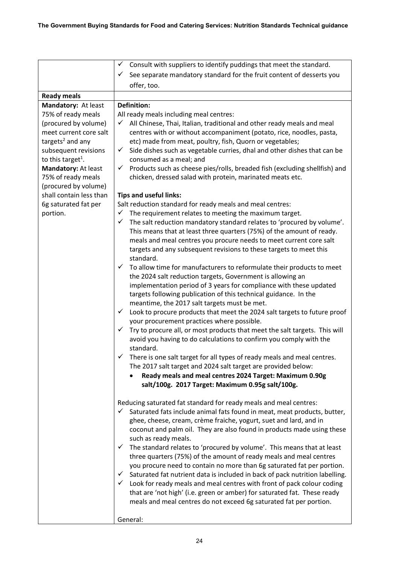|                               | Consult with suppliers to identify puddings that meet the standard.<br>✓                                                                     |
|-------------------------------|----------------------------------------------------------------------------------------------------------------------------------------------|
|                               | See separate mandatory standard for the fruit content of desserts you<br>✓                                                                   |
|                               | offer, too.                                                                                                                                  |
| <b>Ready meals</b>            |                                                                                                                                              |
| Mandatory: At least           | <b>Definition:</b>                                                                                                                           |
| 75% of ready meals            | All ready meals including meal centres:                                                                                                      |
| (procured by volume)          | All Chinese, Thai, Italian, traditional and other ready meals and meal<br>✓                                                                  |
| meet current core salt        | centres with or without accompaniment (potato, rice, noodles, pasta,                                                                         |
| targets <sup>2</sup> and any  | etc) made from meat, poultry, fish, Quorn or vegetables;                                                                                     |
| subsequent revisions          | Side dishes such as vegetable curries, dhal and other dishes that can be<br>✓                                                                |
| to this target <sup>1</sup> . | consumed as a meal; and                                                                                                                      |
| Mandatory: At least           | Products such as cheese pies/rolls, breaded fish (excluding shellfish) and<br>✓                                                              |
| 75% of ready meals            | chicken, dressed salad with protein, marinated meats etc.                                                                                    |
| (procured by volume)          |                                                                                                                                              |
| shall contain less than       | <b>Tips and useful links:</b>                                                                                                                |
| 6g saturated fat per          | Salt reduction standard for ready meals and meal centres:                                                                                    |
| portion.                      | The requirement relates to meeting the maximum target.<br>✓                                                                                  |
|                               | The salt reduction mandatory standard relates to 'procured by volume'.<br>✓                                                                  |
|                               | This means that at least three quarters (75%) of the amount of ready.                                                                        |
|                               | meals and meal centres you procure needs to meet current core salt                                                                           |
|                               | targets and any subsequent revisions to these targets to meet this                                                                           |
|                               | standard.                                                                                                                                    |
|                               | To allow time for manufacturers to reformulate their products to meet                                                                        |
|                               | the 2024 salt reduction targets, Government is allowing an                                                                                   |
|                               | implementation period of 3 years for compliance with these updated                                                                           |
|                               | targets following publication of this technical guidance. In the                                                                             |
|                               | meantime, the 2017 salt targets must be met.<br>✓                                                                                            |
|                               | Look to procure products that meet the 2024 salt targets to future proof                                                                     |
|                               | your procurement practices where possible.<br>$\checkmark$<br>Try to procure all, or most products that meet the salt targets. This will     |
|                               | avoid you having to do calculations to confirm you comply with the                                                                           |
|                               | standard.                                                                                                                                    |
|                               | $\checkmark$ There is one salt target for all types of ready meals and meal centres.                                                         |
|                               | The 2017 salt target and 2024 salt target are provided below:                                                                                |
|                               | Ready meals and meal centres 2024 Target: Maximum 0.90g                                                                                      |
|                               | salt/100g. 2017 Target: Maximum 0.95g salt/100g.                                                                                             |
|                               |                                                                                                                                              |
|                               | Reducing saturated fat standard for ready meals and meal centres:                                                                            |
|                               | Saturated fats include animal fats found in meat, meat products, butter,<br>$\checkmark$                                                     |
|                               | ghee, cheese, cream, crème fraiche, yogurt, suet and lard, and in                                                                            |
|                               | coconut and palm oil. They are also found in products made using these                                                                       |
|                               | such as ready meals.                                                                                                                         |
|                               | The standard relates to 'procured by volume'. This means that at least<br>✓                                                                  |
|                               | three quarters (75%) of the amount of ready meals and meal centres<br>you procure need to contain no more than 6g saturated fat per portion. |
|                               | Saturated fat nutrient data is included in back of pack nutrition labelling.<br>✓                                                            |
|                               | Look for ready meals and meal centres with front of pack colour coding<br>$\checkmark$                                                       |
|                               | that are 'not high' (i.e. green or amber) for saturated fat. These ready                                                                     |
|                               | meals and meal centres do not exceed 6g saturated fat per portion.                                                                           |
|                               |                                                                                                                                              |
|                               | General:                                                                                                                                     |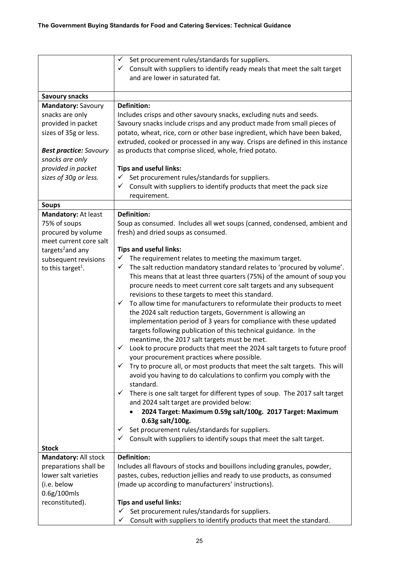|                                                                                                                                                                              | Set procurement rules/standards for suppliers.<br>$\checkmark$<br>$\checkmark$ Consult with suppliers to identify ready meals that meet the salt target<br>and are lower in saturated fat.                                                                                                                                                                                                                                                                                                                                                                                                                                                                                                                                                                                                                                                                                                                                                                                                                                                                                                                                                                                                                                                                                                                                                                                                                                                                                                                                                                       |
|------------------------------------------------------------------------------------------------------------------------------------------------------------------------------|------------------------------------------------------------------------------------------------------------------------------------------------------------------------------------------------------------------------------------------------------------------------------------------------------------------------------------------------------------------------------------------------------------------------------------------------------------------------------------------------------------------------------------------------------------------------------------------------------------------------------------------------------------------------------------------------------------------------------------------------------------------------------------------------------------------------------------------------------------------------------------------------------------------------------------------------------------------------------------------------------------------------------------------------------------------------------------------------------------------------------------------------------------------------------------------------------------------------------------------------------------------------------------------------------------------------------------------------------------------------------------------------------------------------------------------------------------------------------------------------------------------------------------------------------------------|
| <b>Savoury snacks</b>                                                                                                                                                        |                                                                                                                                                                                                                                                                                                                                                                                                                                                                                                                                                                                                                                                                                                                                                                                                                                                                                                                                                                                                                                                                                                                                                                                                                                                                                                                                                                                                                                                                                                                                                                  |
| Mandatory: Savoury<br>snacks are only<br>provided in packet<br>sizes of 35g or less.<br><b>Best practice: Savoury</b><br>snacks are only<br>provided in packet               | <b>Definition:</b><br>Includes crisps and other savoury snacks, excluding nuts and seeds.<br>Savoury snacks include crisps and any product made from small pieces of<br>potato, wheat, rice, corn or other base ingredient, which have been baked,<br>extruded, cooked or processed in any way. Crisps are defined in this instance<br>as products that comprise sliced, whole, fried potato.<br><b>Tips and useful links:</b>                                                                                                                                                                                                                                                                                                                                                                                                                                                                                                                                                                                                                                                                                                                                                                                                                                                                                                                                                                                                                                                                                                                                   |
| sizes of 30g or less.                                                                                                                                                        | Set procurement rules/standards for suppliers.<br>✓<br>Consult with suppliers to identify products that meet the pack size<br>✓<br>requirement.                                                                                                                                                                                                                                                                                                                                                                                                                                                                                                                                                                                                                                                                                                                                                                                                                                                                                                                                                                                                                                                                                                                                                                                                                                                                                                                                                                                                                  |
| <b>Soups</b>                                                                                                                                                                 |                                                                                                                                                                                                                                                                                                                                                                                                                                                                                                                                                                                                                                                                                                                                                                                                                                                                                                                                                                                                                                                                                                                                                                                                                                                                                                                                                                                                                                                                                                                                                                  |
| Mandatory: At least<br>75% of soups<br>procured by volume<br>meet current core salt<br>targets <sup>2</sup> and any<br>subsequent revisions<br>to this target <sup>1</sup> . | <b>Definition:</b><br>Soup as consumed. Includes all wet soups (canned, condensed, ambient and<br>fresh) and dried soups as consumed.<br><b>Tips and useful links:</b><br>The requirement relates to meeting the maximum target.<br>$\checkmark$<br>The salt reduction mandatory standard relates to 'procured by volume'.<br>✓<br>This means that at least three quarters (75%) of the amount of soup you<br>procure needs to meet current core salt targets and any subsequent<br>revisions to these targets to meet this standard.<br>To allow time for manufacturers to reformulate their products to meet<br>$\checkmark$<br>the 2024 salt reduction targets, Government is allowing an<br>implementation period of 3 years for compliance with these updated<br>targets following publication of this technical guidance. In the<br>meantime, the 2017 salt targets must be met.<br>Look to procure products that meet the 2024 salt targets to future proof<br>your procurement practices where possible.<br>Try to procure all, or most products that meet the salt targets. This will<br>$\checkmark$<br>avoid you having to do calculations to confirm you comply with the<br>standard.<br>There is one salt target for different types of soup. The 2017 salt target<br>✓<br>and 2024 salt target are provided below:<br>2024 Target: Maximum 0.59g salt/100g. 2017 Target: Maximum<br>0.63g salt/100g.<br>Set procurement rules/standards for suppliers.<br>$\checkmark$<br>Consult with suppliers to identify soups that meet the salt target.<br>✓ |
| <b>Stock</b>                                                                                                                                                                 |                                                                                                                                                                                                                                                                                                                                                                                                                                                                                                                                                                                                                                                                                                                                                                                                                                                                                                                                                                                                                                                                                                                                                                                                                                                                                                                                                                                                                                                                                                                                                                  |
| Mandatory: All stock<br>preparations shall be<br>lower salt varieties<br>(i.e. below<br>0.6g/100mls<br>reconstituted).                                                       | <b>Definition:</b><br>Includes all flavours of stocks and bouillons including granules, powder,<br>pastes, cubes, reduction jellies and ready to use products, as consumed<br>(made up according to manufacturers' instructions).<br><b>Tips and useful links:</b><br>Set procurement rules/standards for suppliers.<br>✓<br>Consult with suppliers to identify products that meet the standard.<br>✓                                                                                                                                                                                                                                                                                                                                                                                                                                                                                                                                                                                                                                                                                                                                                                                                                                                                                                                                                                                                                                                                                                                                                            |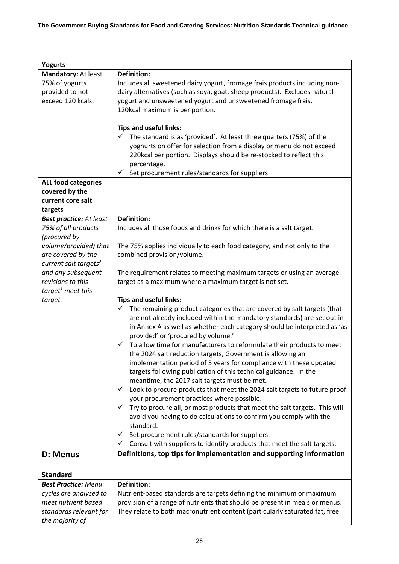| <b>Yogurts</b>                    |                                                                                                                                                     |
|-----------------------------------|-----------------------------------------------------------------------------------------------------------------------------------------------------|
| Mandatory: At least               | <b>Definition:</b>                                                                                                                                  |
| 75% of yogurts                    | Includes all sweetened dairy yogurt, fromage frais products including non-                                                                          |
| provided to not                   | dairy alternatives (such as soya, goat, sheep products). Excludes natural                                                                           |
| exceed 120 kcals.                 | yogurt and unsweetened yogurt and unsweetened fromage frais.                                                                                        |
|                                   | 120kcal maximum is per portion.                                                                                                                     |
|                                   |                                                                                                                                                     |
|                                   | <b>Tips and useful links:</b>                                                                                                                       |
|                                   | $\checkmark$<br>The standard is as 'provided'. At least three quarters (75%) of the                                                                 |
|                                   | yoghurts on offer for selection from a display or menu do not exceed                                                                                |
|                                   | 220kcal per portion. Displays should be re-stocked to reflect this                                                                                  |
|                                   | percentage.                                                                                                                                         |
|                                   | Set procurement rules/standards for suppliers.                                                                                                      |
| <b>ALL food categories</b>        |                                                                                                                                                     |
| covered by the                    |                                                                                                                                                     |
| current core salt                 |                                                                                                                                                     |
| targets                           |                                                                                                                                                     |
| <b>Best practice: At least</b>    | <b>Definition:</b>                                                                                                                                  |
| 75% of all products               | Includes all those foods and drinks for which there is a salt target.                                                                               |
| (procured by                      |                                                                                                                                                     |
| volume/provided) that             | The 75% applies individually to each food category, and not only to the                                                                             |
| are covered by the                | combined provision/volume.                                                                                                                          |
| current salt targets <sup>2</sup> |                                                                                                                                                     |
| and any subsequent                | The requirement relates to meeting maximum targets or using an average                                                                              |
| revisions to this                 | target as a maximum where a maximum target is not set.                                                                                              |
| target <sup>1</sup> meet this     |                                                                                                                                                     |
| target.                           | <b>Tips and useful links:</b>                                                                                                                       |
|                                   | The remaining product categories that are covered by salt targets (that<br>✓                                                                        |
|                                   | are not already included within the mandatory standards) are set out in<br>in Annex A as well as whether each category should be interpreted as 'as |
|                                   | provided' or 'procured by volume.'                                                                                                                  |
|                                   | To allow time for manufacturers to reformulate their products to meet<br>$\checkmark$                                                               |
|                                   | the 2024 salt reduction targets, Government is allowing an                                                                                          |
|                                   | implementation period of 3 years for compliance with these updated                                                                                  |
|                                   | targets following publication of this technical guidance. In the                                                                                    |
|                                   | meantime, the 2017 salt targets must be met.                                                                                                        |
|                                   | Look to procure products that meet the 2024 salt targets to future proof<br>✓                                                                       |
|                                   | your procurement practices where possible.                                                                                                          |
|                                   | Try to procure all, or most products that meet the salt targets. This will                                                                          |
|                                   | avoid you having to do calculations to confirm you comply with the                                                                                  |
|                                   | standard.                                                                                                                                           |
|                                   | Set procurement rules/standards for suppliers.<br>✓                                                                                                 |
|                                   | Consult with suppliers to identify products that meet the salt targets.                                                                             |
| D: Menus                          | Definitions, top tips for implementation and supporting information                                                                                 |
|                                   |                                                                                                                                                     |
| <b>Standard</b>                   |                                                                                                                                                     |
| <b>Best Practice: Menu</b>        | Definition:                                                                                                                                         |
| cycles are analysed to            | Nutrient-based standards are targets defining the minimum or maximum                                                                                |
| meet nutrient based               | provision of a range of nutrients that should be present in meals or menus.                                                                         |
| standards relevant for            | They relate to both macronutrient content (particularly saturated fat, free                                                                         |
| the majority of                   |                                                                                                                                                     |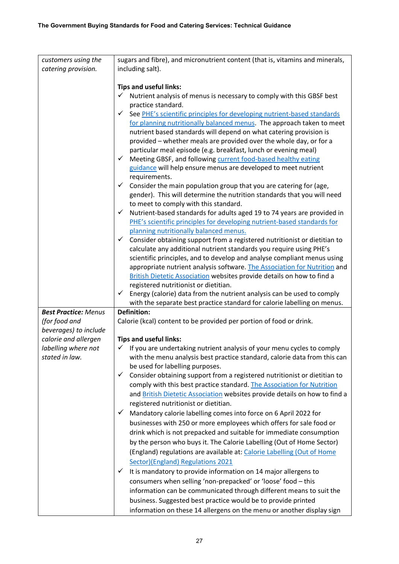| customers using the         | sugars and fibre), and micronutrient content (that is, vitamins and minerals,                                                                                                                                                                                                                                                                                                                                                                                                                                                                                                                                                                                                                                                                                                                                                                                                                                                                                                    |
|-----------------------------|----------------------------------------------------------------------------------------------------------------------------------------------------------------------------------------------------------------------------------------------------------------------------------------------------------------------------------------------------------------------------------------------------------------------------------------------------------------------------------------------------------------------------------------------------------------------------------------------------------------------------------------------------------------------------------------------------------------------------------------------------------------------------------------------------------------------------------------------------------------------------------------------------------------------------------------------------------------------------------|
|                             |                                                                                                                                                                                                                                                                                                                                                                                                                                                                                                                                                                                                                                                                                                                                                                                                                                                                                                                                                                                  |
|                             |                                                                                                                                                                                                                                                                                                                                                                                                                                                                                                                                                                                                                                                                                                                                                                                                                                                                                                                                                                                  |
| catering provision.         | including salt).<br><b>Tips and useful links:</b><br>Nutrient analysis of menus is necessary to comply with this GBSF best<br>✓<br>practice standard.<br>See PHE's scientific principles for developing nutrient-based standards<br>✓<br>for planning nutritionally balanced menus. The approach taken to meet<br>nutrient based standards will depend on what catering provision is<br>provided - whether meals are provided over the whole day, or for a<br>particular meal episode (e.g. breakfast, lunch or evening meal)<br>Meeting GBSF, and following current food-based healthy eating<br>$\checkmark$<br>guidance will help ensure menus are developed to meet nutrient<br>requirements.<br>Consider the main population group that you are catering for (age,<br>✓<br>gender). This will determine the nutrition standards that you will need<br>to meet to comply with this standard.<br>Nutrient-based standards for adults aged 19 to 74 years are provided in<br>✓ |
|                             | PHE's scientific principles for developing nutrient-based standards for<br>planning nutritionally balanced menus.<br>Consider obtaining support from a registered nutritionist or dietitian to<br>✓<br>calculate any additional nutrient standards you require using PHE's<br>scientific principles, and to develop and analyse compliant menus using<br>appropriate nutrient analysis software. The Association for Nutrition and<br>British Dietetic Association websites provide details on how to find a                                                                                                                                                                                                                                                                                                                                                                                                                                                                     |
|                             | registered nutritionist or dietitian.                                                                                                                                                                                                                                                                                                                                                                                                                                                                                                                                                                                                                                                                                                                                                                                                                                                                                                                                            |
|                             | ✓<br>Energy (calorie) data from the nutrient analysis can be used to comply                                                                                                                                                                                                                                                                                                                                                                                                                                                                                                                                                                                                                                                                                                                                                                                                                                                                                                      |
|                             | with the separate best practice standard for calorie labelling on menus.                                                                                                                                                                                                                                                                                                                                                                                                                                                                                                                                                                                                                                                                                                                                                                                                                                                                                                         |
| <b>Best Practice: Menus</b> | <b>Definition:</b>                                                                                                                                                                                                                                                                                                                                                                                                                                                                                                                                                                                                                                                                                                                                                                                                                                                                                                                                                               |
| (for food and               | Calorie (kcal) content to be provided per portion of food or drink.                                                                                                                                                                                                                                                                                                                                                                                                                                                                                                                                                                                                                                                                                                                                                                                                                                                                                                              |
| beverages) to include       |                                                                                                                                                                                                                                                                                                                                                                                                                                                                                                                                                                                                                                                                                                                                                                                                                                                                                                                                                                                  |
| calorie and allergen        | <b>Tips and useful links:</b>                                                                                                                                                                                                                                                                                                                                                                                                                                                                                                                                                                                                                                                                                                                                                                                                                                                                                                                                                    |
| labelling where not         | $\checkmark$ If you are undertaking nutrient analysis of your menu cycles to comply                                                                                                                                                                                                                                                                                                                                                                                                                                                                                                                                                                                                                                                                                                                                                                                                                                                                                              |
| stated in law.              | with the menu analysis best practice standard, calorie data from this can<br>be used for labelling purposes.                                                                                                                                                                                                                                                                                                                                                                                                                                                                                                                                                                                                                                                                                                                                                                                                                                                                     |
|                             | Consider obtaining support from a registered nutritionist or dietitian to<br>$\checkmark$                                                                                                                                                                                                                                                                                                                                                                                                                                                                                                                                                                                                                                                                                                                                                                                                                                                                                        |
|                             | comply with this best practice standard. The Association for Nutrition                                                                                                                                                                                                                                                                                                                                                                                                                                                                                                                                                                                                                                                                                                                                                                                                                                                                                                           |
|                             | and British Dietetic Association websites provide details on how to find a                                                                                                                                                                                                                                                                                                                                                                                                                                                                                                                                                                                                                                                                                                                                                                                                                                                                                                       |
|                             | registered nutritionist or dietitian.                                                                                                                                                                                                                                                                                                                                                                                                                                                                                                                                                                                                                                                                                                                                                                                                                                                                                                                                            |
|                             | Mandatory calorie labelling comes into force on 6 April 2022 for<br>$\checkmark$                                                                                                                                                                                                                                                                                                                                                                                                                                                                                                                                                                                                                                                                                                                                                                                                                                                                                                 |
|                             | businesses with 250 or more employees which offers for sale food or                                                                                                                                                                                                                                                                                                                                                                                                                                                                                                                                                                                                                                                                                                                                                                                                                                                                                                              |
|                             | drink which is not prepacked and suitable for immediate consumption                                                                                                                                                                                                                                                                                                                                                                                                                                                                                                                                                                                                                                                                                                                                                                                                                                                                                                              |
|                             | by the person who buys it. The Calorie Labelling (Out of Home Sector)                                                                                                                                                                                                                                                                                                                                                                                                                                                                                                                                                                                                                                                                                                                                                                                                                                                                                                            |
|                             | (England) regulations are available at: Calorie Labelling (Out of Home                                                                                                                                                                                                                                                                                                                                                                                                                                                                                                                                                                                                                                                                                                                                                                                                                                                                                                           |
|                             |                                                                                                                                                                                                                                                                                                                                                                                                                                                                                                                                                                                                                                                                                                                                                                                                                                                                                                                                                                                  |
|                             | Sector)(England) Regulations 2021<br>$\checkmark$                                                                                                                                                                                                                                                                                                                                                                                                                                                                                                                                                                                                                                                                                                                                                                                                                                                                                                                                |
|                             | It is mandatory to provide information on 14 major allergens to                                                                                                                                                                                                                                                                                                                                                                                                                                                                                                                                                                                                                                                                                                                                                                                                                                                                                                                  |
|                             | consumers when selling 'non-prepacked' or 'loose' food - this                                                                                                                                                                                                                                                                                                                                                                                                                                                                                                                                                                                                                                                                                                                                                                                                                                                                                                                    |
|                             | information can be communicated through different means to suit the                                                                                                                                                                                                                                                                                                                                                                                                                                                                                                                                                                                                                                                                                                                                                                                                                                                                                                              |
|                             | business. Suggested best practice would be to provide printed                                                                                                                                                                                                                                                                                                                                                                                                                                                                                                                                                                                                                                                                                                                                                                                                                                                                                                                    |
|                             | information on these 14 allergens on the menu or another display sign                                                                                                                                                                                                                                                                                                                                                                                                                                                                                                                                                                                                                                                                                                                                                                                                                                                                                                            |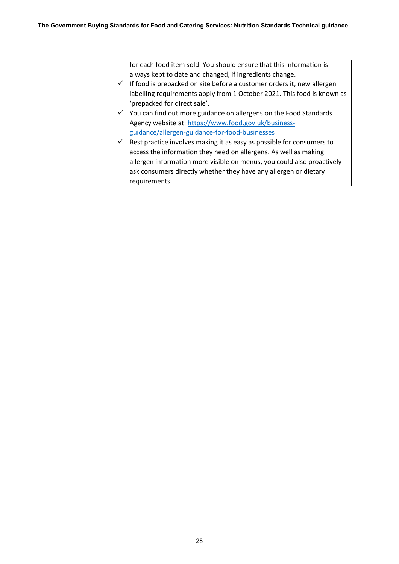|              | for each food item sold. You should ensure that this information is     |
|--------------|-------------------------------------------------------------------------|
|              | always kept to date and changed, if ingredients change.                 |
| $\checkmark$ | If food is prepacked on site before a customer orders it, new allergen  |
|              | labelling requirements apply from 1 October 2021. This food is known as |
|              | 'prepacked for direct sale'.                                            |
| $\checkmark$ | You can find out more guidance on allergens on the Food Standards       |
|              | Agency website at: https://www.food.gov.uk/business-                    |
|              | guidance/allergen-guidance-for-food-businesses                          |
| $\checkmark$ | Best practice involves making it as easy as possible for consumers to   |
|              | access the information they need on allergens. As well as making        |
|              | allergen information more visible on menus, you could also proactively  |
|              | ask consumers directly whether they have any allergen or dietary        |
|              | requirements.                                                           |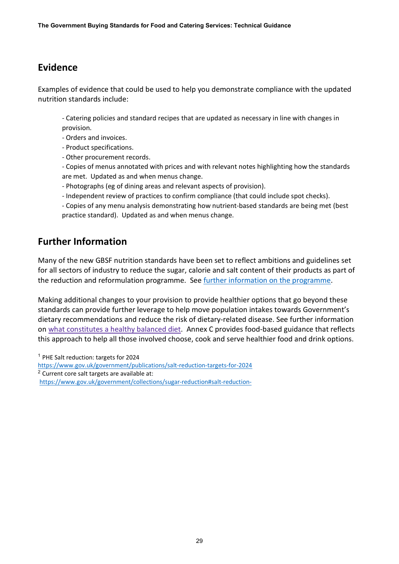## <span id="page-28-0"></span>**Evidence**

Examples of evidence that could be used to help you demonstrate compliance with the updated nutrition standards include:

- Catering policies and standard recipes that are updated as necessary in line with changes in provision.

- Orders and invoices.

- Product specifications.

- Other procurement records.

- Copies of menus annotated with prices and with relevant notes highlighting how the standards are met. Updated as and when menus change.

- Photographs (eg of dining areas and relevant aspects of provision).

- Independent review of practices to confirm compliance (that could include spot checks).

- Copies of any menu analysis demonstrating how nutrient-based standards are being met (best practice standard). Updated as and when menus change.

## <span id="page-28-1"></span>**Further Information**

Many of the new GBSF nutrition standards have been set to reflect ambitions and guidelines set for all sectors of industry to reduce the sugar, calorie and salt content of their products as part of the reduction and reformulation programme. See [further information on the programme.](https://www.gov.uk/government/collections/sugar-reduction)

Making additional changes to your provision to provide healthier options that go beyond these standards can provide further leverage to help move population intakes towards Government's dietary recommendations and reduce the risk of dietary-related disease. See further information on [what constitutes a healthy balanced diet.](https://www.gov.uk/government/publications/the-eatwell-guide) Annex C provides food-based guidance that reflects this approach to help all those involved choose, cook and serve healthier food and drink options.

<span id="page-28-3"></span><span id="page-28-2"></span><sup>1</sup> PHE Salt reduction: targets for 2024 <https://www.gov.uk/government/publications/salt-reduction-targets-for-2024> <sup>2</sup> Current core salt targets are available at: <https://www.gov.uk/government/collections/sugar-reduction#salt-reduction->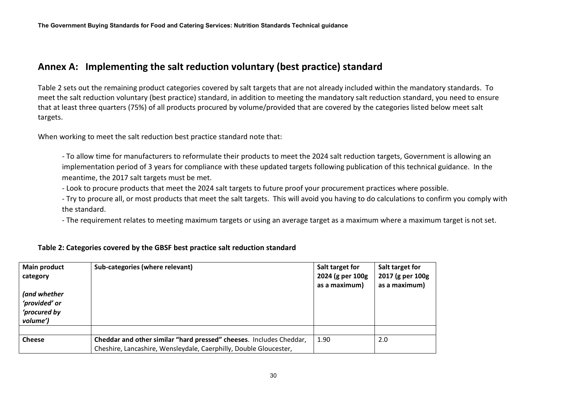## **Annex A: Implementing the salt reduction voluntary (best practice) standard**

Table 2 sets out the remaining product categories covered by salt targets that are not already included within the mandatory standards. To meet the salt reduction voluntary (best practice) standard, in addition to meeting the mandatory salt reduction standard, you need to ensure that at least three quarters (75%) of all products procured by volume/provided that are covered by the categories listed below meet salt targets.

When working to meet the salt reduction best practice standard note that:

- To allow time for manufacturers to reformulate their products to meet the 2024 salt reduction targets, Government is allowing an implementation period of 3 years for compliance with these updated targets following publication of this technical guidance. In the meantime, the 2017 salt targets must be met.

- Look to procure products that meet the 2024 salt targets to future proof your procurement practices where possible.

- Try to procure all, or most products that meet the salt targets. This will avoid you having to do calculations to confirm you comply with the standard.

- The requirement relates to meeting maximum targets or using an average target as a maximum where a maximum target is not set.

<span id="page-29-1"></span>

| <b>Main product</b><br>category<br>(and whether<br>'provided' or<br>'procured by<br>volume') | Sub-categories (where relevant)                                     | Salt target for<br>2024 (g per 100g<br>as a maximum) | Salt target for<br>2017 (g per 100g<br>as a maximum) |
|----------------------------------------------------------------------------------------------|---------------------------------------------------------------------|------------------------------------------------------|------------------------------------------------------|
| <b>Cheese</b>                                                                                | Cheddar and other similar "hard pressed" cheeses. Includes Cheddar, | 1.90                                                 | 2.0                                                  |
|                                                                                              | Cheshire, Lancashire, Wensleydale, Caerphilly, Double Gloucester,   |                                                      |                                                      |

#### <span id="page-29-0"></span>**Table 2: Categories covered by the GBSF best practice salt reduction standard**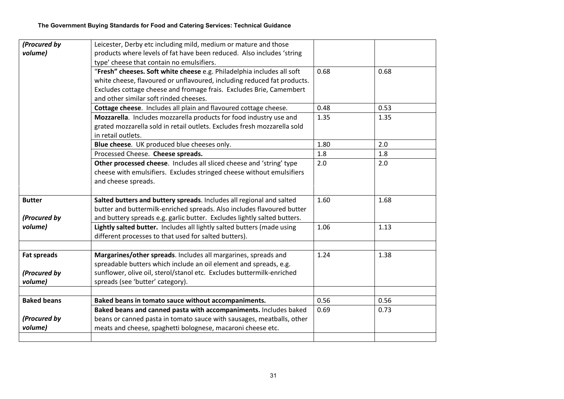| (Procured by       | Leicester, Derby etc including mild, medium or mature and those          |      |      |
|--------------------|--------------------------------------------------------------------------|------|------|
| volume)            | products where levels of fat have been reduced. Also includes 'string    |      |      |
|                    | type' cheese that contain no emulsifiers.                                |      |      |
|                    | "Fresh" cheeses. Soft white cheese e.g. Philadelphia includes all soft   | 0.68 | 0.68 |
|                    | white cheese, flavoured or unflavoured, including reduced fat products.  |      |      |
|                    | Excludes cottage cheese and fromage frais. Excludes Brie, Camembert      |      |      |
|                    | and other similar soft rinded cheeses.                                   |      |      |
|                    | Cottage cheese. Includes all plain and flavoured cottage cheese.         | 0.48 | 0.53 |
|                    | Mozzarella. Includes mozzarella products for food industry use and       | 1.35 | 1.35 |
|                    | grated mozzarella sold in retail outlets. Excludes fresh mozzarella sold |      |      |
|                    | in retail outlets.                                                       |      |      |
|                    | Blue cheese. UK produced blue cheeses only.                              | 1.80 | 2.0  |
|                    | Processed Cheese. Cheese spreads.                                        | 1.8  | 1.8  |
|                    | Other processed cheese. Includes all sliced cheese and 'string' type     | 2.0  | 2.0  |
|                    | cheese with emulsifiers. Excludes stringed cheese without emulsifiers    |      |      |
|                    | and cheese spreads.                                                      |      |      |
|                    |                                                                          |      |      |
| <b>Butter</b>      | Salted butters and buttery spreads. Includes all regional and salted     | 1.60 | 1.68 |
|                    | butter and buttermilk-enriched spreads. Also includes flavoured butter   |      |      |
| (Procured by       | and buttery spreads e.g. garlic butter. Excludes lightly salted butters. |      |      |
| volume)            | Lightly salted butter. Includes all lightly salted butters (made using   | 1.06 | 1.13 |
|                    | different processes to that used for salted butters).                    |      |      |
|                    |                                                                          |      |      |
| <b>Fat spreads</b> | Margarines/other spreads. Includes all margarines, spreads and           | 1.24 | 1.38 |
|                    | spreadable butters which include an oil element and spreads, e.g.        |      |      |
| (Procured by       | sunflower, olive oil, sterol/stanol etc. Excludes buttermilk-enriched    |      |      |
| volume)            | spreads (see 'butter' category).                                         |      |      |
|                    |                                                                          |      |      |
| <b>Baked beans</b> | Baked beans in tomato sauce without accompaniments.                      | 0.56 | 0.56 |
|                    | Baked beans and canned pasta with accompaniments. Includes baked         | 0.69 | 0.73 |
| (Procured by       | beans or canned pasta in tomato sauce with sausages, meatballs, other    |      |      |
| volume)            | meats and cheese, spaghetti bolognese, macaroni cheese etc.              |      |      |
|                    |                                                                          |      |      |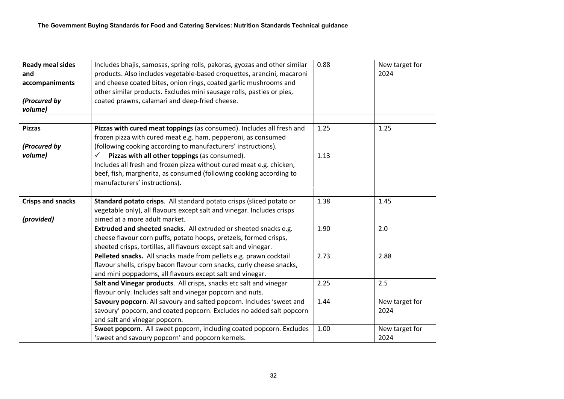| <b>Ready meal sides</b><br>and<br>accompaniments<br>(Procured by<br>volume) | Includes bhajis, samosas, spring rolls, pakoras, gyozas and other similar<br>products. Also includes vegetable-based croquettes, arancini, macaroni<br>and cheese coated bites, onion rings, coated garlic mushrooms and<br>other similar products. Excludes mini sausage rolls, pasties or pies,<br>coated prawns, calamari and deep-fried cheese. | 0.88 | New target for<br>2024 |
|-----------------------------------------------------------------------------|-----------------------------------------------------------------------------------------------------------------------------------------------------------------------------------------------------------------------------------------------------------------------------------------------------------------------------------------------------|------|------------------------|
|                                                                             |                                                                                                                                                                                                                                                                                                                                                     |      |                        |
| <b>Pizzas</b>                                                               | Pizzas with cured meat toppings (as consumed). Includes all fresh and<br>frozen pizza with cured meat e.g. ham, pepperoni, as consumed                                                                                                                                                                                                              | 1.25 | 1.25                   |
| (Procured by                                                                | (following cooking according to manufacturers' instructions).                                                                                                                                                                                                                                                                                       |      |                        |
| volume)                                                                     | Pizzas with all other toppings (as consumed).<br>$\checkmark$                                                                                                                                                                                                                                                                                       | 1.13 |                        |
|                                                                             | Includes all fresh and frozen pizza without cured meat e.g. chicken,                                                                                                                                                                                                                                                                                |      |                        |
|                                                                             | beef, fish, margherita, as consumed (following cooking according to                                                                                                                                                                                                                                                                                 |      |                        |
|                                                                             | manufacturers' instructions).                                                                                                                                                                                                                                                                                                                       |      |                        |
|                                                                             |                                                                                                                                                                                                                                                                                                                                                     |      |                        |
| <b>Crisps and snacks</b>                                                    | Standard potato crisps. All standard potato crisps (sliced potato or                                                                                                                                                                                                                                                                                | 1.38 | 1.45                   |
|                                                                             | vegetable only), all flavours except salt and vinegar. Includes crisps                                                                                                                                                                                                                                                                              |      |                        |
| (provided)                                                                  | aimed at a more adult market.                                                                                                                                                                                                                                                                                                                       |      |                        |
|                                                                             | Extruded and sheeted snacks. All extruded or sheeted snacks e.g.<br>cheese flavour corn puffs, potato hoops, pretzels, formed crisps,<br>sheeted crisps, tortillas, all flavours except salt and vinegar.                                                                                                                                           | 1.90 | 2.0                    |
|                                                                             | Pelleted snacks. All snacks made from pellets e.g. prawn cocktail                                                                                                                                                                                                                                                                                   | 2.73 | 2.88                   |
|                                                                             | flavour shells, crispy bacon flavour corn snacks, curly cheese snacks,                                                                                                                                                                                                                                                                              |      |                        |
|                                                                             | and mini poppadoms, all flavours except salt and vinegar.                                                                                                                                                                                                                                                                                           |      |                        |
|                                                                             | Salt and Vinegar products. All crisps, snacks etc salt and vinegar                                                                                                                                                                                                                                                                                  | 2.25 | 2.5                    |
|                                                                             | flavour only. Includes salt and vinegar popcorn and nuts.                                                                                                                                                                                                                                                                                           |      |                        |
|                                                                             | Savoury popcorn. All savoury and salted popcorn. Includes 'sweet and                                                                                                                                                                                                                                                                                | 1.44 | New target for         |
|                                                                             | savoury' popcorn, and coated popcorn. Excludes no added salt popcorn                                                                                                                                                                                                                                                                                |      | 2024                   |
|                                                                             | and salt and vinegar popcorn.                                                                                                                                                                                                                                                                                                                       |      |                        |
|                                                                             | Sweet popcorn. All sweet popcorn, including coated popcorn. Excludes<br>'sweet and savoury popcorn' and popcorn kernels.                                                                                                                                                                                                                            | 1.00 | New target for<br>2024 |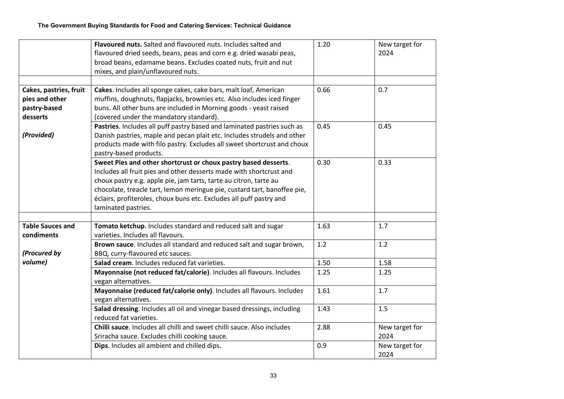|                                                                      | Flavoured nuts. Salted and flavoured nuts. Includes salted and<br>flavoured dried seeds, beans, peas and corn e.g. dried wasabi peas,<br>broad beans, edamame beans. Excludes coated nuts, fruit and nut<br>mixes, and plain/unflavoured nuts.                                                                                                                                        | 1.20 | New target for<br>2024 |
|----------------------------------------------------------------------|---------------------------------------------------------------------------------------------------------------------------------------------------------------------------------------------------------------------------------------------------------------------------------------------------------------------------------------------------------------------------------------|------|------------------------|
| Cakes, pastries, fruit<br>pies and other<br>pastry-based<br>desserts | Cakes. Includes all sponge cakes, cake bars, malt loaf, American<br>muffins, doughnuts, flapjacks, brownies etc. Also includes iced finger<br>buns. All other buns are included in Morning goods - yeast raised<br>(covered under the mandatory standard).                                                                                                                            | 0.66 | 0.7                    |
| (Provided)                                                           | Pastries. Includes all puff pastry based and laminated pastries such as<br>Danish pastries, maple and pecan plait etc. Includes strudels and other<br>products made with filo pastry. Excludes all sweet shortcrust and choux<br>pastry-based products.                                                                                                                               | 0.45 | 0.45                   |
|                                                                      | Sweet Pies and other shortcrust or choux pastry based desserts.<br>Includes all fruit pies and other desserts made with shortcrust and<br>choux pastry e.g. apple pie, jam tarts, tarte au citron, tarte au<br>chocolate, treacle tart, lemon meringue pie, custard tart, banoffee pie,<br>éclairs, profiteroles, choux buns etc. Excludes all puff pastry and<br>laminated pastries. | 0.30 | 0.33                   |
| <b>Table Sauces and</b><br>condiments                                | Tomato ketchup. Includes standard and reduced salt and sugar<br>varieties. Includes all flavours.                                                                                                                                                                                                                                                                                     | 1.63 | 1.7                    |
| (Procured by                                                         | Brown sauce. Includes all standard and reduced salt and sugar brown,<br>BBQ, curry-flavoured etc sauces.                                                                                                                                                                                                                                                                              | 1.2  | 1.2                    |
| volume)                                                              | Salad cream. Includes reduced fat varieties.                                                                                                                                                                                                                                                                                                                                          | 1.50 | 1.58                   |
|                                                                      | Mayonnaise (not reduced fat/calorie). Includes all flavours. Includes<br>vegan alternatives.                                                                                                                                                                                                                                                                                          | 1.25 | 1.25                   |
|                                                                      | Mayonnaise (reduced fat/calorie only). Includes all flavours. Includes<br>vegan alternatives.                                                                                                                                                                                                                                                                                         | 1.61 | 1.7                    |
|                                                                      | Salad dressing. Includes all oil and vinegar based dressings, including<br>reduced fat varieties.                                                                                                                                                                                                                                                                                     | 1.43 | 1.5                    |
|                                                                      | Chilli sauce. Includes all chilli and sweet chilli sauce. Also includes<br>Sriracha sauce. Excludes chilli cooking sauce.                                                                                                                                                                                                                                                             | 2.88 | New target for<br>2024 |
|                                                                      | Dips. Includes all ambient and chilled dips.                                                                                                                                                                                                                                                                                                                                          | 0.9  | New target for<br>2024 |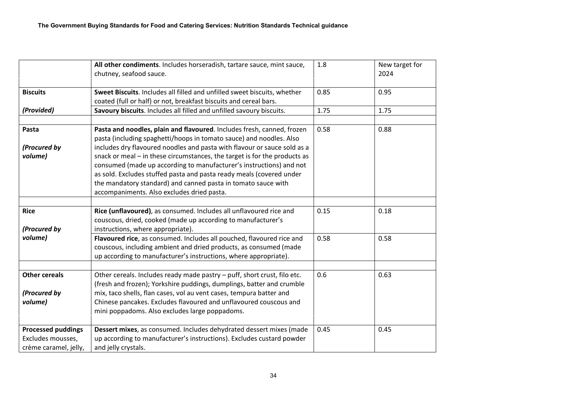|                           | All other condiments. Includes horseradish, tartare sauce, mint sauce,<br>chutney, seafood sauce. | 1.8  | New target for<br>2024 |
|---------------------------|---------------------------------------------------------------------------------------------------|------|------------------------|
|                           |                                                                                                   |      |                        |
| <b>Biscuits</b>           | Sweet Biscuits. Includes all filled and unfilled sweet biscuits, whether                          | 0.85 | 0.95                   |
|                           | coated (full or half) or not, breakfast biscuits and cereal bars.                                 |      |                        |
| (Provided)                | Savoury biscuits. Includes all filled and unfilled savoury biscuits.                              | 1.75 | 1.75                   |
| Pasta                     | Pasta and noodles, plain and flavoured. Includes fresh, canned, frozen                            | 0.58 | 0.88                   |
|                           | pasta (including spaghetti/hoops in tomato sauce) and noodles. Also                               |      |                        |
| (Procured by              | includes dry flavoured noodles and pasta with flavour or sauce sold as a                          |      |                        |
| volume)                   | snack or meal - in these circumstances, the target is for the products as                         |      |                        |
|                           | consumed (made up according to manufacturer's instructions) and not                               |      |                        |
|                           | as sold. Excludes stuffed pasta and pasta ready meals (covered under                              |      |                        |
|                           | the mandatory standard) and canned pasta in tomato sauce with                                     |      |                        |
|                           | accompaniments. Also excludes dried pasta.                                                        |      |                        |
| <b>Rice</b>               |                                                                                                   | 0.15 | 0.18                   |
|                           | Rice (unflavoured), as consumed. Includes all unflavoured rice and                                |      |                        |
|                           | couscous, dried, cooked (made up according to manufacturer's                                      |      |                        |
| (Procured by<br>volume)   | instructions, where appropriate).                                                                 | 0.58 | 0.58                   |
|                           | Flavoured rice, as consumed. Includes all pouched, flavoured rice and                             |      |                        |
|                           | couscous, including ambient and dried products, as consumed (made                                 |      |                        |
|                           | up according to manufacturer's instructions, where appropriate).                                  |      |                        |
| <b>Other cereals</b>      | Other cereals. Includes ready made pastry - puff, short crust, filo etc.                          | 0.6  | 0.63                   |
|                           | (fresh and frozen); Yorkshire puddings, dumplings, batter and crumble                             |      |                        |
| (Procured by              | mix, taco shells, flan cases, vol au vent cases, tempura batter and                               |      |                        |
| volume)                   | Chinese pancakes. Excludes flavoured and unflavoured couscous and                                 |      |                        |
|                           | mini poppadoms. Also excludes large poppadoms.                                                    |      |                        |
| <b>Processed puddings</b> | Dessert mixes, as consumed. Includes dehydrated dessert mixes (made                               | 0.45 | 0.45                   |
| Excludes mousses,         | up according to manufacturer's instructions). Excludes custard powder                             |      |                        |
| crème caramel, jelly,     | and jelly crystals.                                                                               |      |                        |
|                           |                                                                                                   |      |                        |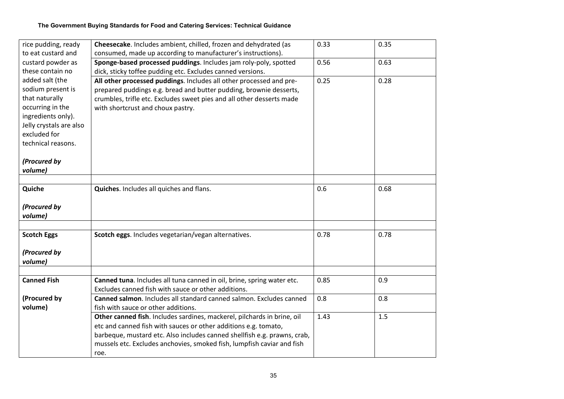#### **The Government Buying Standards for Food and Catering Services: Technical Guidance**

| rice pudding, ready     | Cheesecake. Includes ambient, chilled, frozen and dehydrated (as         | 0.33 | 0.35 |
|-------------------------|--------------------------------------------------------------------------|------|------|
| to eat custard and      | consumed, made up according to manufacturer's instructions).             |      |      |
| custard powder as       | Sponge-based processed puddings. Includes jam roly-poly, spotted         | 0.56 | 0.63 |
| these contain no        | dick, sticky toffee pudding etc. Excludes canned versions.               |      |      |
| added salt (the         | All other processed puddings. Includes all other processed and pre-      | 0.25 | 0.28 |
| sodium present is       | prepared puddings e.g. bread and butter pudding, brownie desserts,       |      |      |
| that naturally          | crumbles, trifle etc. Excludes sweet pies and all other desserts made    |      |      |
| occurring in the        | with shortcrust and choux pastry.                                        |      |      |
| ingredients only).      |                                                                          |      |      |
| Jelly crystals are also |                                                                          |      |      |
| excluded for            |                                                                          |      |      |
| technical reasons.      |                                                                          |      |      |
|                         |                                                                          |      |      |
| (Procured by            |                                                                          |      |      |
| volume)                 |                                                                          |      |      |
|                         |                                                                          |      |      |
| Quiche                  | Quiches. Includes all quiches and flans.                                 | 0.6  | 0.68 |
|                         |                                                                          |      |      |
| (Procured by            |                                                                          |      |      |
| volume)                 |                                                                          |      |      |
|                         |                                                                          | 0.78 | 0.78 |
| <b>Scotch Eggs</b>      | Scotch eggs. Includes vegetarian/vegan alternatives.                     |      |      |
| (Procured by            |                                                                          |      |      |
| volume)                 |                                                                          |      |      |
|                         |                                                                          |      |      |
| <b>Canned Fish</b>      | Canned tuna. Includes all tuna canned in oil, brine, spring water etc.   | 0.85 | 0.9  |
|                         | Excludes canned fish with sauce or other additions.                      |      |      |
| (Procured by            | Canned salmon. Includes all standard canned salmon. Excludes canned      | 0.8  | 0.8  |
| volume)                 | fish with sauce or other additions.                                      |      |      |
|                         | Other canned fish. Includes sardines, mackerel, pilchards in brine, oil  | 1.43 | 1.5  |
|                         | etc and canned fish with sauces or other additions e.g. tomato,          |      |      |
|                         | barbeque, mustard etc. Also includes canned shellfish e.g. prawns, crab, |      |      |
|                         | mussels etc. Excludes anchovies, smoked fish, lumpfish caviar and fish   |      |      |
|                         | roe.                                                                     |      |      |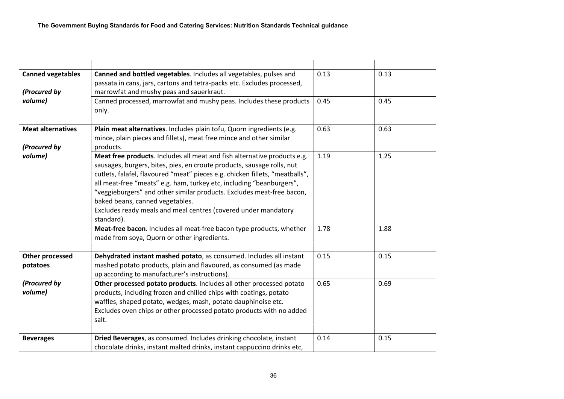| <b>Canned vegetables</b><br>(Procured by | Canned and bottled vegetables. Includes all vegetables, pulses and<br>passata in cans, jars, cartons and tetra-packs etc. Excludes processed,<br>marrowfat and mushy peas and sauerkraut.                                                                                                                                                                                                                                                                                                              | 0.13 | 0.13 |
|------------------------------------------|--------------------------------------------------------------------------------------------------------------------------------------------------------------------------------------------------------------------------------------------------------------------------------------------------------------------------------------------------------------------------------------------------------------------------------------------------------------------------------------------------------|------|------|
| volume)                                  | Canned processed, marrowfat and mushy peas. Includes these products<br>only.                                                                                                                                                                                                                                                                                                                                                                                                                           | 0.45 | 0.45 |
| <b>Meat alternatives</b><br>(Procured by | Plain meat alternatives. Includes plain tofu, Quorn ingredients (e.g.<br>mince, plain pieces and fillets), meat free mince and other similar<br>products.                                                                                                                                                                                                                                                                                                                                              | 0.63 | 0.63 |
| volume)                                  | Meat free products. Includes all meat and fish alternative products e.g.<br>sausages, burgers, bites, pies, en croute products, sausage rolls, nut<br>cutlets, falafel, flavoured "meat" pieces e.g. chicken fillets, "meatballs",<br>all meat-free "meats" e.g. ham, turkey etc, including "beanburgers",<br>"veggieburgers" and other similar products. Excludes meat-free bacon,<br>baked beans, canned vegetables.<br>Excludes ready meals and meal centres (covered under mandatory<br>standard). | 1.19 | 1.25 |
|                                          | Meat-free bacon. Includes all meat-free bacon type products, whether<br>made from soya, Quorn or other ingredients.                                                                                                                                                                                                                                                                                                                                                                                    | 1.78 | 1.88 |
| <b>Other processed</b><br>potatoes       | Dehydrated instant mashed potato, as consumed. Includes all instant<br>mashed potato products, plain and flavoured, as consumed (as made<br>up according to manufacturer's instructions).                                                                                                                                                                                                                                                                                                              | 0.15 | 0.15 |
| (Procured by<br>volume)                  | Other processed potato products. Includes all other processed potato<br>products, including frozen and chilled chips with coatings, potato<br>waffles, shaped potato, wedges, mash, potato dauphinoise etc.<br>Excludes oven chips or other processed potato products with no added<br>salt.                                                                                                                                                                                                           | 0.65 | 0.69 |
|                                          |                                                                                                                                                                                                                                                                                                                                                                                                                                                                                                        |      |      |
| <b>Beverages</b>                         | Dried Beverages, as consumed. Includes drinking chocolate, instant<br>chocolate drinks, instant malted drinks, instant cappuccino drinks etc,                                                                                                                                                                                                                                                                                                                                                          | 0.14 | 0.15 |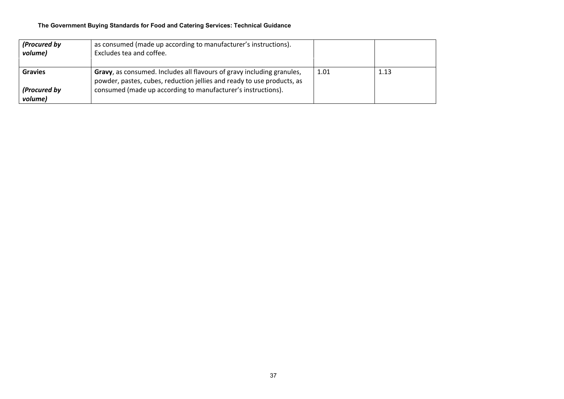#### **The Government Buying Standards for Food and Catering Services: Technical Guidance**

| (Procured by<br>volume) | as consumed (made up according to manufacturer's instructions).<br>Excludes tea and coffee.                                                      |      |      |
|-------------------------|--------------------------------------------------------------------------------------------------------------------------------------------------|------|------|
|                         |                                                                                                                                                  |      |      |
| <b>Gravies</b>          | Gravy, as consumed. Includes all flavours of gravy including granules,<br>powder, pastes, cubes, reduction jellies and ready to use products, as | 1.01 | 1.13 |
| (Procured by<br>volume) | consumed (made up according to manufacturer's instructions).                                                                                     |      |      |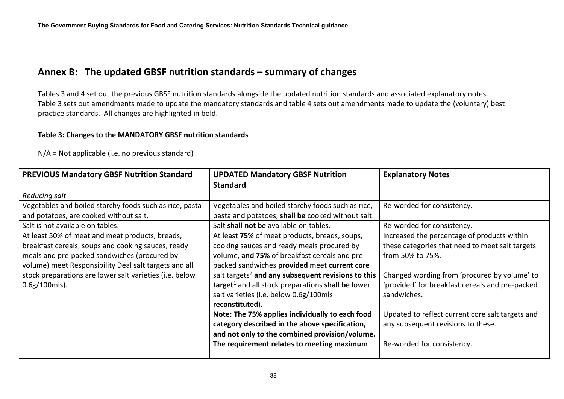## **Annex B: The updated GBSF nutrition standards – summary of changes**

Tables 3 and 4 set out the previous GBSF nutrition standards alongside the updated nutrition standards and associated explanatory notes. Table 3 sets out amendments made to update the mandatory standards and table 4 sets out amendments made to update the (voluntary) best practice standards. All changes are highlighted in bold.

### **Table 3: Changes to the MANDATORY GBSF nutrition standards**

N/A = Not applicable (i.e. no previous standard)

<span id="page-37-1"></span><span id="page-37-0"></span>

| <b>PREVIOUS Mandatory GBSF Nutrition Standard</b>       | <b>UPDATED Mandatory GBSF Nutrition</b>                        | <b>Explanatory Notes</b>                         |
|---------------------------------------------------------|----------------------------------------------------------------|--------------------------------------------------|
|                                                         | <b>Standard</b>                                                |                                                  |
| Reducing salt                                           |                                                                |                                                  |
| Vegetables and boiled starchy foods such as rice, pasta | Vegetables and boiled starchy foods such as rice,              | Re-worded for consistency.                       |
| and potatoes, are cooked without salt.                  | pasta and potatoes, shall be cooked without salt.              |                                                  |
| Salt is not available on tables.                        | Salt shall not be available on tables.                         | Re-worded for consistency.                       |
| At least 50% of meat and meat products, breads,         | At least 75% of meat products, breads, soups,                  | Increased the percentage of products within      |
| breakfast cereals, soups and cooking sauces, ready      | cooking sauces and ready meals procured by                     | these categories that need to meet salt targets  |
| meals and pre-packed sandwiches (procured by            | volume, and 75% of breakfast cereals and pre-                  | from 50% to 75%.                                 |
| volume) meet Responsibility Deal salt targets and all   | packed sandwiches provided meet current core                   |                                                  |
| stock preparations are lower salt varieties (i.e. below | salt targets <sup>2</sup> and any subsequent revisions to this | Changed wording from 'procured by volume' to     |
| $0.6g/100mls$ ).                                        | target <sup>1</sup> and all stock preparations shall be lower  | 'provided' for breakfast cereals and pre-packed  |
|                                                         | salt varieties (i.e. below 0.6g/100mls                         | sandwiches.                                      |
|                                                         | reconstituted).                                                |                                                  |
|                                                         | Note: The 75% applies individually to each food                | Updated to reflect current core salt targets and |
|                                                         | category described in the above specification,                 | any subsequent revisions to these.               |
|                                                         | and not only to the combined provision/volume.                 |                                                  |
|                                                         | The requirement relates to meeting maximum                     | Re-worded for consistency.                       |
|                                                         |                                                                |                                                  |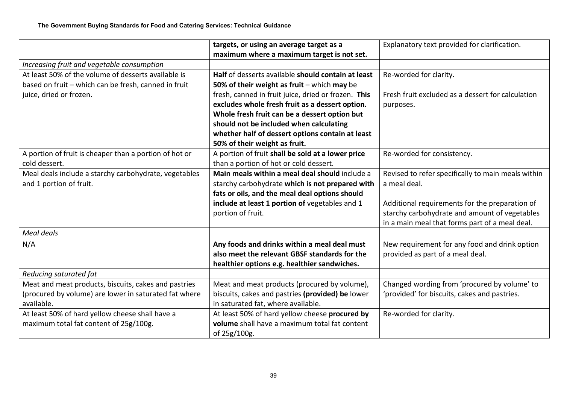|                                                        | targets, or using an average target as a            | Explanatory text provided for clarification.       |
|--------------------------------------------------------|-----------------------------------------------------|----------------------------------------------------|
|                                                        | maximum where a maximum target is not set.          |                                                    |
| Increasing fruit and vegetable consumption             |                                                     |                                                    |
| At least 50% of the volume of desserts available is    | Half of desserts available should contain at least  | Re-worded for clarity.                             |
| based on fruit - which can be fresh, canned in fruit   | 50% of their weight as fruit $-$ which may be       |                                                    |
| juice, dried or frozen.                                | fresh, canned in fruit juice, dried or frozen. This | Fresh fruit excluded as a dessert for calculation  |
|                                                        | excludes whole fresh fruit as a dessert option.     | purposes.                                          |
|                                                        | Whole fresh fruit can be a dessert option but       |                                                    |
|                                                        | should not be included when calculating             |                                                    |
|                                                        | whether half of dessert options contain at least    |                                                    |
|                                                        | 50% of their weight as fruit.                       |                                                    |
| A portion of fruit is cheaper than a portion of hot or | A portion of fruit shall be sold at a lower price   | Re-worded for consistency.                         |
| cold dessert.                                          | than a portion of hot or cold dessert.              |                                                    |
| Meal deals include a starchy carbohydrate, vegetables  | Main meals within a meal deal should include a      | Revised to refer specifically to main meals within |
| and 1 portion of fruit.                                | starchy carbohydrate which is not prepared with     | a meal deal.                                       |
|                                                        | fats or oils, and the meal deal options should      |                                                    |
|                                                        | include at least 1 portion of vegetables and 1      | Additional requirements for the preparation of     |
|                                                        | portion of fruit.                                   | starchy carbohydrate and amount of vegetables      |
|                                                        |                                                     | in a main meal that forms part of a meal deal.     |
| Meal deals                                             |                                                     |                                                    |
| N/A                                                    | Any foods and drinks within a meal deal must        | New requirement for any food and drink option      |
|                                                        | also meet the relevant GBSF standards for the       | provided as part of a meal deal.                   |
|                                                        | healthier options e.g. healthier sandwiches.        |                                                    |
| Reducing saturated fat                                 |                                                     |                                                    |
| Meat and meat products, biscuits, cakes and pastries   | Meat and meat products (procured by volume),        | Changed wording from 'procured by volume' to       |
| (procured by volume) are lower in saturated fat where  | biscuits, cakes and pastries (provided) be lower    | 'provided' for biscuits, cakes and pastries.       |
| available.                                             | in saturated fat, where available.                  |                                                    |
| At least 50% of hard yellow cheese shall have a        | At least 50% of hard yellow cheese procured by      | Re-worded for clarity.                             |
| maximum total fat content of 25g/100g.                 | volume shall have a maximum total fat content       |                                                    |
|                                                        | of 25g/100g.                                        |                                                    |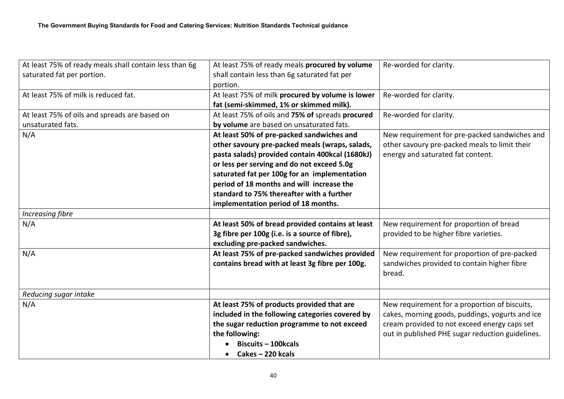| At least 75% of ready meals shall contain less than 6g | At least 75% of ready meals procured by volume   | Re-worded for clarity.                           |
|--------------------------------------------------------|--------------------------------------------------|--------------------------------------------------|
| saturated fat per portion.                             | shall contain less than 6g saturated fat per     |                                                  |
|                                                        | portion.                                         |                                                  |
| At least 75% of milk is reduced fat.                   | At least 75% of milk procured by volume is lower | Re-worded for clarity.                           |
|                                                        | fat (semi-skimmed, 1% or skimmed milk).          |                                                  |
| At least 75% of oils and spreads are based on          | At least 75% of oils and 75% of spreads procured | Re-worded for clarity.                           |
| unsaturated fats.                                      | by volume are based on unsaturated fats.         |                                                  |
| N/A                                                    | At least 50% of pre-packed sandwiches and        | New requirement for pre-packed sandwiches and    |
|                                                        | other savoury pre-packed meals (wraps, salads,   | other savoury pre-packed meals to limit their    |
|                                                        | pasta salads) provided contain 400kcal (1680kJ)  | energy and saturated fat content.                |
|                                                        | or less per serving and do not exceed 5.0g       |                                                  |
|                                                        | saturated fat per 100g for an implementation     |                                                  |
|                                                        | period of 18 months and will increase the        |                                                  |
|                                                        | standard to 75% thereafter with a further        |                                                  |
|                                                        | implementation period of 18 months.              |                                                  |
| <b>Increasing fibre</b>                                |                                                  |                                                  |
| N/A                                                    | At least 50% of bread provided contains at least | New requirement for proportion of bread          |
|                                                        | 3g fibre per 100g (i.e. is a source of fibre),   | provided to be higher fibre varieties.           |
|                                                        | excluding pre-packed sandwiches.                 |                                                  |
| N/A                                                    | At least 75% of pre-packed sandwiches provided   | New requirement for proportion of pre-packed     |
|                                                        | contains bread with at least 3g fibre per 100g.  | sandwiches provided to contain higher fibre      |
|                                                        |                                                  | bread.                                           |
|                                                        |                                                  |                                                  |
| Reducing sugar intake                                  |                                                  |                                                  |
| N/A                                                    | At least 75% of products provided that are       | New requirement for a proportion of biscuits,    |
|                                                        | included in the following categories covered by  | cakes, morning goods, puddings, yogurts and ice  |
|                                                        | the sugar reduction programme to not exceed      | cream provided to not exceed energy caps set     |
|                                                        | the following:                                   | out in published PHE sugar reduction guidelines. |
|                                                        | <b>Biscuits - 100kcals</b>                       |                                                  |
|                                                        | Cakes - 220 kcals                                |                                                  |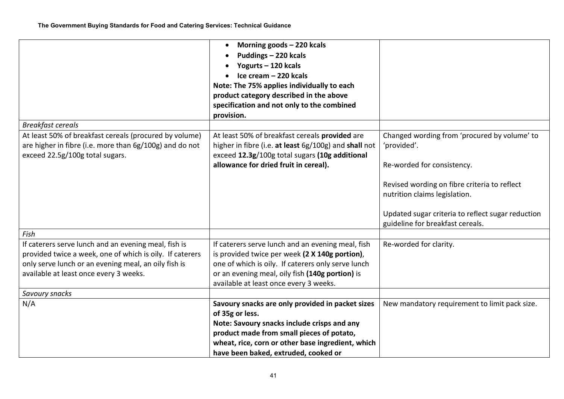|                                                                                                                                                                                                                    | Morning goods - 220 kcals<br>$\bullet$<br>Puddings - 220 kcals<br>Yogurts - 120 kcals<br>Ice cream - 220 kcals<br>Note: The 75% applies individually to each<br>product category described in the above<br>specification and not only to the combined<br>provision. |                                                                                                                                                                            |
|--------------------------------------------------------------------------------------------------------------------------------------------------------------------------------------------------------------------|---------------------------------------------------------------------------------------------------------------------------------------------------------------------------------------------------------------------------------------------------------------------|----------------------------------------------------------------------------------------------------------------------------------------------------------------------------|
| <b>Breakfast cereals</b>                                                                                                                                                                                           |                                                                                                                                                                                                                                                                     |                                                                                                                                                                            |
| At least 50% of breakfast cereals (procured by volume)<br>are higher in fibre (i.e. more than 6g/100g) and do not<br>exceed 22.5g/100g total sugars.                                                               | At least 50% of breakfast cereals provided are<br>higher in fibre (i.e. at least 6g/100g) and shall not<br>exceed 12.3g/100g total sugars (10g additional<br>allowance for dried fruit in cereal).                                                                  | Changed wording from 'procured by volume' to<br>'provided'.<br>Re-worded for consistency.<br>Revised wording on fibre criteria to reflect<br>nutrition claims legislation. |
|                                                                                                                                                                                                                    |                                                                                                                                                                                                                                                                     | Updated sugar criteria to reflect sugar reduction<br>guideline for breakfast cereals.                                                                                      |
| Fish                                                                                                                                                                                                               |                                                                                                                                                                                                                                                                     |                                                                                                                                                                            |
| If caterers serve lunch and an evening meal, fish is<br>provided twice a week, one of which is oily. If caterers<br>only serve lunch or an evening meal, an oily fish is<br>available at least once every 3 weeks. | If caterers serve lunch and an evening meal, fish<br>is provided twice per week (2 X 140g portion),<br>one of which is oily. If caterers only serve lunch<br>or an evening meal, oily fish (140g portion) is<br>available at least once every 3 weeks.              | Re-worded for clarity.                                                                                                                                                     |
| Savoury snacks                                                                                                                                                                                                     |                                                                                                                                                                                                                                                                     |                                                                                                                                                                            |
| N/A                                                                                                                                                                                                                | Savoury snacks are only provided in packet sizes<br>of 35g or less.<br>Note: Savoury snacks include crisps and any<br>product made from small pieces of potato,<br>wheat, rice, corn or other base ingredient, which<br>have been baked, extruded, cooked or        | New mandatory requirement to limit pack size.                                                                                                                              |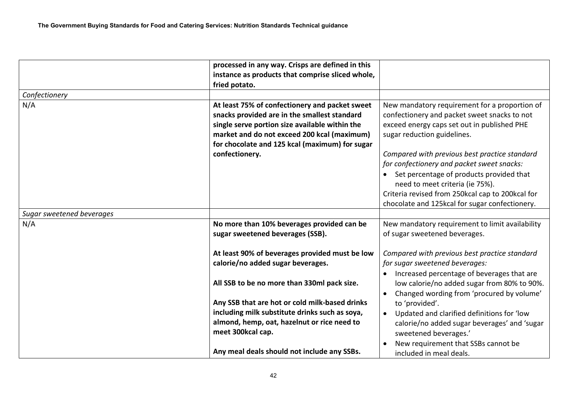|                           | processed in any way. Crisps are defined in this<br>instance as products that comprise sliced whole,                                                                                                                                              |                                                                                                                                                                             |
|---------------------------|---------------------------------------------------------------------------------------------------------------------------------------------------------------------------------------------------------------------------------------------------|-----------------------------------------------------------------------------------------------------------------------------------------------------------------------------|
|                           | fried potato.                                                                                                                                                                                                                                     |                                                                                                                                                                             |
| Confectionery             |                                                                                                                                                                                                                                                   |                                                                                                                                                                             |
| N/A                       | At least 75% of confectionery and packet sweet<br>snacks provided are in the smallest standard<br>single serve portion size available within the<br>market and do not exceed 200 kcal (maximum)<br>for chocolate and 125 kcal (maximum) for sugar | New mandatory requirement for a proportion of<br>confectionery and packet sweet snacks to not<br>exceed energy caps set out in published PHE<br>sugar reduction guidelines. |
|                           | confectionery.                                                                                                                                                                                                                                    | Compared with previous best practice standard                                                                                                                               |
|                           |                                                                                                                                                                                                                                                   | for confectionery and packet sweet snacks:                                                                                                                                  |
|                           |                                                                                                                                                                                                                                                   | Set percentage of products provided that<br>need to meet criteria (ie 75%).                                                                                                 |
|                           |                                                                                                                                                                                                                                                   | Criteria revised from 250kcal cap to 200kcal for                                                                                                                            |
|                           |                                                                                                                                                                                                                                                   | chocolate and 125kcal for sugar confectionery.                                                                                                                              |
| Sugar sweetened beverages |                                                                                                                                                                                                                                                   |                                                                                                                                                                             |
| N/A                       | No more than 10% beverages provided can be                                                                                                                                                                                                        | New mandatory requirement to limit availability                                                                                                                             |
|                           | sugar sweetened beverages (SSB).                                                                                                                                                                                                                  | of sugar sweetened beverages.                                                                                                                                               |
|                           | At least 90% of beverages provided must be low                                                                                                                                                                                                    | Compared with previous best practice standard                                                                                                                               |
|                           | calorie/no added sugar beverages.                                                                                                                                                                                                                 | for sugar sweetened beverages:                                                                                                                                              |
|                           | All SSB to be no more than 330ml pack size.                                                                                                                                                                                                       | Increased percentage of beverages that are<br>low calorie/no added sugar from 80% to 90%.<br>Changed wording from 'procured by volume'                                      |
|                           | Any SSB that are hot or cold milk-based drinks                                                                                                                                                                                                    | to 'provided'.                                                                                                                                                              |
|                           | including milk substitute drinks such as soya,                                                                                                                                                                                                    | Updated and clarified definitions for 'low                                                                                                                                  |
|                           | almond, hemp, oat, hazelnut or rice need to<br>meet 300kcal cap.                                                                                                                                                                                  | calorie/no added sugar beverages' and 'sugar<br>sweetened beverages.'                                                                                                       |
|                           | Any meal deals should not include any SSBs.                                                                                                                                                                                                       | New requirement that SSBs cannot be<br>included in meal deals.                                                                                                              |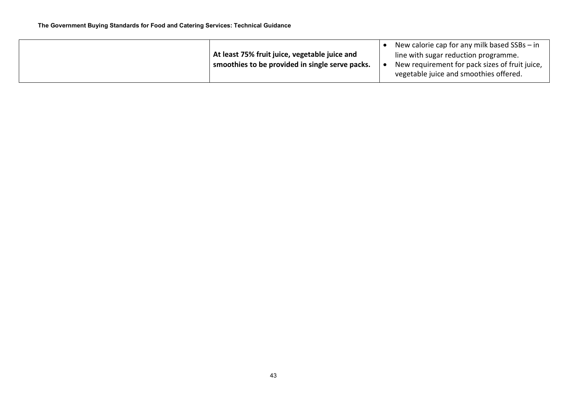|                                                 | New calorie cap for any milk based SSBs - in   |  |
|-------------------------------------------------|------------------------------------------------|--|
| At least 75% fruit juice, vegetable juice and   | line with sugar reduction programme.           |  |
| smoothies to be provided in single serve packs. | New requirement for pack sizes of fruit juice, |  |
|                                                 | vegetable juice and smoothies offered.         |  |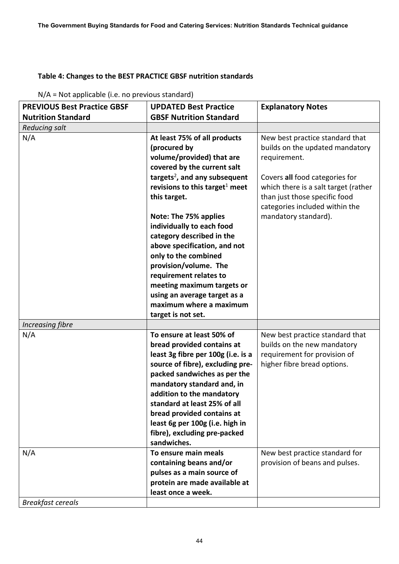## <span id="page-43-0"></span>**Table 4: Changes to the BEST PRACTICE GBSF nutrition standards**

N/A = Not applicable (i.e. no previous standard)

| <b>PREVIOUS Best Practice GBSF</b> | <b>UPDATED Best Practice</b>                                                                                                                                                                                                                                                                                                                                                                                                                                                                                                     | <b>Explanatory Notes</b>                                                                                                                                                                                                                                |
|------------------------------------|----------------------------------------------------------------------------------------------------------------------------------------------------------------------------------------------------------------------------------------------------------------------------------------------------------------------------------------------------------------------------------------------------------------------------------------------------------------------------------------------------------------------------------|---------------------------------------------------------------------------------------------------------------------------------------------------------------------------------------------------------------------------------------------------------|
| <b>Nutrition Standard</b>          | <b>GBSF Nutrition Standard</b>                                                                                                                                                                                                                                                                                                                                                                                                                                                                                                   |                                                                                                                                                                                                                                                         |
| <b>Reducing salt</b>               |                                                                                                                                                                                                                                                                                                                                                                                                                                                                                                                                  |                                                                                                                                                                                                                                                         |
| N/A                                | At least 75% of all products<br>(procured by<br>volume/provided) that are<br>covered by the current salt<br>targets <sup>2</sup> , and any subsequent<br>revisions to this target <sup>1</sup> meet<br>this target.<br>Note: The 75% applies<br>individually to each food<br>category described in the<br>above specification, and not<br>only to the combined<br>provision/volume. The<br>requirement relates to<br>meeting maximum targets or<br>using an average target as a<br>maximum where a maximum<br>target is not set. | New best practice standard that<br>builds on the updated mandatory<br>requirement.<br>Covers all food categories for<br>which there is a salt target (rather<br>than just those specific food<br>categories included within the<br>mandatory standard). |
| Increasing fibre                   |                                                                                                                                                                                                                                                                                                                                                                                                                                                                                                                                  |                                                                                                                                                                                                                                                         |
| N/A                                | To ensure at least 50% of<br>bread provided contains at<br>least 3g fibre per 100g (i.e. is a<br>source of fibre), excluding pre-<br>packed sandwiches as per the<br>mandatory standard and, in<br>addition to the mandatory<br>standard at least 25% of all<br>bread provided contains at<br>least 6g per 100g (i.e. high in<br>fibre), excluding pre-packed<br>sandwiches.                                                                                                                                                     | New best practice standard that<br>builds on the new mandatory<br>requirement for provision of<br>higher fibre bread options.                                                                                                                           |
| N/A<br><b>Breakfast cereals</b>    | To ensure main meals<br>containing beans and/or<br>pulses as a main source of<br>protein are made available at<br>least once a week.                                                                                                                                                                                                                                                                                                                                                                                             | New best practice standard for<br>provision of beans and pulses.                                                                                                                                                                                        |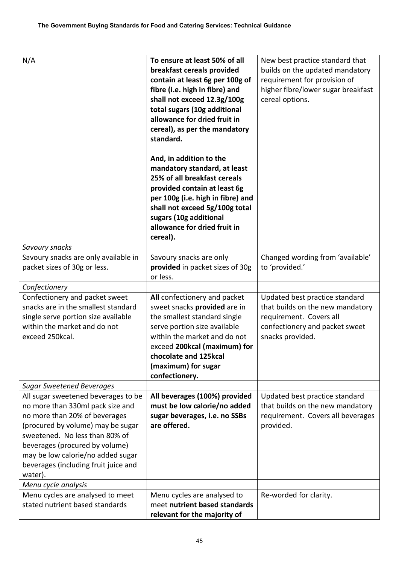| N/A                                                                                                                                                                                                                                                                                                       | To ensure at least 50% of all<br>breakfast cereals provided<br>contain at least 6g per 100g of<br>fibre (i.e. high in fibre) and<br>shall not exceed 12.3g/100g<br>total sugars (10g additional<br>allowance for dried fruit in<br>cereal), as per the mandatory<br>standard.<br>And, in addition to the | New best practice standard that<br>builds on the updated mandatory<br>requirement for provision of<br>higher fibre/lower sugar breakfast<br>cereal options. |  |
|-----------------------------------------------------------------------------------------------------------------------------------------------------------------------------------------------------------------------------------------------------------------------------------------------------------|----------------------------------------------------------------------------------------------------------------------------------------------------------------------------------------------------------------------------------------------------------------------------------------------------------|-------------------------------------------------------------------------------------------------------------------------------------------------------------|--|
|                                                                                                                                                                                                                                                                                                           | mandatory standard, at least<br>25% of all breakfast cereals<br>provided contain at least 6g<br>per 100g (i.e. high in fibre) and<br>shall not exceed 5g/100g total<br>sugars (10g additional<br>allowance for dried fruit in<br>cereal).                                                                |                                                                                                                                                             |  |
| Savoury snacks                                                                                                                                                                                                                                                                                            |                                                                                                                                                                                                                                                                                                          |                                                                                                                                                             |  |
| Savoury snacks are only available in<br>packet sizes of 30g or less.                                                                                                                                                                                                                                      | Savoury snacks are only<br>provided in packet sizes of 30g<br>or less.                                                                                                                                                                                                                                   | Changed wording from 'available'<br>to 'provided.'                                                                                                          |  |
| Confectionery                                                                                                                                                                                                                                                                                             |                                                                                                                                                                                                                                                                                                          |                                                                                                                                                             |  |
| Confectionery and packet sweet<br>snacks are in the smallest standard<br>single serve portion size available<br>within the market and do not<br>exceed 250kcal.                                                                                                                                           | All confectionery and packet<br>sweet snacks provided are in<br>the smallest standard single<br>serve portion size available<br>within the market and do not<br>exceed 200kcal (maximum) for<br>chocolate and 125kcal<br>(maximum) for sugar<br>confectionery.                                           | Updated best practice standard<br>that builds on the new mandatory<br>requirement. Covers all<br>confectionery and packet sweet<br>snacks provided.         |  |
| <b>Sugar Sweetened Beverages</b>                                                                                                                                                                                                                                                                          |                                                                                                                                                                                                                                                                                                          |                                                                                                                                                             |  |
| All sugar sweetened beverages to be<br>no more than 330ml pack size and<br>no more than 20% of beverages<br>(procured by volume) may be sugar<br>sweetened. No less than 80% of<br>beverages (procured by volume)<br>may be low calorie/no added sugar<br>beverages (including fruit juice and<br>water). | All beverages (100%) provided<br>must be low calorie/no added<br>sugar beverages, i.e. no SSBs<br>are offered.                                                                                                                                                                                           | Updated best practice standard<br>that builds on the new mandatory<br>requirement. Covers all beverages<br>provided.                                        |  |
| Menu cycle analysis                                                                                                                                                                                                                                                                                       |                                                                                                                                                                                                                                                                                                          |                                                                                                                                                             |  |
| Menu cycles are analysed to meet<br>stated nutrient based standards                                                                                                                                                                                                                                       | Menu cycles are analysed to<br>meet nutrient based standards<br>relevant for the majority of                                                                                                                                                                                                             | Re-worded for clarity.                                                                                                                                      |  |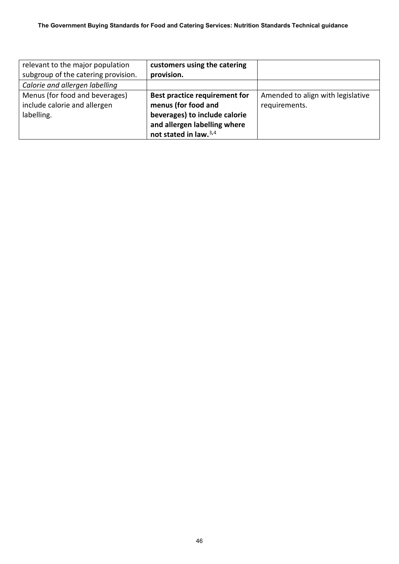| relevant to the major population    | customers using the catering         |                                   |
|-------------------------------------|--------------------------------------|-----------------------------------|
| subgroup of the catering provision. | provision.                           |                                   |
| Calorie and allergen labelling      |                                      |                                   |
| Menus (for food and beverages)      | <b>Best practice requirement for</b> | Amended to align with legislative |
| include calorie and allergen        | menus (for food and                  | requirements.                     |
| labelling.                          | beverages) to include calorie        |                                   |
|                                     | and allergen labelling where         |                                   |
|                                     | not stated in law. <sup>3,4</sup>    |                                   |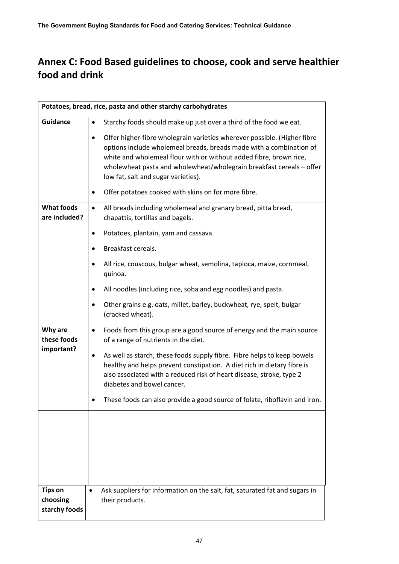# <span id="page-46-0"></span>**Annex C: Food Based guidelines to choose, cook and serve healthier food and drink**

|                                             | Potatoes, bread, rice, pasta and other starchy carbohydrates                                                                                                                                                                                                                                                                                                                                |
|---------------------------------------------|---------------------------------------------------------------------------------------------------------------------------------------------------------------------------------------------------------------------------------------------------------------------------------------------------------------------------------------------------------------------------------------------|
| <b>Guidance</b>                             | Starchy foods should make up just over a third of the food we eat.                                                                                                                                                                                                                                                                                                                          |
|                                             | Offer higher-fibre wholegrain varieties wherever possible. (Higher fibre<br>options include wholemeal breads, breads made with a combination of<br>white and wholemeal flour with or without added fibre, brown rice,<br>wholewheat pasta and wholewheat/wholegrain breakfast cereals - offer<br>low fat, salt and sugar varieties).<br>Offer potatoes cooked with skins on for more fibre. |
| <b>What foods</b><br>are included?          | All breads including wholemeal and granary bread, pitta bread,<br>٠<br>chapattis, tortillas and bagels.                                                                                                                                                                                                                                                                                     |
|                                             | Potatoes, plantain, yam and cassava.                                                                                                                                                                                                                                                                                                                                                        |
|                                             | Breakfast cereals.                                                                                                                                                                                                                                                                                                                                                                          |
|                                             | All rice, couscous, bulgar wheat, semolina, tapioca, maize, cornmeal,<br>quinoa.                                                                                                                                                                                                                                                                                                            |
|                                             | All noodles (including rice, soba and egg noodles) and pasta.                                                                                                                                                                                                                                                                                                                               |
|                                             | Other grains e.g. oats, millet, barley, buckwheat, rye, spelt, bulgar<br>(cracked wheat).                                                                                                                                                                                                                                                                                                   |
| Why are<br>these foods                      | Foods from this group are a good source of energy and the main source<br>$\bullet$<br>of a range of nutrients in the diet.                                                                                                                                                                                                                                                                  |
| important?                                  | As well as starch, these foods supply fibre. Fibre helps to keep bowels<br>healthy and helps prevent constipation. A diet rich in dietary fibre is<br>also associated with a reduced risk of heart disease, stroke, type 2<br>diabetes and bowel cancer.                                                                                                                                    |
|                                             | These foods can also provide a good source of folate, riboflavin and iron.                                                                                                                                                                                                                                                                                                                  |
|                                             |                                                                                                                                                                                                                                                                                                                                                                                             |
| <b>Tips on</b><br>choosing<br>starchy foods | Ask suppliers for information on the salt, fat, saturated fat and sugars in<br>$\bullet$<br>their products.                                                                                                                                                                                                                                                                                 |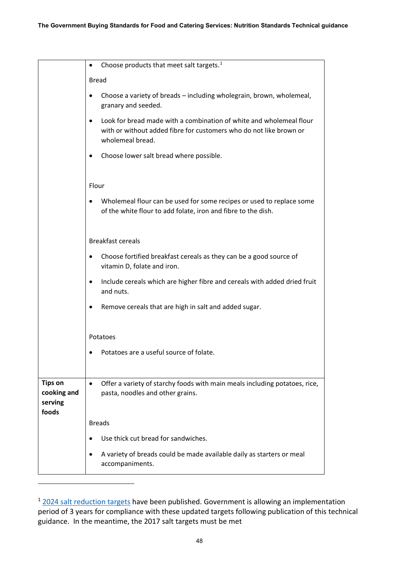|                                                   | Choose products that meet salt targets. <sup>1</sup><br>٠                                                                                                     |
|---------------------------------------------------|---------------------------------------------------------------------------------------------------------------------------------------------------------------|
|                                                   | <b>Bread</b>                                                                                                                                                  |
|                                                   | Choose a variety of breads - including wholegrain, brown, wholemeal,<br>granary and seeded.                                                                   |
|                                                   | Look for bread made with a combination of white and wholemeal flour<br>with or without added fibre for customers who do not like brown or<br>wholemeal bread. |
|                                                   | Choose lower salt bread where possible.<br>٠                                                                                                                  |
|                                                   | Flour                                                                                                                                                         |
|                                                   | Wholemeal flour can be used for some recipes or used to replace some<br>of the white flour to add folate, iron and fibre to the dish.                         |
|                                                   | <b>Breakfast cereals</b>                                                                                                                                      |
|                                                   | Choose fortified breakfast cereals as they can be a good source of<br>vitamin D, folate and iron.                                                             |
|                                                   | Include cereals which are higher fibre and cereals with added dried fruit<br>and nuts.                                                                        |
|                                                   | Remove cereals that are high in salt and added sugar.                                                                                                         |
|                                                   | Potatoes                                                                                                                                                      |
|                                                   | Potatoes are a useful source of folate.                                                                                                                       |
| <b>Tips on</b><br>cooking and<br>serving<br>foods | Offer a variety of starchy foods with main meals including potatoes, rice,<br>$\bullet$<br>pasta, noodles and other grains.                                   |
|                                                   | <b>Breads</b>                                                                                                                                                 |
|                                                   | Use thick cut bread for sandwiches.                                                                                                                           |
|                                                   | A variety of breads could be made available daily as starters or meal<br>accompaniments.                                                                      |
|                                                   |                                                                                                                                                               |

<span id="page-47-0"></span> $1$  [2024 salt reduction targets](https://www.gov.uk/government/publications/salt-reduction-targets-for-2024) have been published. Government is allowing an implementation period of 3 years for compliance with these updated targets following publication of this technical guidance. In the meantime, the 2017 salt targets must be met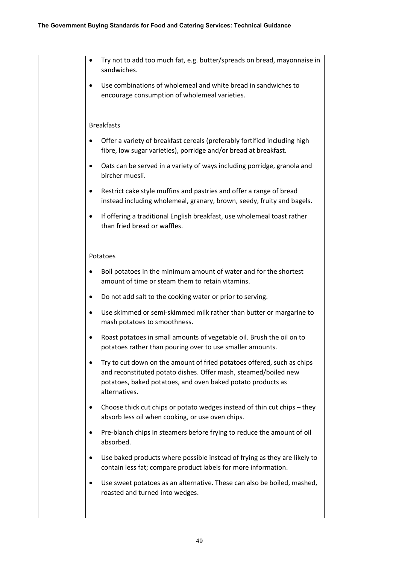| Try not to add too much fat, e.g. butter/spreads on bread, mayonnaise in<br>٠<br>sandwiches.                                                                                                                              |
|---------------------------------------------------------------------------------------------------------------------------------------------------------------------------------------------------------------------------|
| Use combinations of wholemeal and white bread in sandwiches to<br>encourage consumption of wholemeal varieties.                                                                                                           |
| <b>Breakfasts</b>                                                                                                                                                                                                         |
| Offer a variety of breakfast cereals (preferably fortified including high<br>fibre, low sugar varieties), porridge and/or bread at breakfast.                                                                             |
| Oats can be served in a variety of ways including porridge, granola and<br>$\bullet$<br>bircher muesli.                                                                                                                   |
| Restrict cake style muffins and pastries and offer a range of bread<br>instead including wholemeal, granary, brown, seedy, fruity and bagels.                                                                             |
| If offering a traditional English breakfast, use wholemeal toast rather<br>than fried bread or waffles.                                                                                                                   |
| Potatoes                                                                                                                                                                                                                  |
| Boil potatoes in the minimum amount of water and for the shortest<br>amount of time or steam them to retain vitamins.                                                                                                     |
| Do not add salt to the cooking water or prior to serving.                                                                                                                                                                 |
| Use skimmed or semi-skimmed milk rather than butter or margarine to<br>mash potatoes to smoothness.                                                                                                                       |
| Roast potatoes in small amounts of vegetable oil. Brush the oil on to<br>potatoes rather than pouring over to use smaller amounts.                                                                                        |
| Try to cut down on the amount of fried potatoes offered, such as chips<br>and reconstituted potato dishes. Offer mash, steamed/boiled new<br>potatoes, baked potatoes, and oven baked potato products as<br>alternatives. |
| Choose thick cut chips or potato wedges instead of thin cut chips - they<br>٠<br>absorb less oil when cooking, or use oven chips.                                                                                         |
| Pre-blanch chips in steamers before frying to reduce the amount of oil<br>absorbed.                                                                                                                                       |
| Use baked products where possible instead of frying as they are likely to<br>٠<br>contain less fat; compare product labels for more information.                                                                          |
| Use sweet potatoes as an alternative. These can also be boiled, mashed,<br>٠<br>roasted and turned into wedges.                                                                                                           |
|                                                                                                                                                                                                                           |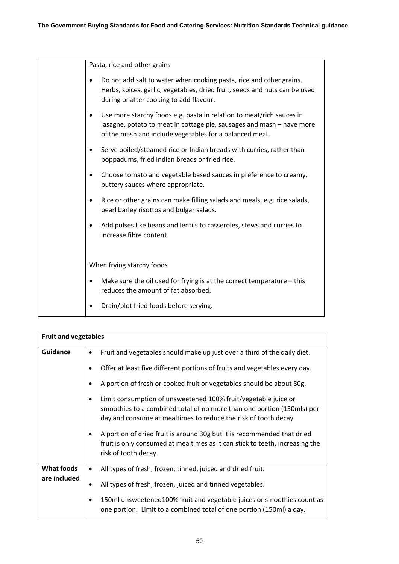Pasta, rice and other grains • Do not add salt to water when cooking pasta, rice and other grains. Herbs, spices, garlic, vegetables, dried fruit, seeds and nuts can be used during or after cooking to add flavour. • Use more starchy foods e.g. pasta in relation to meat/rich sauces in lasagne, potato to meat in cottage pie, sausages and mash – have more of the mash and include vegetables for a balanced meal. • Serve boiled/steamed rice or Indian breads with curries, rather than poppadums, fried Indian breads or fried rice. • Choose tomato and vegetable based sauces in preference to creamy, buttery sauces where appropriate. • Rice or other grains can make filling salads and meals, e.g. rice salads, pearl barley risottos and bulgar salads. • Add pulses like beans and lentils to casseroles, stews and curries to increase fibre content. When frying starchy foods • Make sure the oil used for frying is at the correct temperature – this reduces the amount of fat absorbed. • Drain/blot fried foods before serving.

| <b>Fruit and vegetables</b> |                                                                                                                                                                                                                  |  |
|-----------------------------|------------------------------------------------------------------------------------------------------------------------------------------------------------------------------------------------------------------|--|
| <b>Guidance</b>             | Fruit and vegetables should make up just over a third of the daily diet.<br>٠                                                                                                                                    |  |
|                             | Offer at least five different portions of fruits and vegetables every day.                                                                                                                                       |  |
|                             | A portion of fresh or cooked fruit or vegetables should be about 80g.                                                                                                                                            |  |
|                             | Limit consumption of unsweetened 100% fruit/vegetable juice or<br>٠<br>smoothies to a combined total of no more than one portion (150mls) per<br>day and consume at mealtimes to reduce the risk of tooth decay. |  |
|                             | A portion of dried fruit is around 30g but it is recommended that dried<br>٠<br>fruit is only consumed at mealtimes as it can stick to teeth, increasing the<br>risk of tooth decay.                             |  |
| What foods                  | All types of fresh, frozen, tinned, juiced and dried fruit.<br>٠                                                                                                                                                 |  |
| are included                | All types of fresh, frozen, juiced and tinned vegetables.                                                                                                                                                        |  |
|                             | 150ml unsweetened100% fruit and vegetable juices or smoothies count as<br>one portion. Limit to a combined total of one portion (150ml) a day.                                                                   |  |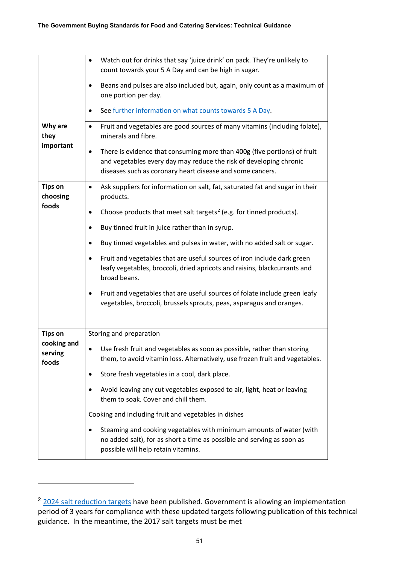|                                 | Watch out for drinks that say 'juice drink' on pack. They're unlikely to<br>count towards your 5 A Day and can be high in sugar.                                                                                         |
|---------------------------------|--------------------------------------------------------------------------------------------------------------------------------------------------------------------------------------------------------------------------|
|                                 | Beans and pulses are also included but, again, only count as a maximum of<br>one portion per day.                                                                                                                        |
|                                 | See further information on what counts towards 5 A Day.                                                                                                                                                                  |
| Why are<br>they                 | Fruit and vegetables are good sources of many vitamins (including folate),<br>$\bullet$<br>minerals and fibre.                                                                                                           |
| important                       | There is evidence that consuming more than 400g (five portions) of fruit<br>$\bullet$<br>and vegetables every day may reduce the risk of developing chronic<br>diseases such as coronary heart disease and some cancers. |
| <b>Tips on</b><br>choosing      | Ask suppliers for information on salt, fat, saturated fat and sugar in their<br>$\bullet$<br>products.                                                                                                                   |
| foods                           | Choose products that meet salt targets <sup>2</sup> (e.g. for tinned products).<br>$\bullet$                                                                                                                             |
|                                 | Buy tinned fruit in juice rather than in syrup.<br>٠                                                                                                                                                                     |
|                                 | Buy tinned vegetables and pulses in water, with no added salt or sugar.<br>$\bullet$                                                                                                                                     |
|                                 | Fruit and vegetables that are useful sources of iron include dark green<br>٠<br>leafy vegetables, broccoli, dried apricots and raisins, blackcurrants and<br>broad beans.                                                |
|                                 | Fruit and vegetables that are useful sources of folate include green leafy<br>٠<br>vegetables, broccoli, brussels sprouts, peas, asparagus and oranges.                                                                  |
| <b>Tips on</b>                  | Storing and preparation                                                                                                                                                                                                  |
| cooking and<br>serving<br>foods | Use fresh fruit and vegetables as soon as possible, rather than storing<br>٠<br>them, to avoid vitamin loss. Alternatively, use frozen fruit and vegetables.                                                             |
|                                 | Store fresh vegetables in a cool, dark place.<br>٠                                                                                                                                                                       |
|                                 | Avoid leaving any cut vegetables exposed to air, light, heat or leaving<br>$\bullet$<br>them to soak. Cover and chill them.                                                                                              |
|                                 | Cooking and including fruit and vegetables in dishes                                                                                                                                                                     |
|                                 | Steaming and cooking vegetables with minimum amounts of water (with<br>$\bullet$<br>no added salt), for as short a time as possible and serving as soon as<br>possible will help retain vitamins.                        |

<span id="page-50-0"></span><sup>&</sup>lt;sup>2</sup> [2024 salt reduction targets](https://www.gov.uk/government/publications/salt-reduction-targets-for-2024) have been published. Government is allowing an implementation period of 3 years for compliance with these updated targets following publication of this technical guidance. In the meantime, the 2017 salt targets must be met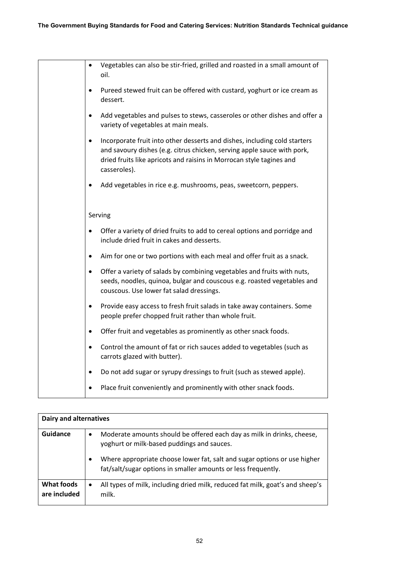|           | Vegetables can also be stir-fried, grilled and roasted in a small amount of<br>oil.                                                                                                                                                          |
|-----------|----------------------------------------------------------------------------------------------------------------------------------------------------------------------------------------------------------------------------------------------|
|           | Pureed stewed fruit can be offered with custard, yoghurt or ice cream as<br>dessert.                                                                                                                                                         |
|           | Add vegetables and pulses to stews, casseroles or other dishes and offer a<br>variety of vegetables at main meals.                                                                                                                           |
|           | Incorporate fruit into other desserts and dishes, including cold starters<br>and savoury dishes (e.g. citrus chicken, serving apple sauce with pork,<br>dried fruits like apricots and raisins in Morrocan style tagines and<br>casseroles). |
|           | Add vegetables in rice e.g. mushrooms, peas, sweetcorn, peppers.                                                                                                                                                                             |
|           | Serving                                                                                                                                                                                                                                      |
|           | Offer a variety of dried fruits to add to cereal options and porridge and<br>include dried fruit in cakes and desserts.                                                                                                                      |
|           | Aim for one or two portions with each meal and offer fruit as a snack.                                                                                                                                                                       |
|           | Offer a variety of salads by combining vegetables and fruits with nuts,<br>seeds, noodles, quinoa, bulgar and couscous e.g. roasted vegetables and<br>couscous. Use lower fat salad dressings.                                               |
| $\bullet$ | Provide easy access to fresh fruit salads in take away containers. Some<br>people prefer chopped fruit rather than whole fruit.                                                                                                              |
|           | Offer fruit and vegetables as prominently as other snack foods.                                                                                                                                                                              |
|           | Control the amount of fat or rich sauces added to vegetables (such as<br>carrots glazed with butter).                                                                                                                                        |
|           | Do not add sugar or syrupy dressings to fruit (such as stewed apple).                                                                                                                                                                        |
|           | Place fruit conveniently and prominently with other snack foods.                                                                                                                                                                             |

| <b>Dairy and alternatives</b>     |                                                                                                                                                                                                                                                                                             |
|-----------------------------------|---------------------------------------------------------------------------------------------------------------------------------------------------------------------------------------------------------------------------------------------------------------------------------------------|
| Guidance                          | Moderate amounts should be offered each day as milk in drinks, cheese,<br>$\bullet$<br>yoghurt or milk-based puddings and sauces.<br>Where appropriate choose lower fat, salt and sugar options or use higher<br>$\bullet$<br>fat/salt/sugar options in smaller amounts or less frequently. |
| <b>What foods</b><br>are included | All types of milk, including dried milk, reduced fat milk, goat's and sheep's<br>$\bullet$<br>milk.                                                                                                                                                                                         |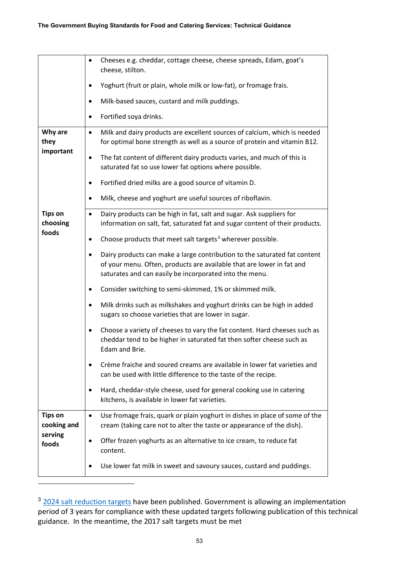|                               | Cheeses e.g. cheddar, cottage cheese, cheese spreads, Edam, goat's<br>٠<br>cheese, stilton.                                                                                                                   |
|-------------------------------|---------------------------------------------------------------------------------------------------------------------------------------------------------------------------------------------------------------|
|                               | Yoghurt (fruit or plain, whole milk or low-fat), or fromage frais.                                                                                                                                            |
|                               | Milk-based sauces, custard and milk puddings.<br>$\bullet$                                                                                                                                                    |
|                               | Fortified soya drinks.<br>٠                                                                                                                                                                                   |
| Why are<br>they               | Milk and dairy products are excellent sources of calcium, which is needed<br>$\bullet$<br>for optimal bone strength as well as a source of protein and vitamin B12.                                           |
| important                     | The fat content of different dairy products varies, and much of this is<br>$\bullet$<br>saturated fat so use lower fat options where possible.                                                                |
|                               | Fortified dried milks are a good source of vitamin D.                                                                                                                                                         |
|                               | Milk, cheese and yoghurt are useful sources of riboflavin.<br>٠                                                                                                                                               |
| <b>Tips on</b><br>choosing    | Dairy products can be high in fat, salt and sugar. Ask suppliers for<br>$\bullet$<br>information on salt, fat, saturated fat and sugar content of their products.                                             |
| foods                         | Choose products that meet salt targets <sup>3</sup> wherever possible.                                                                                                                                        |
|                               | Dairy products can make a large contribution to the saturated fat content<br>of your menu. Often, products are available that are lower in fat and<br>saturates and can easily be incorporated into the menu. |
|                               | Consider switching to semi-skimmed, 1% or skimmed milk.<br>٠                                                                                                                                                  |
|                               | Milk drinks such as milkshakes and yoghurt drinks can be high in added<br>٠<br>sugars so choose varieties that are lower in sugar.                                                                            |
|                               | Choose a variety of cheeses to vary the fat content. Hard cheeses such as<br>$\bullet$<br>cheddar tend to be higher in saturated fat then softer cheese such as<br>Edam and Brie.                             |
|                               | Crème fraiche and soured creams are available in lower fat varieties and<br>can be used with little difference to the taste of the recipe.                                                                    |
|                               | Hard, cheddar-style cheese, used for general cooking use in catering<br>٠<br>kitchens, is available in lower fat varieties.                                                                                   |
| <b>Tips on</b><br>cooking and | Use fromage frais, quark or plain yoghurt in dishes in place of some of the<br>$\bullet$<br>cream (taking care not to alter the taste or appearance of the dish).                                             |
| serving<br>foods              | Offer frozen yoghurts as an alternative to ice cream, to reduce fat<br>content.                                                                                                                               |
|                               | Use lower fat milk in sweet and savoury sauces, custard and puddings.                                                                                                                                         |

<span id="page-52-0"></span><sup>&</sup>lt;sup>3</sup> [2024 salt reduction targets](https://www.gov.uk/government/publications/salt-reduction-targets-for-2024) have been published. Government is allowing an implementation period of 3 years for compliance with these updated targets following publication of this technical guidance. In the meantime, the 2017 salt targets must be met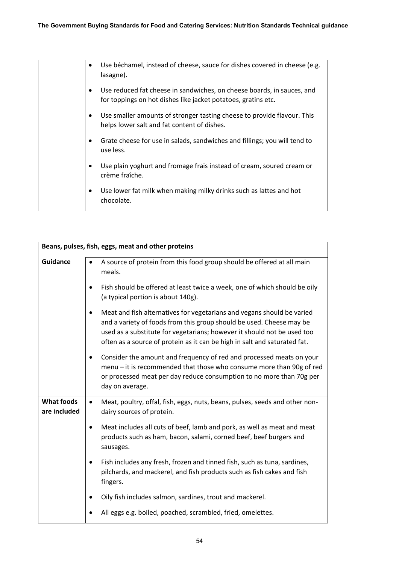| ٠         | Use béchamel, instead of cheese, sauce for dishes covered in cheese (e.g.<br>lasagne).                                                  |
|-----------|-----------------------------------------------------------------------------------------------------------------------------------------|
| ٠         | Use reduced fat cheese in sandwiches, on cheese boards, in sauces, and<br>for toppings on hot dishes like jacket potatoes, gratins etc. |
| $\bullet$ | Use smaller amounts of stronger tasting cheese to provide flavour. This<br>helps lower salt and fat content of dishes.                  |
| ٠         | Grate cheese for use in salads, sandwiches and fillings; you will tend to<br>use less.                                                  |
| $\bullet$ | Use plain yoghurt and fromage frais instead of cream, soured cream or<br>crème fraîche.                                                 |
| $\bullet$ | Use lower fat milk when making milky drinks such as lattes and hot<br>chocolate.                                                        |
|           |                                                                                                                                         |

|                                   | Beans, pulses, fish, eggs, meat and other proteins                                                                                                                                                                                                                                                                  |
|-----------------------------------|---------------------------------------------------------------------------------------------------------------------------------------------------------------------------------------------------------------------------------------------------------------------------------------------------------------------|
| <b>Guidance</b>                   | A source of protein from this food group should be offered at all main<br>$\bullet$<br>meals.                                                                                                                                                                                                                       |
|                                   | Fish should be offered at least twice a week, one of which should be oily<br>$\bullet$<br>(a typical portion is about 140g).                                                                                                                                                                                        |
|                                   | Meat and fish alternatives for vegetarians and vegans should be varied<br>$\bullet$<br>and a variety of foods from this group should be used. Cheese may be<br>used as a substitute for vegetarians; however it should not be used too<br>often as a source of protein as it can be high in salt and saturated fat. |
|                                   | Consider the amount and frequency of red and processed meats on your<br>٠<br>menu - it is recommended that those who consume more than 90g of red<br>or processed meat per day reduce consumption to no more than 70g per<br>day on average.                                                                        |
| <b>What foods</b><br>are included | Meat, poultry, offal, fish, eggs, nuts, beans, pulses, seeds and other non-<br>$\bullet$<br>dairy sources of protein.                                                                                                                                                                                               |
|                                   | Meat includes all cuts of beef, lamb and pork, as well as meat and meat<br>٠<br>products such as ham, bacon, salami, corned beef, beef burgers and<br>sausages.                                                                                                                                                     |
|                                   | Fish includes any fresh, frozen and tinned fish, such as tuna, sardines,<br>$\bullet$<br>pilchards, and mackerel, and fish products such as fish cakes and fish<br>fingers.                                                                                                                                         |
|                                   | Oily fish includes salmon, sardines, trout and mackerel.                                                                                                                                                                                                                                                            |
|                                   | All eggs e.g. boiled, poached, scrambled, fried, omelettes.                                                                                                                                                                                                                                                         |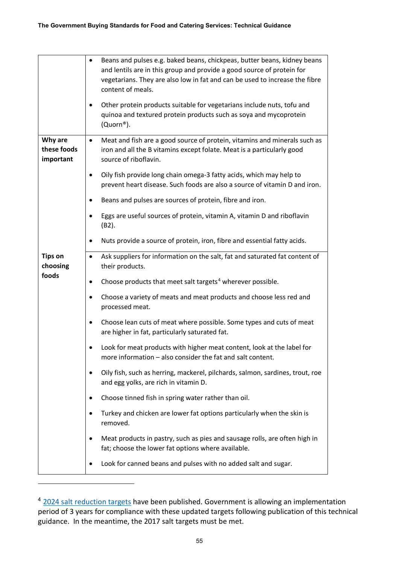|                                     | Beans and pulses e.g. baked beans, chickpeas, butter beans, kidney beans<br>and lentils are in this group and provide a good source of protein for<br>vegetarians. They are also low in fat and can be used to increase the fibre<br>content of meals.<br>Other protein products suitable for vegetarians include nuts, tofu and |
|-------------------------------------|----------------------------------------------------------------------------------------------------------------------------------------------------------------------------------------------------------------------------------------------------------------------------------------------------------------------------------|
|                                     | quinoa and textured protein products such as soya and mycoprotein<br>(Quorn®).                                                                                                                                                                                                                                                   |
| Why are<br>these foods<br>important | Meat and fish are a good source of protein, vitamins and minerals such as<br>$\bullet$<br>iron and all the B vitamins except folate. Meat is a particularly good<br>source of riboflavin.                                                                                                                                        |
|                                     | Oily fish provide long chain omega-3 fatty acids, which may help to<br>prevent heart disease. Such foods are also a source of vitamin D and iron.                                                                                                                                                                                |
|                                     | Beans and pulses are sources of protein, fibre and iron.                                                                                                                                                                                                                                                                         |
|                                     | Eggs are useful sources of protein, vitamin A, vitamin D and riboflavin<br>(B2).                                                                                                                                                                                                                                                 |
|                                     | Nuts provide a source of protein, iron, fibre and essential fatty acids.                                                                                                                                                                                                                                                         |
| <b>Tips on</b><br>choosing          | Ask suppliers for information on the salt, fat and saturated fat content of<br>٠<br>their products.                                                                                                                                                                                                                              |
| foods                               | Choose products that meet salt targets <sup>4</sup> wherever possible.<br>$\bullet$                                                                                                                                                                                                                                              |
|                                     | Choose a variety of meats and meat products and choose less red and<br>$\bullet$<br>processed meat.                                                                                                                                                                                                                              |
|                                     | Choose lean cuts of meat where possible. Some types and cuts of meat<br>٠<br>are higher in fat, particularly saturated fat.                                                                                                                                                                                                      |
|                                     | Look for meat products with higher meat content, look at the label for<br>more information - also consider the fat and salt content.                                                                                                                                                                                             |
|                                     | Oily fish, such as herring, mackerel, pilchards, salmon, sardines, trout, roe<br>and egg yolks, are rich in vitamin D.                                                                                                                                                                                                           |
|                                     | Choose tinned fish in spring water rather than oil.                                                                                                                                                                                                                                                                              |
|                                     | Turkey and chicken are lower fat options particularly when the skin is<br>removed.                                                                                                                                                                                                                                               |
|                                     | Meat products in pastry, such as pies and sausage rolls, are often high in<br>fat; choose the lower fat options where available.                                                                                                                                                                                                 |
|                                     | Look for canned beans and pulses with no added salt and sugar.                                                                                                                                                                                                                                                                   |

<span id="page-54-0"></span><sup>&</sup>lt;sup>4</sup> [2024 salt reduction targets](https://www.gov.uk/government/publications/salt-reduction-targets-for-2024) have been published. Government is allowing an implementation period of 3 years for compliance with these updated targets following publication of this technical guidance. In the meantime, the 2017 salt targets must be met.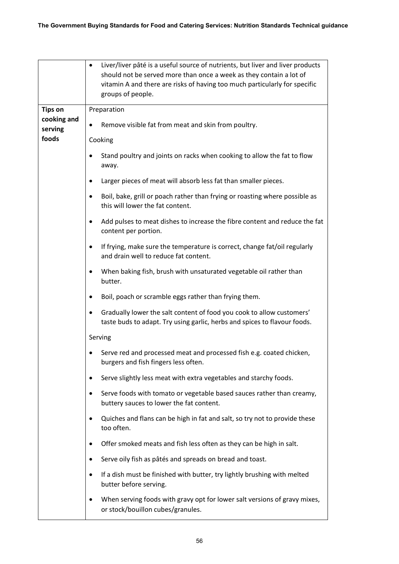|                                          | Liver/liver pâté is a useful source of nutrients, but liver and liver products<br>$\bullet$<br>should not be served more than once a week as they contain a lot of<br>vitamin A and there are risks of having too much particularly for specific<br>groups of people. |
|------------------------------------------|-----------------------------------------------------------------------------------------------------------------------------------------------------------------------------------------------------------------------------------------------------------------------|
| <b>Tips on</b><br>cooking and<br>serving | Preparation                                                                                                                                                                                                                                                           |
|                                          | Remove visible fat from meat and skin from poultry.<br>$\bullet$                                                                                                                                                                                                      |
| foods                                    | Cooking                                                                                                                                                                                                                                                               |
|                                          | Stand poultry and joints on racks when cooking to allow the fat to flow<br>away.                                                                                                                                                                                      |
|                                          | Larger pieces of meat will absorb less fat than smaller pieces.                                                                                                                                                                                                       |
|                                          | Boil, bake, grill or poach rather than frying or roasting where possible as<br>this will lower the fat content.                                                                                                                                                       |
|                                          | Add pulses to meat dishes to increase the fibre content and reduce the fat<br>$\bullet$<br>content per portion.                                                                                                                                                       |
|                                          | If frying, make sure the temperature is correct, change fat/oil regularly<br>and drain well to reduce fat content.                                                                                                                                                    |
|                                          | When baking fish, brush with unsaturated vegetable oil rather than<br>butter.                                                                                                                                                                                         |
|                                          | Boil, poach or scramble eggs rather than frying them.                                                                                                                                                                                                                 |
|                                          | Gradually lower the salt content of food you cook to allow customers'<br>taste buds to adapt. Try using garlic, herbs and spices to flavour foods.                                                                                                                    |
|                                          | Serving                                                                                                                                                                                                                                                               |
|                                          | Serve red and processed meat and processed fish e.g. coated chicken,<br>burgers and fish fingers less often.                                                                                                                                                          |
|                                          | Serve slightly less meat with extra vegetables and starchy foods.                                                                                                                                                                                                     |
|                                          | Serve foods with tomato or vegetable based sauces rather than creamy,<br>buttery sauces to lower the fat content.                                                                                                                                                     |
|                                          | Quiches and flans can be high in fat and salt, so try not to provide these<br>$\bullet$<br>too often.                                                                                                                                                                 |
|                                          | Offer smoked meats and fish less often as they can be high in salt.                                                                                                                                                                                                   |
|                                          | Serve oily fish as pâtés and spreads on bread and toast.                                                                                                                                                                                                              |
|                                          | If a dish must be finished with butter, try lightly brushing with melted<br>butter before serving.                                                                                                                                                                    |
|                                          | When serving foods with gravy opt for lower salt versions of gravy mixes,<br>or stock/bouillon cubes/granules.                                                                                                                                                        |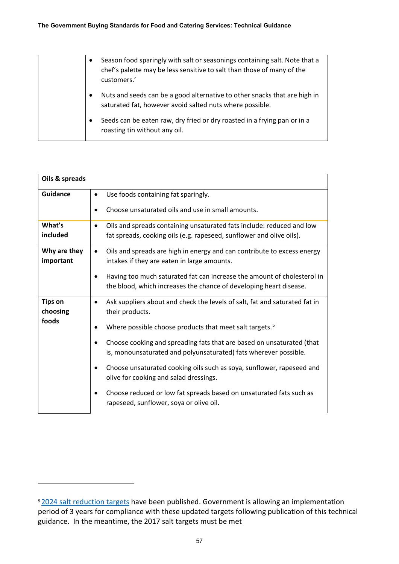| Season food sparingly with salt or seasonings containing salt. Note that a<br>$\bullet$<br>chef's palette may be less sensitive to salt than those of many of the<br>customers.' |  |
|----------------------------------------------------------------------------------------------------------------------------------------------------------------------------------|--|
| Nuts and seeds can be a good alternative to other snacks that are high in<br>$\bullet$<br>saturated fat, however avoid salted nuts where possible.                               |  |
| Seeds can be eaten raw, dry fried or dry roasted in a frying pan or in a<br>$\bullet$<br>roasting tin without any oil.                                                           |  |

| Oils & spreads             |                                                                                                                                               |
|----------------------------|-----------------------------------------------------------------------------------------------------------------------------------------------|
| <b>Guidance</b>            | Use foods containing fat sparingly.<br>$\bullet$                                                                                              |
|                            | Choose unsaturated oils and use in small amounts.                                                                                             |
| What's                     | Oils and spreads containing unsaturated fats include: reduced and low                                                                         |
| included                   | fat spreads, cooking oils (e.g. rapeseed, sunflower and olive oils).                                                                          |
| Why are they               | Oils and spreads are high in energy and can contribute to excess energy<br>٠                                                                  |
| important                  | intakes if they are eaten in large amounts.                                                                                                   |
|                            | Having too much saturated fat can increase the amount of cholesterol in<br>the blood, which increases the chance of developing heart disease. |
| <b>Tips on</b><br>choosing | Ask suppliers about and check the levels of salt, fat and saturated fat in<br>their products.                                                 |
| foods                      | Where possible choose products that meet salt targets. <sup>5</sup>                                                                           |
|                            | Choose cooking and spreading fats that are based on unsaturated (that<br>is, monounsaturated and polyunsaturated) fats wherever possible.     |
|                            | Choose unsaturated cooking oils such as soya, sunflower, rapeseed and<br>olive for cooking and salad dressings.                               |
|                            | Choose reduced or low fat spreads based on unsaturated fats such as<br>rapeseed, sunflower, soya or olive oil.                                |

<span id="page-56-0"></span><sup>&</sup>lt;sup>5</sup> [2024 salt reduction targets](https://www.gov.uk/government/publications/salt-reduction-targets-for-2024) have been published. Government is allowing an implementation period of 3 years for compliance with these updated targets following publication of this technical guidance. In the meantime, the 2017 salt targets must be met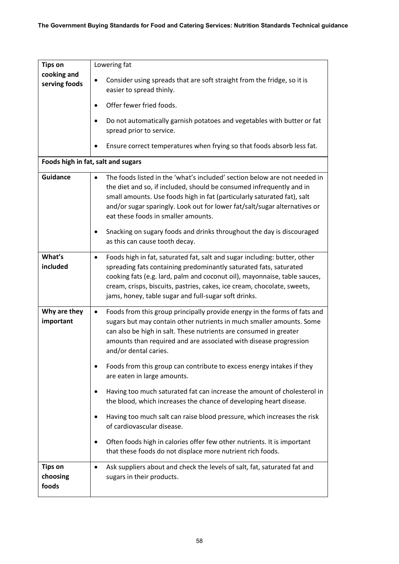| <b>Tips on</b>                      | Lowering fat                                                                                                                                                                                                                                                                                                                                                        |
|-------------------------------------|---------------------------------------------------------------------------------------------------------------------------------------------------------------------------------------------------------------------------------------------------------------------------------------------------------------------------------------------------------------------|
| cooking and<br>serving foods        | Consider using spreads that are soft straight from the fridge, so it is<br>easier to spread thinly.                                                                                                                                                                                                                                                                 |
|                                     | Offer fewer fried foods.                                                                                                                                                                                                                                                                                                                                            |
|                                     | Do not automatically garnish potatoes and vegetables with butter or fat<br>spread prior to service.                                                                                                                                                                                                                                                                 |
|                                     | Ensure correct temperatures when frying so that foods absorb less fat.                                                                                                                                                                                                                                                                                              |
|                                     | Foods high in fat, salt and sugars                                                                                                                                                                                                                                                                                                                                  |
| <b>Guidance</b>                     | The foods listed in the 'what's included' section below are not needed in<br>$\bullet$<br>the diet and so, if included, should be consumed infrequently and in<br>small amounts. Use foods high in fat (particularly saturated fat), salt<br>and/or sugar sparingly. Look out for lower fat/salt/sugar alternatives or<br>eat these foods in smaller amounts.       |
|                                     | Snacking on sugary foods and drinks throughout the day is discouraged<br>as this can cause tooth decay.                                                                                                                                                                                                                                                             |
| What's<br>included                  | Foods high in fat, saturated fat, salt and sugar including: butter, other<br>٠<br>spreading fats containing predominantly saturated fats, saturated<br>cooking fats (e.g. lard, palm and coconut oil), mayonnaise, table sauces,<br>cream, crisps, biscuits, pastries, cakes, ice cream, chocolate, sweets,<br>jams, honey, table sugar and full-sugar soft drinks. |
| Why are they<br>important           | Foods from this group principally provide energy in the forms of fats and<br>$\bullet$<br>sugars but may contain other nutrients in much smaller amounts. Some<br>can also be high in salt. These nutrients are consumed in greater<br>amounts than required and are associated with disease progression<br>and/or dental caries.                                   |
|                                     | Foods from this group can contribute to excess energy intakes if they<br>are eaten in large amounts.                                                                                                                                                                                                                                                                |
|                                     | Having too much saturated fat can increase the amount of cholesterol in<br>the blood, which increases the chance of developing heart disease.                                                                                                                                                                                                                       |
|                                     | Having too much salt can raise blood pressure, which increases the risk<br>٠<br>of cardiovascular disease.                                                                                                                                                                                                                                                          |
|                                     | Often foods high in calories offer few other nutrients. It is important<br>٠<br>that these foods do not displace more nutrient rich foods.                                                                                                                                                                                                                          |
| <b>Tips on</b><br>choosing<br>foods | Ask suppliers about and check the levels of salt, fat, saturated fat and<br>sugars in their products.                                                                                                                                                                                                                                                               |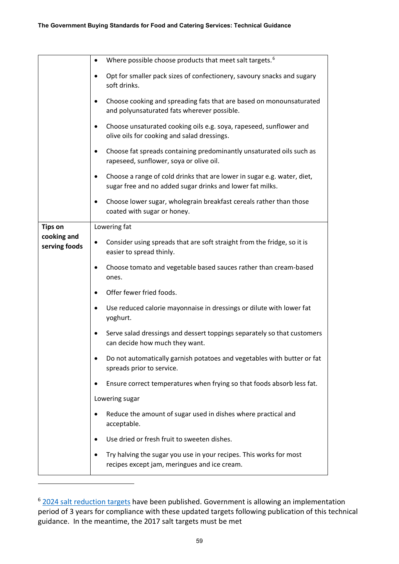|                              | Where possible choose products that meet salt targets. <sup>6</sup><br>$\bullet$                                                                  |
|------------------------------|---------------------------------------------------------------------------------------------------------------------------------------------------|
|                              | Opt for smaller pack sizes of confectionery, savoury snacks and sugary<br>$\bullet$<br>soft drinks.                                               |
|                              | Choose cooking and spreading fats that are based on monounsaturated<br>and polyunsaturated fats wherever possible.                                |
|                              | Choose unsaturated cooking oils e.g. soya, rapeseed, sunflower and<br>olive oils for cooking and salad dressings.                                 |
|                              | Choose fat spreads containing predominantly unsaturated oils such as<br>٠<br>rapeseed, sunflower, soya or olive oil.                              |
|                              | Choose a range of cold drinks that are lower in sugar e.g. water, diet,<br>$\bullet$<br>sugar free and no added sugar drinks and lower fat milks. |
|                              | Choose lower sugar, wholegrain breakfast cereals rather than those<br>coated with sugar or honey.                                                 |
| <b>Tips on</b>               | Lowering fat                                                                                                                                      |
| cooking and<br>serving foods | Consider using spreads that are soft straight from the fridge, so it is<br>easier to spread thinly.                                               |
|                              | Choose tomato and vegetable based sauces rather than cream-based<br>ones.                                                                         |
|                              | Offer fewer fried foods.                                                                                                                          |
|                              | Use reduced calorie mayonnaise in dressings or dilute with lower fat<br>yoghurt.                                                                  |
|                              | Serve salad dressings and dessert toppings separately so that customers<br>can decide how much they want.                                         |
|                              | Do not automatically garnish potatoes and vegetables with butter or fat<br>spreads prior to service.                                              |
|                              | Ensure correct temperatures when frying so that foods absorb less fat.                                                                            |
|                              | Lowering sugar                                                                                                                                    |
|                              | Reduce the amount of sugar used in dishes where practical and<br>$\bullet$<br>acceptable.                                                         |
|                              | Use dried or fresh fruit to sweeten dishes.                                                                                                       |
|                              | Try halving the sugar you use in your recipes. This works for most<br>recipes except jam, meringues and ice cream.                                |

<span id="page-58-0"></span><sup>&</sup>lt;sup>6</sup> [2024 salt reduction targets](https://www.gov.uk/government/publications/salt-reduction-targets-for-2024) have been published. Government is allowing an implementation period of 3 years for compliance with these updated targets following publication of this technical guidance. In the meantime, the 2017 salt targets must be met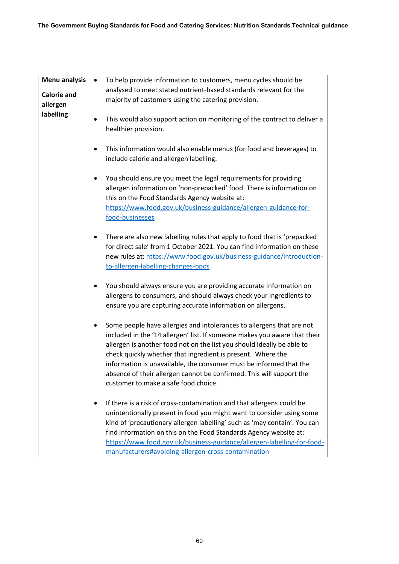| <b>Menu analysis</b>           | To help provide information to customers, menu cycles should be<br>$\bullet$<br>analysed to meet stated nutrient-based standards relevant for the                                                                                                                                                                                                                                                                                                                                 |
|--------------------------------|-----------------------------------------------------------------------------------------------------------------------------------------------------------------------------------------------------------------------------------------------------------------------------------------------------------------------------------------------------------------------------------------------------------------------------------------------------------------------------------|
| <b>Calorie and</b><br>allergen | majority of customers using the catering provision.                                                                                                                                                                                                                                                                                                                                                                                                                               |
| labelling                      | This would also support action on monitoring of the contract to deliver a<br>healthier provision.                                                                                                                                                                                                                                                                                                                                                                                 |
|                                | This information would also enable menus (for food and beverages) to<br>٠<br>include calorie and allergen labelling.                                                                                                                                                                                                                                                                                                                                                              |
|                                | You should ensure you meet the legal requirements for providing<br>allergen information on 'non-prepacked' food. There is information on<br>this on the Food Standards Agency website at:<br>https://www.food.gov.uk/business-guidance/allergen-guidance-for-<br>food-businesses                                                                                                                                                                                                  |
|                                | There are also new labelling rules that apply to food that is 'prepacked<br>٠<br>for direct sale' from 1 October 2021. You can find information on these<br>new rules at: https://www.food.gov.uk/business-guidance/introduction-<br>to-allergen-labelling-changes-ppds                                                                                                                                                                                                           |
|                                | You should always ensure you are providing accurate information on<br>allergens to consumers, and should always check your ingredients to<br>ensure you are capturing accurate information on allergens.                                                                                                                                                                                                                                                                          |
|                                | Some people have allergies and intolerances to allergens that are not<br>included in the '14 allergen' list. If someone makes you aware that their<br>allergen is another food not on the list you should ideally be able to<br>check quickly whether that ingredient is present. Where the<br>information is unavailable, the consumer must be informed that the<br>absence of their allergen cannot be confirmed. This will support the<br>customer to make a safe food choice. |
|                                | If there is a risk of cross-contamination and that allergens could be<br>unintentionally present in food you might want to consider using some<br>kind of 'precautionary allergen labelling' such as 'may contain'. You can<br>find information on this on the Food Standards Agency website at:<br>https://www.food.gov.uk/business-guidance/allergen-labelling-for-food-<br>manufacturers#avoiding-allergen-cross-contamination                                                 |